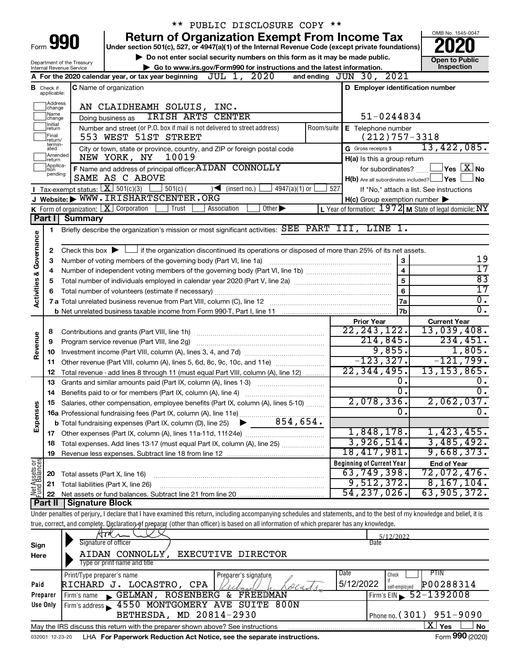|                                                                                                                                                                                                  |                                                                                                                                                        |                            |                                                                   | PUBLIC DISCLOSURE COPY **                                                                                                                                                  |            |                                  |                                                           |
|--------------------------------------------------------------------------------------------------------------------------------------------------------------------------------------------------|--------------------------------------------------------------------------------------------------------------------------------------------------------|----------------------------|-------------------------------------------------------------------|----------------------------------------------------------------------------------------------------------------------------------------------------------------------------|------------|----------------------------------|-----------------------------------------------------------|
|                                                                                                                                                                                                  |                                                                                                                                                        |                            |                                                                   | <b>Return of Organization Exempt From Income Tax</b>                                                                                                                       |            |                                  | OMB No. 1545-0047                                         |
| 990<br>Form<br>Under section 501(c), 527, or 4947(a)(1) of the Internal Revenue Code (except private foundations)                                                                                |                                                                                                                                                        |                            |                                                                   |                                                                                                                                                                            |            |                                  |                                                           |
|                                                                                                                                                                                                  |                                                                                                                                                        |                            |                                                                   | Do not enter social security numbers on this form as it may be made public.                                                                                                |            |                                  | <b>Open to Public</b>                                     |
| Department of the Treasury<br>Go to www.irs.gov/Form990 for instructions and the latest information.<br>Internal Revenue Service                                                                 |                                                                                                                                                        |                            |                                                                   |                                                                                                                                                                            | Inspection |                                  |                                                           |
|                                                                                                                                                                                                  |                                                                                                                                                        |                            |                                                                   | A For the 2020 calendar year, or tax year beginning $JUL$ 1, $2020$                                                                                                        |            | and ending JUN 30, 2021          |                                                           |
|                                                                                                                                                                                                  | <b>B</b> Check if<br>applicable:                                                                                                                       |                            | <b>C</b> Name of organization                                     |                                                                                                                                                                            |            | D Employer identification number |                                                           |
|                                                                                                                                                                                                  | Address<br>change                                                                                                                                      |                            | AN CLAIDHEAMH SOLUIS, INC.                                        |                                                                                                                                                                            |            |                                  |                                                           |
| Name<br>IRISH ARTS CENTER<br>51-0244834<br>Doing business as<br>change                                                                                                                           |                                                                                                                                                        |                            |                                                                   |                                                                                                                                                                            |            |                                  |                                                           |
| 1Initial<br>Number and street (or P.O. box if mail is not delivered to street address)<br>Room/suite<br>E Telephone number<br> return                                                            |                                                                                                                                                        |                            |                                                                   |                                                                                                                                                                            |            |                                  |                                                           |
| Final<br>$(212)757-3318$<br>553 WEST 51ST STREET<br>return/                                                                                                                                      |                                                                                                                                                        |                            |                                                                   |                                                                                                                                                                            |            |                                  |                                                           |
|                                                                                                                                                                                                  | termin-<br>G Gross receipts \$<br>City or town, state or province, country, and ZIP or foreign postal code<br>ated<br>Amended<br>10019<br>NEW YORK, NY |                            |                                                                   |                                                                                                                                                                            |            | 13,422,085.                      |                                                           |
| return<br>Applica-<br>F Name and address of principal officer: AIDAN CONNOLLY                                                                                                                    |                                                                                                                                                        |                            | H(a) Is this a group return<br>for subordinates?                  | $\Box$ Yes $~\Box$ X $~$ No                                                                                                                                                |            |                                  |                                                           |
| tion<br>pending<br>SAME AS C ABOVE<br>$H(b)$ Are all subordinates included? $\Box$ Yes                                                                                                           |                                                                                                                                                        |                            | No                                                                |                                                                                                                                                                            |            |                                  |                                                           |
|                                                                                                                                                                                                  |                                                                                                                                                        |                            | $501(c)$ (                                                        | $\sqrt{\frac{1}{1}}$ (insert no.)                                                                                                                                          | 527        |                                  |                                                           |
| Tax-exempt status: $X \ 501(c)(3)$<br>$4947(a)(1)$ or<br>If "No," attach a list. See instructions<br>J Website: WWW. IRISHARTSCENTER. ORG<br>$H(c)$ Group exemption number $\blacktriangleright$ |                                                                                                                                                        |                            |                                                                   |                                                                                                                                                                            |            |                                  |                                                           |
|                                                                                                                                                                                                  |                                                                                                                                                        |                            | K Form of organization: X Corporation<br>Trust                    | Association<br>Other $\blacktriangleright$                                                                                                                                 |            |                                  | L Year of formation: $1972$ M State of legal domicile: NY |
|                                                                                                                                                                                                  |                                                                                                                                                        | Part I Summary             |                                                                   |                                                                                                                                                                            |            |                                  |                                                           |
|                                                                                                                                                                                                  | 1.                                                                                                                                                     |                            |                                                                   | Briefly describe the organization's mission or most significant activities: SEE PART III, LINE 1.                                                                          |            |                                  |                                                           |
| Governance                                                                                                                                                                                       |                                                                                                                                                        |                            |                                                                   |                                                                                                                                                                            |            |                                  |                                                           |
|                                                                                                                                                                                                  | 2                                                                                                                                                      |                            |                                                                   | Check this box $\blacktriangleright$ $\Box$ if the organization discontinued its operations or disposed of more than 25% of its net assets.                                |            |                                  |                                                           |
|                                                                                                                                                                                                  | 3                                                                                                                                                      |                            | Number of voting members of the governing body (Part VI, line 1a) |                                                                                                                                                                            |            | 3                                | 19                                                        |
|                                                                                                                                                                                                  | 4                                                                                                                                                      |                            |                                                                   |                                                                                                                                                                            |            | $\overline{\mathbf{4}}$          | $\overline{17}$                                           |
|                                                                                                                                                                                                  | 5                                                                                                                                                      |                            |                                                                   |                                                                                                                                                                            |            | 5                                | $\overline{83}$                                           |
| <b>Activities &amp;</b>                                                                                                                                                                          | 6                                                                                                                                                      |                            |                                                                   |                                                                                                                                                                            |            | 6                                | $\overline{17}$                                           |
|                                                                                                                                                                                                  |                                                                                                                                                        |                            |                                                                   |                                                                                                                                                                            |            | <b>7a</b>                        | $\overline{0}$ .                                          |
|                                                                                                                                                                                                  |                                                                                                                                                        |                            |                                                                   |                                                                                                                                                                            |            | 7b                               | $\overline{0}$ .                                          |
|                                                                                                                                                                                                  |                                                                                                                                                        |                            |                                                                   |                                                                                                                                                                            |            | <b>Prior Year</b>                | <b>Current Year</b>                                       |
|                                                                                                                                                                                                  | 8                                                                                                                                                      |                            |                                                                   |                                                                                                                                                                            |            | 22, 243, 122.                    | 13,039,408.                                               |
|                                                                                                                                                                                                  | 9                                                                                                                                                      |                            |                                                                   |                                                                                                                                                                            |            | 214,845.                         | 234,451.                                                  |
| Revenue                                                                                                                                                                                          | 10                                                                                                                                                     |                            |                                                                   |                                                                                                                                                                            |            | 9,855.                           | 1,805.                                                    |
|                                                                                                                                                                                                  |                                                                                                                                                        |                            |                                                                   | 11 Other revenue (Part VIII, column (A), lines 5, 6d, 8c, 9c, 10c, and 11e)                                                                                                |            | $-123, 327.$                     | $-121,799.$                                               |
|                                                                                                                                                                                                  | 12                                                                                                                                                     |                            |                                                                   | Total revenue - add lines 8 through 11 (must equal Part VIII, column (A), line 12)                                                                                         |            | 22,344,495.                      | 13, 153, 865.                                             |
|                                                                                                                                                                                                  | 13                                                                                                                                                     |                            | Grants and similar amounts paid (Part IX, column (A), lines 1-3)  |                                                                                                                                                                            |            | О.                               | 0.                                                        |
|                                                                                                                                                                                                  | 14                                                                                                                                                     |                            | Benefits paid to or for members (Part IX, column (A), line 4)     |                                                                                                                                                                            |            | σ.                               | σ.                                                        |
|                                                                                                                                                                                                  |                                                                                                                                                        |                            |                                                                   | 15 Salaries, other compensation, employee benefits (Part IX, column (A), lines 5-10)                                                                                       |            | $2,078,336$ .                    | $2,062,037$ .                                             |
|                                                                                                                                                                                                  |                                                                                                                                                        |                            |                                                                   |                                                                                                                                                                            |            | 0.                               | 0.                                                        |
| Expenses                                                                                                                                                                                         |                                                                                                                                                        |                            |                                                                   |                                                                                                                                                                            |            |                                  |                                                           |
|                                                                                                                                                                                                  |                                                                                                                                                        |                            |                                                                   |                                                                                                                                                                            |            | 1,848,178.                       | 1,423,455.                                                |
|                                                                                                                                                                                                  | 18                                                                                                                                                     |                            |                                                                   | Total expenses. Add lines 13-17 (must equal Part IX, column (A), line 25)                                                                                                  |            | 3,926,514.                       | 3,485,492.                                                |
|                                                                                                                                                                                                  | 19                                                                                                                                                     |                            |                                                                   |                                                                                                                                                                            |            | 18,417,981.                      | 9,668,373.                                                |
| Net Assets or<br>Fund Balances                                                                                                                                                                   |                                                                                                                                                        |                            |                                                                   |                                                                                                                                                                            |            | <b>Beginning of Current Year</b> | <b>End of Year</b>                                        |
|                                                                                                                                                                                                  | 20                                                                                                                                                     |                            | Total assets (Part X, line 16)                                    |                                                                                                                                                                            |            | 63,749,398.<br>9,512,372.        | 72,072,476.                                               |
|                                                                                                                                                                                                  | 21                                                                                                                                                     |                            | Total liabilities (Part X, line 26)                               |                                                                                                                                                                            |            |                                  | 8,167,104.                                                |
|                                                                                                                                                                                                  | 22                                                                                                                                                     |                            |                                                                   |                                                                                                                                                                            |            | 54, 237, 026.                    | 63,905,372.                                               |
|                                                                                                                                                                                                  |                                                                                                                                                        | Part II   Signature Block  |                                                                   | Under penalties of perjury, I declare that I have examined this return, including accompanying schedules and statements, and to the best of my knowledge and belief, it is |            |                                  |                                                           |
|                                                                                                                                                                                                  |                                                                                                                                                        |                            |                                                                   | true, correct, and complete. Declaration of preparer (other than officer) is based on all information of which preparer has any knowledge.                                 |            |                                  |                                                           |
|                                                                                                                                                                                                  |                                                                                                                                                        |                            |                                                                   |                                                                                                                                                                            |            |                                  |                                                           |
|                                                                                                                                                                                                  |                                                                                                                                                        |                            | Signature of officer                                              |                                                                                                                                                                            |            | 5/12/2022<br>Date                |                                                           |
| Sign<br>Here                                                                                                                                                                                     |                                                                                                                                                        |                            | AIDAN CONNOLLY,                                                   | EXECUTIVE DIRECTOR                                                                                                                                                         |            |                                  |                                                           |
|                                                                                                                                                                                                  |                                                                                                                                                        |                            | Type or print name and title                                      |                                                                                                                                                                            |            |                                  |                                                           |
|                                                                                                                                                                                                  |                                                                                                                                                        | Print/Type preparer's name |                                                                   | Preparer's signature,                                                                                                                                                      |            | Date<br>Check                    | <b>PTIN</b>                                               |
| Paid                                                                                                                                                                                             |                                                                                                                                                        |                            | RICHARD J. LOCASTRO, CPA                                          |                                                                                                                                                                            |            | 5/12/2022<br>self-employed       | P00288314                                                 |

| Preparer                                                                                                               | GELMAN, ROSENBERG & FREEDMAN<br>Firm's name                                                                                  | $I$ Firm's EIN $\sim$ 52-1392008 |  |  |  |  |  |                                                                                              |
|------------------------------------------------------------------------------------------------------------------------|------------------------------------------------------------------------------------------------------------------------------|----------------------------------|--|--|--|--|--|----------------------------------------------------------------------------------------------|
| Firm's address 3 4550 MONTGOMERY AVE SUITE 800N<br>Use Only<br>BETHESDA, MD 20814-2930<br>I Phone no. $(301)$ 951-9090 |                                                                                                                              |                                  |  |  |  |  |  |                                                                                              |
|                                                                                                                        |                                                                                                                              |                                  |  |  |  |  |  | No<br>Yes<br>May the IRS discuss this return with the preparer shown above? See instructions |
|                                                                                                                        | $E_{\text{max}}$ 000 $(0.000$<br>and the company of the Law Demonstrate Dedication Ant National and the computer included in |                                  |  |  |  |  |  |                                                                                              |

032001 12-23-20 LHA **For Paperwork Reduction Act Notice, see the separate instructions.** Form 990 (2020)

**990**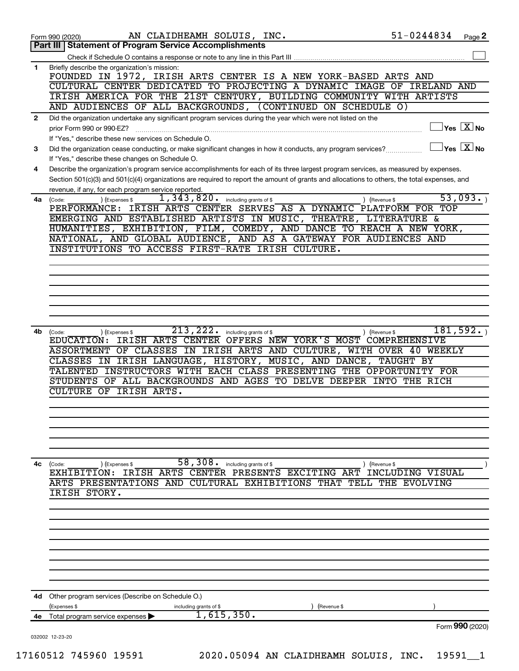|              | AN CLAIDHEAMH SOLUIS, INC.<br>Form 990 (2020)                                                                                                                                                                                                                                                                                               | 51-0244834       | Page 2                                           |
|--------------|---------------------------------------------------------------------------------------------------------------------------------------------------------------------------------------------------------------------------------------------------------------------------------------------------------------------------------------------|------------------|--------------------------------------------------|
|              | <b>Statement of Program Service Accomplishments</b><br><b>Part III</b>                                                                                                                                                                                                                                                                      |                  |                                                  |
|              |                                                                                                                                                                                                                                                                                                                                             |                  |                                                  |
| $\mathbf 1$  | Briefly describe the organization's mission:<br>FOUNDED IN 1972, IRISH ARTS CENTER IS A NEW YORK-BASED ARTS AND<br>CULTURAL CENTER DEDICATED TO PROJECTING A DYNAMIC IMAGE OF<br>IRISH AMERICA FOR THE 21ST CENTURY, BUILDING COMMUNITY WITH ARTISTS<br>AND AUDIENCES OF ALL BACKGROUNDS, (CONTINUED ON SCHEDULE O)                         | IRELAND AND      |                                                  |
| $\mathbf{2}$ | Did the organization undertake any significant program services during the year which were not listed on the                                                                                                                                                                                                                                |                  |                                                  |
|              | prior Form 990 or 990-EZ?<br>If "Yes," describe these new services on Schedule O.                                                                                                                                                                                                                                                           |                  | $\overline{\ }$ Yes $\overline{\phantom{a}X}$ No |
| 3            | Did the organization cease conducting, or make significant changes in how it conducts, any program services?                                                                                                                                                                                                                                |                  | $\gamma$ es $\boxed{\text{X}}$ No                |
|              | If "Yes," describe these changes on Schedule O.                                                                                                                                                                                                                                                                                             |                  |                                                  |
| 4            | Describe the organization's program service accomplishments for each of its three largest program services, as measured by expenses.<br>Section 501(c)(3) and 501(c)(4) organizations are required to report the amount of grants and allocations to others, the total expenses, and<br>revenue, if any, for each program service reported. |                  |                                                  |
|              | 1,343,820.<br>including grants of \$<br>) (Revenue \$<br>4a (Code:<br>(Expenses \$                                                                                                                                                                                                                                                          |                  | 53,093.                                          |
|              | IRISH ARTS CENTER SERVES AS A DYNAMIC PLATFORM FOR TOP<br>PERFORMANCE:                                                                                                                                                                                                                                                                      |                  |                                                  |
|              | EMERGING AND ESTABLISHED ARTISTS IN MUSIC, THEATRE, LITERATURE &                                                                                                                                                                                                                                                                            |                  |                                                  |
|              | HUMANITIES, EXHIBITION, FILM, COMEDY, AND DANCE TO REACH A NEW YORK,                                                                                                                                                                                                                                                                        |                  |                                                  |
|              | NATIONAL, AND GLOBAL AUDIENCE, AND AS A GATEWAY FOR AUDIENCES AND                                                                                                                                                                                                                                                                           |                  |                                                  |
|              | INSTITUTIONS TO ACCESS FIRST-RATE IRISH CULTURE.                                                                                                                                                                                                                                                                                            |                  |                                                  |
|              |                                                                                                                                                                                                                                                                                                                                             |                  |                                                  |
|              |                                                                                                                                                                                                                                                                                                                                             |                  |                                                  |
|              |                                                                                                                                                                                                                                                                                                                                             |                  |                                                  |
|              |                                                                                                                                                                                                                                                                                                                                             |                  |                                                  |
|              |                                                                                                                                                                                                                                                                                                                                             |                  |                                                  |
|              |                                                                                                                                                                                                                                                                                                                                             |                  |                                                  |
|              |                                                                                                                                                                                                                                                                                                                                             |                  |                                                  |
| 4b.          | 213, 222.<br>) (Expenses \$<br>including grants of \$<br>) (Revenue \$<br>(Code:                                                                                                                                                                                                                                                            |                  | 181,592.                                         |
|              | IRISH ARTS CENTER OFFERS NEW YORK'S MOST COMPREHENSIVE<br>EDUCATION:                                                                                                                                                                                                                                                                        |                  |                                                  |
|              | OF CLASSES IN IRISH ARTS AND CULTURE, WITH OVER 40 WEEKLY<br><b>ASSORTMENT</b>                                                                                                                                                                                                                                                              |                  |                                                  |
|              | IRISH LANGUAGE, HISTORY, MUSIC, AND DANCE,<br><b>CLASSES</b><br>ΙN                                                                                                                                                                                                                                                                          | <b>TAUGHT BY</b> |                                                  |
|              | INSTRUCTORS WITH EACH CLASS PRESENTING THE OPPORTUNITY FOR<br><b>TALENTED</b>                                                                                                                                                                                                                                                               |                  |                                                  |
|              | OF ALL BACKGROUNDS AND AGES TO DELVE DEEPER INTO THE RICH<br>STUDENTS                                                                                                                                                                                                                                                                       |                  |                                                  |
|              | OF IRISH ARTS.<br>CULTURE                                                                                                                                                                                                                                                                                                                   |                  |                                                  |
|              |                                                                                                                                                                                                                                                                                                                                             |                  |                                                  |
|              |                                                                                                                                                                                                                                                                                                                                             |                  |                                                  |
|              |                                                                                                                                                                                                                                                                                                                                             |                  |                                                  |
|              |                                                                                                                                                                                                                                                                                                                                             |                  |                                                  |
|              |                                                                                                                                                                                                                                                                                                                                             |                  |                                                  |
|              |                                                                                                                                                                                                                                                                                                                                             |                  |                                                  |
|              | 58, 308 . including grants of \$<br>4c (Code:<br>) (Revenue \$<br>) (Expenses \$                                                                                                                                                                                                                                                            |                  |                                                  |
|              | IRISH ARTS CENTER PRESENTS EXCITING ART<br>EXHIBITION:                                                                                                                                                                                                                                                                                      | INCLUDING VISUAL |                                                  |
|              | ARTS PRESENTATIONS AND CULTURAL EXHIBITIONS THAT TELL THE EVOLVING                                                                                                                                                                                                                                                                          |                  |                                                  |
|              | <b>IRISH STORY.</b>                                                                                                                                                                                                                                                                                                                         |                  |                                                  |
|              |                                                                                                                                                                                                                                                                                                                                             |                  |                                                  |
|              |                                                                                                                                                                                                                                                                                                                                             |                  |                                                  |
|              |                                                                                                                                                                                                                                                                                                                                             |                  |                                                  |
|              |                                                                                                                                                                                                                                                                                                                                             |                  |                                                  |
|              |                                                                                                                                                                                                                                                                                                                                             |                  |                                                  |
|              |                                                                                                                                                                                                                                                                                                                                             |                  |                                                  |
|              |                                                                                                                                                                                                                                                                                                                                             |                  |                                                  |
|              |                                                                                                                                                                                                                                                                                                                                             |                  |                                                  |
|              |                                                                                                                                                                                                                                                                                                                                             |                  |                                                  |
| 4d           | Other program services (Describe on Schedule O.)                                                                                                                                                                                                                                                                                            |                  |                                                  |
|              | (Expenses \$<br>including grants of \$<br>(Revenue \$                                                                                                                                                                                                                                                                                       |                  |                                                  |
| 4e           | 1,615,350.<br>Total program service expenses                                                                                                                                                                                                                                                                                                |                  |                                                  |
|              |                                                                                                                                                                                                                                                                                                                                             |                  | Form 990 (2020)                                  |
|              | 032002 12-23-20                                                                                                                                                                                                                                                                                                                             |                  |                                                  |
|              |                                                                                                                                                                                                                                                                                                                                             |                  |                                                  |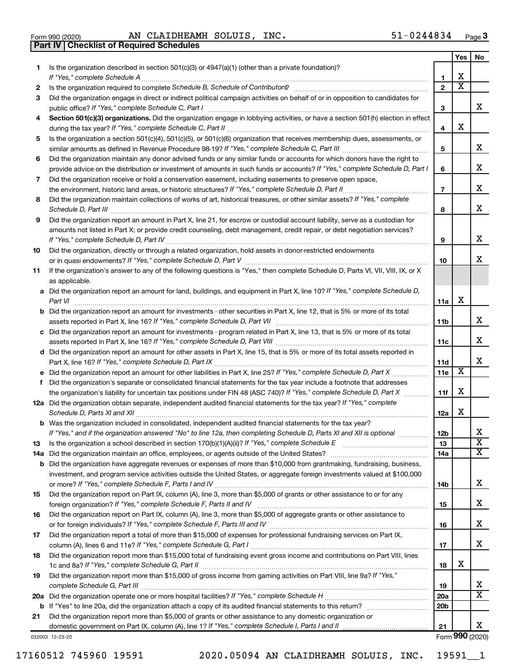|  | Form 990 (2020) |  |
|--|-----------------|--|

Form 990 (2020) Page AN CLAIDHEAMH SOLUIS, INC. 51-0244834 **Part IV Checklist of Required Schedules**

|     |                                                                                                                                       |                 | Yes                     | No                      |
|-----|---------------------------------------------------------------------------------------------------------------------------------------|-----------------|-------------------------|-------------------------|
| 1   | Is the organization described in section 501(c)(3) or 4947(a)(1) (other than a private foundation)?                                   |                 |                         |                         |
|     |                                                                                                                                       | 1               | X                       |                         |
| 2   |                                                                                                                                       | $\mathbf{2}$    | $\overline{\mathbf{X}}$ |                         |
| З   | Did the organization engage in direct or indirect political campaign activities on behalf of or in opposition to candidates for       | 3               |                         | x                       |
| 4   | Section 501(c)(3) organizations. Did the organization engage in lobbying activities, or have a section 501(h) election in effect      |                 |                         |                         |
|     |                                                                                                                                       | 4               | X                       |                         |
| 5   | Is the organization a section 501(c)(4), 501(c)(5), or 501(c)(6) organization that receives membership dues, assessments, or          |                 |                         |                         |
|     |                                                                                                                                       | 5               |                         | х                       |
| 6   | Did the organization maintain any donor advised funds or any similar funds or accounts for which donors have the right to             |                 |                         |                         |
|     | provide advice on the distribution or investment of amounts in such funds or accounts? If "Yes," complete Schedule D, Part I          | 6               |                         | х                       |
| 7   | Did the organization receive or hold a conservation easement, including easements to preserve open space,                             |                 |                         |                         |
|     |                                                                                                                                       | $\overline{7}$  |                         | х                       |
| 8   | Did the organization maintain collections of works of art, historical treasures, or other similar assets? If "Yes," complete          |                 |                         |                         |
|     |                                                                                                                                       | 8               |                         | х                       |
| 9   | Did the organization report an amount in Part X, line 21, for escrow or custodial account liability, serve as a custodian for         |                 |                         |                         |
|     | amounts not listed in Part X; or provide credit counseling, debt management, credit repair, or debt negotiation services?             |                 |                         |                         |
|     |                                                                                                                                       | 9               |                         | х                       |
| 10  | Did the organization, directly or through a related organization, hold assets in donor-restricted endowments                          |                 |                         |                         |
|     |                                                                                                                                       | 10              |                         | х                       |
| 11  | If the organization's answer to any of the following questions is "Yes," then complete Schedule D, Parts VI, VII, VIII, IX, or X      |                 |                         |                         |
|     | as applicable.                                                                                                                        |                 |                         |                         |
|     | a Did the organization report an amount for land, buildings, and equipment in Part X, line 10? If "Yes," complete Schedule D,         |                 |                         |                         |
|     |                                                                                                                                       | 11a             | X                       |                         |
|     | <b>b</b> Did the organization report an amount for investments - other securities in Part X, line 12, that is 5% or more of its total |                 |                         |                         |
|     |                                                                                                                                       | 11 <sub>b</sub> |                         | х                       |
|     | c Did the organization report an amount for investments - program related in Part X, line 13, that is 5% or more of its total         |                 |                         | x                       |
|     |                                                                                                                                       | 11c             |                         |                         |
|     | d Did the organization report an amount for other assets in Part X, line 15, that is 5% or more of its total assets reported in       |                 |                         | х                       |
|     |                                                                                                                                       | 11d<br>11e      | х                       |                         |
|     | f Did the organization's separate or consolidated financial statements for the tax year include a footnote that addresses             |                 |                         |                         |
|     | the organization's liability for uncertain tax positions under FIN 48 (ASC 740)? If "Yes," complete Schedule D, Part X                | 11f             | X                       |                         |
|     | 12a Did the organization obtain separate, independent audited financial statements for the tax year? If "Yes," complete               |                 |                         |                         |
|     |                                                                                                                                       | 12a             | X                       |                         |
|     | <b>b</b> Was the organization included in consolidated, independent audited financial statements for the tax year?                    |                 |                         |                         |
|     | If "Yes," and if the organization answered "No" to line 12a, then completing Schedule D, Parts XI and XII is optional                 | 12 <sub>b</sub> |                         | х                       |
| 13  |                                                                                                                                       | 13              |                         | $\overline{\mathbf{X}}$ |
| 14a |                                                                                                                                       | 14a             |                         | $\overline{\text{X}}$   |
|     | <b>b</b> Did the organization have aggregate revenues or expenses of more than \$10,000 from grantmaking, fundraising, business,      |                 |                         |                         |
|     | investment, and program service activities outside the United States, or aggregate foreign investments valued at \$100,000            |                 |                         |                         |
|     |                                                                                                                                       | 14b             |                         | х                       |
| 15  | Did the organization report on Part IX, column (A), line 3, more than \$5,000 of grants or other assistance to or for any             |                 |                         |                         |
|     |                                                                                                                                       | 15              |                         | х                       |
| 16  | Did the organization report on Part IX, column (A), line 3, more than \$5,000 of aggregate grants or other assistance to              |                 |                         |                         |
|     |                                                                                                                                       | 16              |                         | х                       |
| 17  | Did the organization report a total of more than \$15,000 of expenses for professional fundraising services on Part IX,               |                 |                         |                         |
|     |                                                                                                                                       | 17              |                         | x                       |
| 18  | Did the organization report more than \$15,000 total of fundraising event gross income and contributions on Part VIII, lines          | 18              | х                       |                         |
| 19  | Did the organization report more than \$15,000 of gross income from gaming activities on Part VIII, line 9a? If "Yes,"                |                 |                         |                         |
|     |                                                                                                                                       | 19              |                         | x                       |
|     |                                                                                                                                       | <b>20a</b>      |                         | $\overline{\mathtt{x}}$ |
| b   |                                                                                                                                       | 20 <sub>b</sub> |                         |                         |
| 21  | Did the organization report more than \$5,000 of grants or other assistance to any domestic organization or                           |                 |                         |                         |
|     |                                                                                                                                       | 21              |                         | x.                      |
|     | 032003 12-23-20                                                                                                                       |                 |                         | Form 990 (2020)         |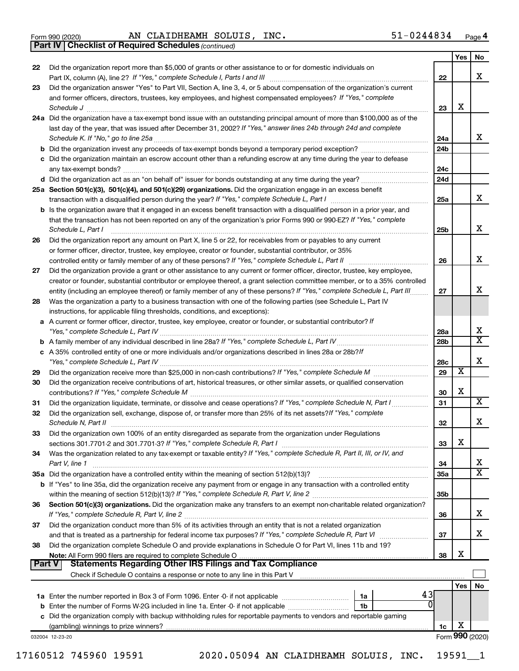|  | Form 990 (2020) |
|--|-----------------|
|  |                 |

Form 990 (2020) Page AN CLAIDHEAMH SOLUIS, INC. 51-0244834

*(continued)* **Part IV Checklist of Required Schedules**

|               |                                                                                                                                                                                                                                        |                 | Yes                     | <b>NO</b>               |
|---------------|----------------------------------------------------------------------------------------------------------------------------------------------------------------------------------------------------------------------------------------|-----------------|-------------------------|-------------------------|
| 22            | Did the organization report more than \$5,000 of grants or other assistance to or for domestic individuals on                                                                                                                          |                 |                         |                         |
|               |                                                                                                                                                                                                                                        | 22              |                         | x                       |
| 23            | Did the organization answer "Yes" to Part VII, Section A, line 3, 4, or 5 about compensation of the organization's current                                                                                                             |                 |                         |                         |
|               | and former officers, directors, trustees, key employees, and highest compensated employees? If "Yes," complete                                                                                                                         |                 |                         |                         |
|               |                                                                                                                                                                                                                                        | 23              | x                       |                         |
|               | 24a Did the organization have a tax-exempt bond issue with an outstanding principal amount of more than \$100,000 as of the                                                                                                            |                 |                         |                         |
|               | last day of the year, that was issued after December 31, 2002? If "Yes," answer lines 24b through 24d and complete                                                                                                                     |                 |                         | x                       |
|               |                                                                                                                                                                                                                                        | 24a             |                         |                         |
|               | c Did the organization maintain an escrow account other than a refunding escrow at any time during the year to defease                                                                                                                 | 24b             |                         |                         |
|               |                                                                                                                                                                                                                                        | 24c             |                         |                         |
|               |                                                                                                                                                                                                                                        | 24d             |                         |                         |
|               | 25a Section 501(c)(3), 501(c)(4), and 501(c)(29) organizations. Did the organization engage in an excess benefit                                                                                                                       |                 |                         |                         |
|               |                                                                                                                                                                                                                                        | 25a             |                         | x                       |
|               | b Is the organization aware that it engaged in an excess benefit transaction with a disqualified person in a prior year, and                                                                                                           |                 |                         |                         |
|               | that the transaction has not been reported on any of the organization's prior Forms 990 or 990-EZ? If "Yes," complete                                                                                                                  |                 |                         |                         |
|               | Schedule L, Part I                                                                                                                                                                                                                     | 25 <sub>b</sub> |                         | х                       |
| 26            | Did the organization report any amount on Part X, line 5 or 22, for receivables from or payables to any current                                                                                                                        |                 |                         |                         |
|               | or former officer, director, trustee, key employee, creator or founder, substantial contributor, or 35%                                                                                                                                |                 |                         |                         |
|               | controlled entity or family member of any of these persons? If "Yes," complete Schedule L, Part II                                                                                                                                     | 26              |                         | x                       |
| 27            | Did the organization provide a grant or other assistance to any current or former officer, director, trustee, key employee,                                                                                                            |                 |                         |                         |
|               | creator or founder, substantial contributor or employee thereof, a grant selection committee member, or to a 35% controlled                                                                                                            |                 |                         |                         |
|               | entity (including an employee thereof) or family member of any of these persons? If "Yes," complete Schedule L, Part III                                                                                                               | 27              |                         | x                       |
| 28            | Was the organization a party to a business transaction with one of the following parties (see Schedule L, Part IV                                                                                                                      |                 |                         |                         |
|               | instructions, for applicable filing thresholds, conditions, and exceptions):                                                                                                                                                           |                 |                         |                         |
|               | a A current or former officer, director, trustee, key employee, creator or founder, or substantial contributor? If                                                                                                                     |                 |                         |                         |
|               |                                                                                                                                                                                                                                        | 28a             |                         | х                       |
|               |                                                                                                                                                                                                                                        | 28 <sub>b</sub> |                         | $\overline{\textbf{X}}$ |
|               | c A 35% controlled entity of one or more individuals and/or organizations described in lines 28a or 28b?If                                                                                                                             |                 |                         |                         |
|               |                                                                                                                                                                                                                                        | 28c             | $\overline{\textbf{x}}$ | X                       |
| 29            |                                                                                                                                                                                                                                        | 29              |                         |                         |
| 30            | Did the organization receive contributions of art, historical treasures, or other similar assets, or qualified conservation                                                                                                            |                 | х                       |                         |
|               |                                                                                                                                                                                                                                        | 30<br>31        |                         | х                       |
| 31<br>32      | Did the organization liquidate, terminate, or dissolve and cease operations? If "Yes," complete Schedule N, Part I<br>Did the organization sell, exchange, dispose of, or transfer more than 25% of its net assets? If "Yes," complete |                 |                         |                         |
|               | Schedule N, Part II                                                                                                                                                                                                                    | 32              |                         | X                       |
| 33            | Did the organization own 100% of an entity disregarded as separate from the organization under Regulations                                                                                                                             |                 |                         |                         |
|               |                                                                                                                                                                                                                                        | 33              | х                       |                         |
| 34            | Was the organization related to any tax-exempt or taxable entity? If "Yes," complete Schedule R, Part II, III, or IV, and                                                                                                              |                 |                         |                         |
|               | Part V, line 1                                                                                                                                                                                                                         | 34              |                         | х                       |
|               | 35a Did the organization have a controlled entity within the meaning of section 512(b)(13)?                                                                                                                                            | 35a             |                         | $\overline{\textbf{X}}$ |
|               | <b>b</b> If "Yes" to line 35a, did the organization receive any payment from or engage in any transaction with a controlled entity                                                                                                     |                 |                         |                         |
|               |                                                                                                                                                                                                                                        | 35b             |                         |                         |
| 36            | Section 501(c)(3) organizations. Did the organization make any transfers to an exempt non-charitable related organization?                                                                                                             |                 |                         |                         |
|               |                                                                                                                                                                                                                                        | 36              |                         | х                       |
| 37            | Did the organization conduct more than 5% of its activities through an entity that is not a related organization                                                                                                                       |                 |                         |                         |
|               | and that is treated as a partnership for federal income tax purposes? If "Yes," complete Schedule R, Part VI                                                                                                                           | 37              |                         | х                       |
| 38            | Did the organization complete Schedule O and provide explanations in Schedule O for Part VI, lines 11b and 19?                                                                                                                         |                 |                         |                         |
|               | Note: All Form 990 filers are required to complete Schedule O                                                                                                                                                                          | 38              | х                       |                         |
| <b>Part V</b> | <b>Statements Regarding Other IRS Filings and Tax Compliance</b>                                                                                                                                                                       |                 |                         |                         |
|               | Check if Schedule O contains a response or note to any line in this Part V                                                                                                                                                             |                 |                         |                         |
|               |                                                                                                                                                                                                                                        |                 | Yes                     | No                      |
|               | 43<br><b>1a</b> Enter the number reported in Box 3 of Form 1096. Enter -0- if not applicable <i>manumumumum</i><br>1a                                                                                                                  |                 |                         |                         |
| b             | Enter the number of Forms W-2G included in line 1a. Enter -0- if not applicable<br>1b                                                                                                                                                  |                 |                         |                         |
|               | c Did the organization comply with backup withholding rules for reportable payments to vendors and reportable gaming                                                                                                                   |                 | х                       |                         |
|               | (gambling) winnings to prize winners?                                                                                                                                                                                                  | 1c              |                         | Form 990 (2020)         |
|               | 032004 12-23-20                                                                                                                                                                                                                        |                 |                         |                         |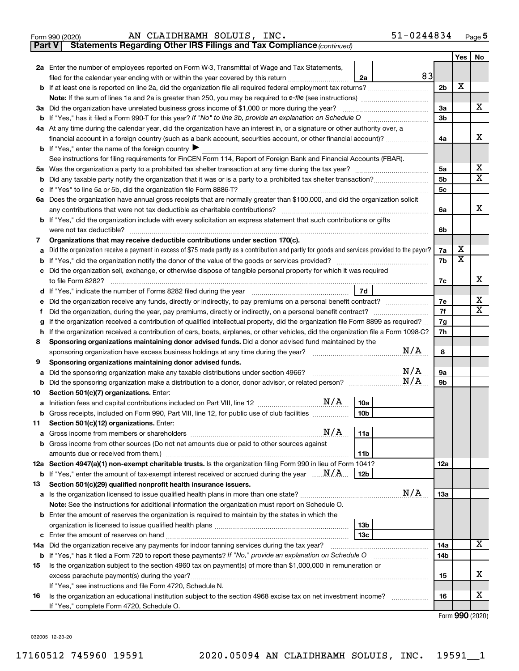| 020) | AN CLAIDHEAM |
|------|--------------|
|      |              |

**Part V Statements Regarding Other IRS Filings and Tax Compliance**

 $\frac{1}{100}$  Form 990 (2020) AN CLAIDHEAMH SOLUIS, INC. AN CLAIDHEAMH SOLUIS, INC. 51-0244834

*(continued)*

|    |                                                                                                                                                 |                | Yes | No                           |
|----|-------------------------------------------------------------------------------------------------------------------------------------------------|----------------|-----|------------------------------|
|    | 2a Enter the number of employees reported on Form W-3, Transmittal of Wage and Tax Statements,                                                  |                |     |                              |
|    | 83<br>filed for the calendar year ending with or within the year covered by this return <i>[[[[[[[[[[[[[[[]]]]</i> ]]<br>2a                     |                |     |                              |
|    | <b>b</b> If at least one is reported on line 2a, did the organization file all required federal employment tax returns?                         | 2 <sub>b</sub> | х   |                              |
|    |                                                                                                                                                 |                |     |                              |
|    | 3a Did the organization have unrelated business gross income of \$1,000 or more during the year?                                                | 3a             |     | х                            |
|    |                                                                                                                                                 | 3b             |     |                              |
|    | 4a At any time during the calendar year, did the organization have an interest in, or a signature or other authority over, a                    |                |     |                              |
|    | financial account in a foreign country (such as a bank account, securities account, or other financial account)?                                | 4a             |     | х                            |
|    | <b>b</b> If "Yes," enter the name of the foreign country $\blacktriangleright$                                                                  |                |     |                              |
|    | See instructions for filing requirements for FinCEN Form 114, Report of Foreign Bank and Financial Accounts (FBAR).                             |                |     |                              |
|    |                                                                                                                                                 | 5a             |     | x<br>$\overline{\mathbf{X}}$ |
|    |                                                                                                                                                 | 5b             |     |                              |
|    |                                                                                                                                                 | 5 <sub>c</sub> |     |                              |
|    | 6a Does the organization have annual gross receipts that are normally greater than \$100,000, and did the organization solicit                  | 6a             |     | х                            |
|    | <b>b</b> If "Yes," did the organization include with every solicitation an express statement that such contributions or gifts                   |                |     |                              |
|    |                                                                                                                                                 | 6b             |     |                              |
| 7  | Organizations that may receive deductible contributions under section 170(c).                                                                   |                |     |                              |
| a  | Did the organization receive a payment in excess of \$75 made partly as a contribution and partly for goods and services provided to the payor? | 7a             | х   |                              |
| b  |                                                                                                                                                 | 7b             | X   |                              |
|    | c Did the organization sell, exchange, or otherwise dispose of tangible personal property for which it was required                             |                |     |                              |
|    |                                                                                                                                                 | 7c             |     | х                            |
|    | 7d                                                                                                                                              |                |     |                              |
| е  | Did the organization receive any funds, directly or indirectly, to pay premiums on a personal benefit contract?                                 | 7e             |     | х                            |
| f  | Did the organization, during the year, pay premiums, directly or indirectly, on a personal benefit contract?                                    | 7f             |     | X                            |
| g  | If the organization received a contribution of qualified intellectual property, did the organization file Form 8899 as required?                | 7g             |     |                              |
| h  | If the organization received a contribution of cars, boats, airplanes, or other vehicles, did the organization file a Form 1098-C?              | 7h             |     |                              |
| 8  | Sponsoring organizations maintaining donor advised funds. Did a donor advised fund maintained by the                                            |                |     |                              |
|    | N/A<br>sponsoring organization have excess business holdings at any time during the year? [111] success contains the vear?                      | 8              |     |                              |
| 9  | Sponsoring organizations maintaining donor advised funds.                                                                                       |                |     |                              |
| a  | N/A<br>Did the sponsoring organization make any taxable distributions under section 4966?                                                       | 9а             |     |                              |
|    | N/A                                                                                                                                             | 9b             |     |                              |
| 10 | Section 501(c)(7) organizations. Enter:                                                                                                         |                |     |                              |
|    | 10a<br>10 <sub>b</sub>                                                                                                                          |                |     |                              |
|    | b Gross receipts, included on Form 990, Part VIII, line 12, for public use of club facilities                                                   |                |     |                              |
|    | 11 Section 501(c)(12) organizations. Enter:                                                                                                     |                |     |                              |
|    | b Gross income from other sources (Do not net amounts due or paid to other sources against                                                      |                |     |                              |
|    | 11b                                                                                                                                             |                |     |                              |
|    | 12a Section 4947(a)(1) non-exempt charitable trusts. Is the organization filing Form 990 in lieu of Form 1041?                                  | 12a            |     |                              |
|    | <b>b</b> If "Yes," enter the amount of tax-exempt interest received or accrued during the year $\ldots \mathbf{N}/\mathbf{A}$<br>12b            |                |     |                              |
| 13 | Section 501(c)(29) qualified nonprofit health insurance issuers.                                                                                |                |     |                              |
|    | N/A<br>a Is the organization licensed to issue qualified health plans in more than one state?                                                   | 13a            |     |                              |
|    | Note: See the instructions for additional information the organization must report on Schedule O.                                               |                |     |                              |
|    | <b>b</b> Enter the amount of reserves the organization is required to maintain by the states in which the                                       |                |     |                              |
|    | 13 <sub>b</sub>                                                                                                                                 |                |     |                              |
|    | 13 <sub>c</sub>                                                                                                                                 |                |     |                              |
|    | 14a Did the organization receive any payments for indoor tanning services during the tax year?                                                  | 14a            |     | x                            |
|    | <b>b</b> If "Yes," has it filed a Form 720 to report these payments? If "No," provide an explanation on Schedule O                              | 14b            |     |                              |
| 15 | Is the organization subject to the section 4960 tax on payment(s) of more than \$1,000,000 in remuneration or                                   |                |     |                              |
|    | excess parachute payment(s) during the year?                                                                                                    | 15             |     | x                            |
|    | If "Yes," see instructions and file Form 4720, Schedule N.                                                                                      |                |     |                              |
| 16 | Is the organization an educational institution subject to the section 4968 excise tax on net investment income?                                 | 16             |     | x                            |
|    | If "Yes," complete Form 4720, Schedule O.                                                                                                       |                |     |                              |

Form (2020) **990**

032005 12-23-20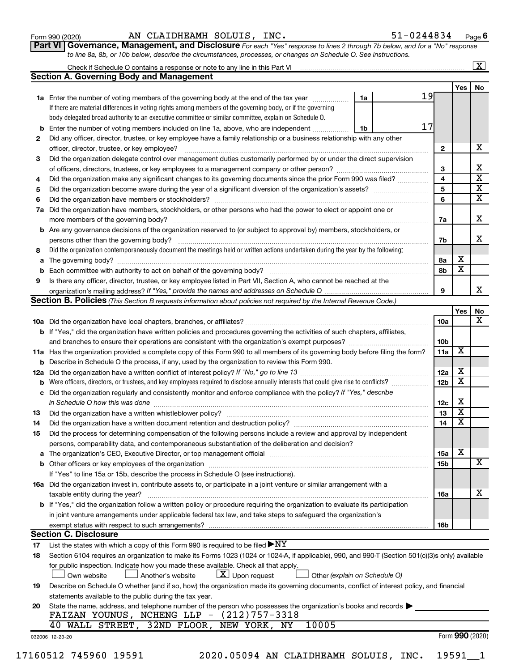| Form 990 (2020) |  |  |  |
|-----------------|--|--|--|
|-----------------|--|--|--|

#### Form 990 (2020) Page AN CLAIDHEAMH SOLUIS, INC. 51-0244834

**Part VI** Governance, Management, and Disclosure For each "Yes" response to lines 2 through 7b below, and for a "No" response *to line 8a, 8b, or 10b below, describe the circumstances, processes, or changes on Schedule O. See instructions.*

|     |                                                                                                                                                                                                                                |    |  |    |                 |                         | $\mathbf{X}$            |
|-----|--------------------------------------------------------------------------------------------------------------------------------------------------------------------------------------------------------------------------------|----|--|----|-----------------|-------------------------|-------------------------|
|     | <b>Section A. Governing Body and Management</b>                                                                                                                                                                                |    |  |    |                 |                         |                         |
|     |                                                                                                                                                                                                                                |    |  |    |                 | Yes                     | No                      |
|     | <b>1a</b> Enter the number of voting members of the governing body at the end of the tax year                                                                                                                                  | 1a |  | 19 |                 |                         |                         |
|     | If there are material differences in voting rights among members of the governing body, or if the governing                                                                                                                    |    |  |    |                 |                         |                         |
|     | body delegated broad authority to an executive committee or similar committee, explain on Schedule O.                                                                                                                          |    |  |    |                 |                         |                         |
| b   | Enter the number of voting members included on line 1a, above, who are independent                                                                                                                                             | 1b |  | 17 |                 |                         |                         |
| 2   | Did any officer, director, trustee, or key employee have a family relationship or a business relationship with any other                                                                                                       |    |  |    |                 |                         |                         |
|     | officer, director, trustee, or key employee?                                                                                                                                                                                   |    |  |    | 2               |                         | х                       |
| 3   | Did the organization delegate control over management duties customarily performed by or under the direct supervision                                                                                                          |    |  |    |                 |                         |                         |
|     |                                                                                                                                                                                                                                |    |  |    | 3               |                         | x                       |
| 4   | Did the organization make any significant changes to its governing documents since the prior Form 990 was filed?                                                                                                               |    |  |    | 4               |                         | $\overline{\mathbf{x}}$ |
| 5   |                                                                                                                                                                                                                                |    |  |    | 5               |                         | $\overline{\textbf{X}}$ |
| 6   |                                                                                                                                                                                                                                |    |  |    | 6               |                         | $\overline{\textbf{X}}$ |
| 7a  | Did the organization have members, stockholders, or other persons who had the power to elect or appoint one or                                                                                                                 |    |  |    |                 |                         |                         |
|     |                                                                                                                                                                                                                                |    |  |    |                 |                         | х                       |
|     | <b>b</b> Are any governance decisions of the organization reserved to (or subject to approval by) members, stockholders, or                                                                                                    |    |  |    |                 |                         |                         |
|     | persons other than the governing body?                                                                                                                                                                                         |    |  |    | 7b              |                         | x                       |
| 8   | Did the organization contemporaneously document the meetings held or written actions undertaken during the year by the following:                                                                                              |    |  |    |                 |                         |                         |
| a   |                                                                                                                                                                                                                                |    |  |    | 8а              | х                       |                         |
| b   |                                                                                                                                                                                                                                |    |  |    | 8b              | x                       |                         |
| 9   | Is there any officer, director, trustee, or key employee listed in Part VII, Section A, who cannot be reached at the                                                                                                           |    |  |    |                 |                         |                         |
|     |                                                                                                                                                                                                                                |    |  |    | 9               |                         | x.                      |
|     | <b>Section B. Policies</b> (This Section B requests information about policies not required by the Internal Revenue Code.)                                                                                                     |    |  |    |                 |                         |                         |
|     |                                                                                                                                                                                                                                |    |  |    |                 | Yes                     | No                      |
|     |                                                                                                                                                                                                                                |    |  |    | 10a             |                         | x                       |
|     | <b>b</b> If "Yes," did the organization have written policies and procedures governing the activities of such chapters, affiliates,                                                                                            |    |  |    |                 |                         |                         |
|     | and branches to ensure their operations are consistent with the organization's exempt purposes? www.www.www.www.                                                                                                               |    |  |    | 10 <sub>b</sub> |                         |                         |
|     | 11a Has the organization provided a complete copy of this Form 990 to all members of its governing body before filing the form?                                                                                                |    |  |    | 11a             | X                       |                         |
| b   | Describe in Schedule O the process, if any, used by the organization to review this Form 990.                                                                                                                                  |    |  |    |                 |                         |                         |
| 12a |                                                                                                                                                                                                                                |    |  |    | 12a             | х                       |                         |
| b   | Were officers, directors, or trustees, and key employees required to disclose annually interests that could give rise to conflicts?                                                                                            |    |  |    | 12 <sub>b</sub> | $\overline{\textbf{x}}$ |                         |
| с   | Did the organization regularly and consistently monitor and enforce compliance with the policy? If "Yes," describe                                                                                                             |    |  |    |                 |                         |                         |
|     | in Schedule O how this was done                                                                                                                                                                                                |    |  |    | 12c             | х                       |                         |
| 13  | Did the organization have a written whistleblower policy?                                                                                                                                                                      |    |  |    | 13              | x                       |                         |
| 14  |                                                                                                                                                                                                                                |    |  |    | 14              | x                       |                         |
| 15  | Did the process for determining compensation of the following persons include a review and approval by independent                                                                                                             |    |  |    |                 |                         |                         |
|     | persons, comparability data, and contemporaneous substantiation of the deliberation and decision?                                                                                                                              |    |  |    |                 |                         |                         |
| а   | The organization's CEO, Executive Director, or top management official manufactured content of the organization's CEO, Executive Director, or top management official manufactured content of the state of the state of the st |    |  |    | 15a             | х                       |                         |
| b   |                                                                                                                                                                                                                                |    |  |    | 15b             |                         | X                       |
|     | If "Yes" to line 15a or 15b, describe the process in Schedule O (see instructions).                                                                                                                                            |    |  |    |                 |                         |                         |
|     | 16a Did the organization invest in, contribute assets to, or participate in a joint venture or similar arrangement with a                                                                                                      |    |  |    |                 |                         |                         |
|     | taxable entity during the year?                                                                                                                                                                                                |    |  |    | 16a             |                         | х                       |
|     | b If "Yes," did the organization follow a written policy or procedure requiring the organization to evaluate its participation                                                                                                 |    |  |    |                 |                         |                         |
|     | in joint venture arrangements under applicable federal tax law, and take steps to safequard the organization's                                                                                                                 |    |  |    |                 |                         |                         |
|     | exempt status with respect to such arrangements?<br><b>Section C. Disclosure</b>                                                                                                                                               |    |  |    | 16b             |                         |                         |
| 17  | List the states with which a copy of this Form 990 is required to be filed $\blacktriangleright\text{NY}$                                                                                                                      |    |  |    |                 |                         |                         |
| 18  | Section 6104 requires an organization to make its Forms 1023 (1024 or 1024-A, if applicable), 990, and 990-T (Section 501(c)(3)s only) available                                                                               |    |  |    |                 |                         |                         |
|     | for public inspection. Indicate how you made these available. Check all that apply.                                                                                                                                            |    |  |    |                 |                         |                         |
|     | $\lfloor \underline{X} \rfloor$ Upon request<br>Own website<br>Another's website<br>Other (explain on Schedule O)                                                                                                              |    |  |    |                 |                         |                         |
| 19  | Describe on Schedule O whether (and if so, how) the organization made its governing documents, conflict of interest policy, and financial                                                                                      |    |  |    |                 |                         |                         |
|     | statements available to the public during the tax year.                                                                                                                                                                        |    |  |    |                 |                         |                         |
| 20  | State the name, address, and telephone number of the person who possesses the organization's books and records                                                                                                                 |    |  |    |                 |                         |                         |
|     | FAIZAN YOUNUS, NCHENG LLP - $(212)757-3318$                                                                                                                                                                                    |    |  |    |                 |                         |                         |
|     | 40 WALL STREET, 32ND FLOOR,<br>10005<br>NEW YORK, NY                                                                                                                                                                           |    |  |    |                 |                         |                         |
|     | 032006 12-23-20                                                                                                                                                                                                                |    |  |    |                 |                         | Form 990 (2020)         |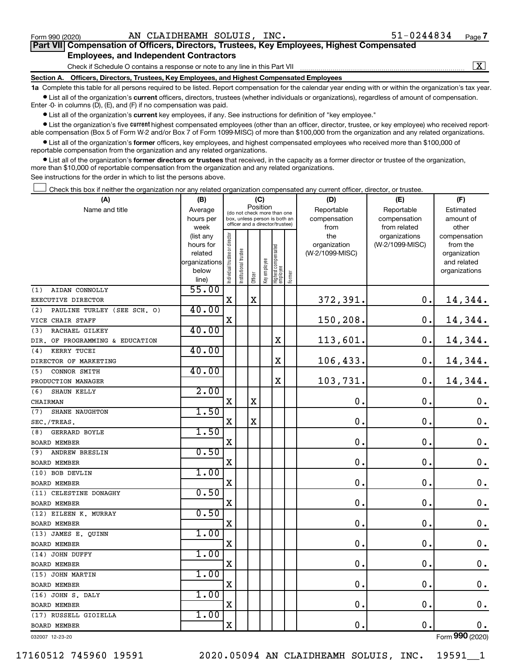| Part VII Compensation of Officers, Directors, Trustees, Key Employees, Highest Compensated |  |  |
|--------------------------------------------------------------------------------------------|--|--|
| <b>Employees, and Independent Contractors</b>                                              |  |  |

Check if Schedule O contains a response or note to any line in this Part VII

 $\boxed{\text{X}}$ 

**Section A. Officers, Directors, Trustees, Key Employees, and Highest Compensated Employees**

**1a**  Complete this table for all persons required to be listed. Report compensation for the calendar year ending with or within the organization's tax year.  $\bullet$  List all of the organization's current officers, directors, trustees (whether individuals or organizations), regardless of amount of compensation.

Enter -0- in columns (D), (E), and (F) if no compensation was paid.

**•** List all of the organization's current key employees, if any. See instructions for definition of "key employee."

**•** List the organization's five *current* highest compensated employees (other than an officer, director, trustee, or key employee) who received reportable compensation (Box 5 of Form W-2 and/or Box 7 of Form 1099-MISC) of more than \$100,000 from the organization and any related organizations.

 $\bullet$  List all of the organization's former officers, key employees, and highest compensated employees who received more than \$100,000 of reportable compensation from the organization and any related organizations.

**•** List all of the organization's former directors or trustees that received, in the capacity as a former director or trustee of the organization, more than \$10,000 of reportable compensation from the organization and any related organizations.

See instructions for the order in which to list the persons above.

Check this box if neither the organization nor any related organization compensated any current officer, director, or trustee.  $\Box$ 

| (A)                                | (B)                    |                                |                                                                  | (C)         |              |                                   |        | (D)                 | (E)                              | (F)                      |
|------------------------------------|------------------------|--------------------------------|------------------------------------------------------------------|-------------|--------------|-----------------------------------|--------|---------------------|----------------------------------|--------------------------|
| Name and title                     | Average                |                                | (do not check more than one                                      | Position    |              |                                   |        | Reportable          | Reportable                       | Estimated                |
|                                    | hours per              |                                | box, unless person is both an<br>officer and a director/trustee) |             |              |                                   |        | compensation        | compensation                     | amount of                |
|                                    | week                   |                                |                                                                  |             |              |                                   |        | from                | from related                     | other                    |
|                                    | (list any<br>hours for |                                |                                                                  |             |              |                                   |        | the<br>organization | organizations<br>(W-2/1099-MISC) | compensation<br>from the |
|                                    | related                |                                |                                                                  |             |              |                                   |        | (W-2/1099-MISC)     |                                  | organization             |
|                                    | organizations          |                                | trustee                                                          |             |              |                                   |        |                     |                                  | and related              |
|                                    | below                  |                                |                                                                  |             | Key employee |                                   |        |                     |                                  | organizations            |
|                                    | line)                  | Individual trustee or director | Institutional t                                                  | Officer     |              | Highest compensated<br>  employee | Former |                     |                                  |                          |
| AIDAN CONNOLLY<br>(1)              | 55.00                  |                                |                                                                  |             |              |                                   |        |                     |                                  |                          |
| EXECUTIVE DIRECTOR                 |                        | $\mathbf X$                    |                                                                  | $\mathbf X$ |              |                                   |        | 372,391.            | 0.                               | 14,344.                  |
| (2)<br>PAULINE TURLEY (SEE SCH. O) | 40.00                  |                                |                                                                  |             |              |                                   |        |                     |                                  |                          |
| VICE CHAIR STAFF                   |                        | $\mathbf x$                    |                                                                  |             |              |                                   |        | 150,208.            | 0.                               | 14,344.                  |
| RACHAEL GILKEY<br>(3)              | 40.00                  |                                |                                                                  |             |              |                                   |        |                     |                                  |                          |
| DIR. OF PROGRAMMING & EDUCATION    |                        |                                |                                                                  |             |              | X                                 |        | 113,601.            | 0.                               | 14,344.                  |
| KERRY TUCEI<br>(4)                 | 40.00                  |                                |                                                                  |             |              |                                   |        |                     |                                  |                          |
| DIRECTOR OF MARKETING              |                        |                                |                                                                  |             |              | X                                 |        | 106,433.            | 0.                               | 14,344.                  |
| CONNOR SMITH<br>(5)                | 40.00                  |                                |                                                                  |             |              |                                   |        |                     |                                  |                          |
| PRODUCTION MANAGER                 |                        |                                |                                                                  |             |              | $\mathbf X$                       |        | 103,731.            | 0.                               | 14,344.                  |
| (6)<br>SHAUN KELLY                 | 2.00                   |                                |                                                                  |             |              |                                   |        |                     |                                  |                          |
| CHAIRMAN                           |                        | $\mathbf X$                    |                                                                  | X           |              |                                   |        | $\mathbf 0$ .       | $\mathbf 0$ .                    | $\mathbf 0$ .            |
| <b>SHANE NAUGHTON</b><br>(7)       | 1.50                   |                                |                                                                  |             |              |                                   |        |                     |                                  |                          |
| SEC./TREAS.                        |                        | X                              |                                                                  | $\mathbf X$ |              |                                   |        | $\mathbf 0$ .       | 0.                               | $\mathbf 0$ .            |
| <b>GERRARD BOYLE</b><br>(8)        | 1.50                   |                                |                                                                  |             |              |                                   |        |                     |                                  |                          |
| <b>BOARD MEMBER</b>                |                        | X                              |                                                                  |             |              |                                   |        | $\mathbf 0$ .       | $\mathbf 0$ .                    | $\mathbf 0$ .            |
| ANDREW BRESLIN<br>(9)              | 0.50                   |                                |                                                                  |             |              |                                   |        |                     |                                  |                          |
| <b>BOARD MEMBER</b>                |                        | X                              |                                                                  |             |              |                                   |        | $\mathbf 0$ .       | $\mathbf 0$ .                    | $\mathbf 0$ .            |
| (10) BOB DEVLIN                    | 1.00                   |                                |                                                                  |             |              |                                   |        |                     |                                  |                          |
| <b>BOARD MEMBER</b>                |                        | X                              |                                                                  |             |              |                                   |        | $\mathbf 0$ .       | $\mathbf 0$                      | $\mathbf 0$ .            |
| (11) CELESTINE DONAGHY             | 0.50                   |                                |                                                                  |             |              |                                   |        |                     |                                  |                          |
| <b>BOARD MEMBER</b>                |                        | $\mathbf X$                    |                                                                  |             |              |                                   |        | $\mathbf 0$ .       | $\mathbf 0$                      | 0.                       |
| (12) EILEEN K. MURRAY              | 0.50                   |                                |                                                                  |             |              |                                   |        |                     |                                  |                          |
| <b>BOARD MEMBER</b>                |                        | $\mathbf X$                    |                                                                  |             |              |                                   |        | $\mathbf 0$ .       | $\mathbf 0$                      | $\mathbf 0$ .            |
| (13) JAMES E. QUINN                | 1.00                   |                                |                                                                  |             |              |                                   |        |                     |                                  |                          |
| <b>BOARD MEMBER</b>                |                        | $\mathbf X$                    |                                                                  |             |              |                                   |        | $\mathbf 0$ .       | $\mathbf 0$ .                    | $\boldsymbol{0}$ .       |
| (14) JOHN DUFFY                    | 1.00                   |                                |                                                                  |             |              |                                   |        |                     |                                  |                          |
| <b>BOARD MEMBER</b>                |                        | $\mathbf X$                    |                                                                  |             |              |                                   |        | $\mathbf 0$ .       | $\mathbf 0$ .                    | $\mathbf 0$ .            |
| (15) JOHN MARTIN                   | 1.00                   |                                |                                                                  |             |              |                                   |        |                     |                                  |                          |
| <b>BOARD MEMBER</b>                |                        | $\mathbf X$                    |                                                                  |             |              |                                   |        | $\mathbf 0$ .       | $\mathbf 0$ .                    | $\boldsymbol{0}$ .       |
| (16) JOHN S. DALY                  | 1.00                   |                                |                                                                  |             |              |                                   |        |                     |                                  |                          |
| <b>BOARD MEMBER</b>                |                        | $\mathbf X$                    |                                                                  |             |              |                                   |        | $\mathbf 0$ .       | $\mathbf 0$ .                    | $\mathbf 0$ .            |
| (17) RUSSELL GIOIELLA              | 1.00                   |                                |                                                                  |             |              |                                   |        |                     |                                  |                          |
| <b>BOARD MEMBER</b>                |                        | $\mathbf X$                    |                                                                  |             |              |                                   |        | $\mathbf 0$ .       | 0.                               | $\mathbf 0$ .            |

032007 12-23-20

Form (2020) **990**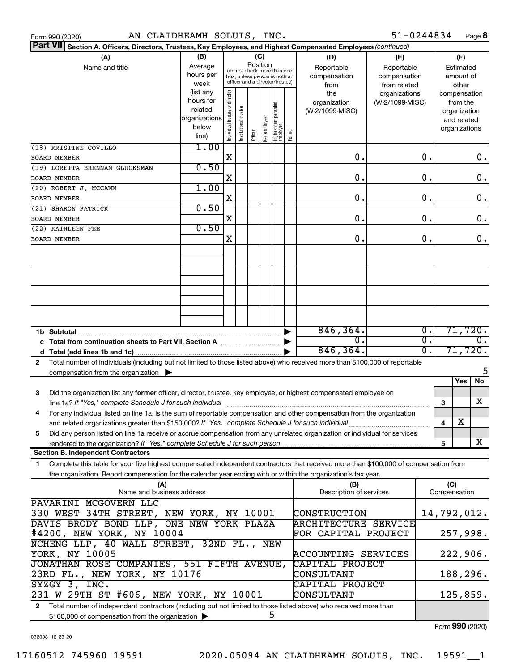|  | Form 990 (2020) |  |
|--|-----------------|--|
|  |                 |  |

| Part VII Section A. Officers, Directors, Trustees, Key Employees, and Highest Compensated Employees (continued)                                                                                                                                             |                                                                      |                                |                                                                                                 |                 |              |                                  |        |                                           |                                                   |                  |     |                                                                          |
|-------------------------------------------------------------------------------------------------------------------------------------------------------------------------------------------------------------------------------------------------------------|----------------------------------------------------------------------|--------------------------------|-------------------------------------------------------------------------------------------------|-----------------|--------------|----------------------------------|--------|-------------------------------------------|---------------------------------------------------|------------------|-----|--------------------------------------------------------------------------|
| (A)<br>Name and title                                                                                                                                                                                                                                       | (B)<br>Average<br>hours per<br>week                                  |                                | (do not check more than one<br>box, unless person is both an<br>officer and a director/trustee) | (C)<br>Position |              |                                  |        | (D)<br>Reportable<br>compensation<br>from | (E)<br>Reportable<br>compensation<br>from related |                  |     | (F)<br>Estimated<br>amount of<br>other                                   |
|                                                                                                                                                                                                                                                             | (list any<br>hours for<br>related<br>organizations<br>below<br>line) | Individual trustee or director | Institutional trustee                                                                           | Officer         | əə/oldwə Aəy | Highest compensated<br> employee | Former | the<br>organization<br>(W-2/1099-MISC)    | organizations<br>(W-2/1099-MISC)                  |                  |     | compensation<br>from the<br>organization<br>and related<br>organizations |
| (18) KRISTINE COVILLO<br><b>BOARD MEMBER</b>                                                                                                                                                                                                                | 1.00                                                                 | $\mathbf X$                    |                                                                                                 |                 |              |                                  |        | О.                                        |                                                   | 0.               |     | 0.                                                                       |
| (19) LORETTA BRENNAN GLUCKSMAN                                                                                                                                                                                                                              | 0.50                                                                 |                                |                                                                                                 |                 |              |                                  |        |                                           |                                                   |                  |     |                                                                          |
| <b>BOARD MEMBER</b>                                                                                                                                                                                                                                         |                                                                      | X                              |                                                                                                 |                 |              |                                  |        | О.                                        |                                                   | 0.               |     | $\mathbf 0$ .                                                            |
| (20) ROBERT J. MCCANN                                                                                                                                                                                                                                       | 1.00                                                                 |                                |                                                                                                 |                 |              |                                  |        |                                           |                                                   |                  |     |                                                                          |
| <b>BOARD MEMBER</b>                                                                                                                                                                                                                                         |                                                                      | X                              |                                                                                                 |                 |              |                                  |        | О.                                        |                                                   | 0.               |     | $\mathbf 0$ .                                                            |
| (21) SHARON PATRICK<br><b>BOARD MEMBER</b>                                                                                                                                                                                                                  | 0.50                                                                 | X                              |                                                                                                 |                 |              |                                  |        | О.                                        |                                                   | 0.               |     | $\mathbf 0$ .                                                            |
| (22) KATHLEEN FEE                                                                                                                                                                                                                                           | 0.50                                                                 |                                |                                                                                                 |                 |              |                                  |        |                                           |                                                   |                  |     |                                                                          |
| <b>BOARD MEMBER</b>                                                                                                                                                                                                                                         |                                                                      | X                              |                                                                                                 |                 |              |                                  |        | О.                                        |                                                   | 0.               |     | $\mathbf 0$ .                                                            |
|                                                                                                                                                                                                                                                             |                                                                      |                                |                                                                                                 |                 |              |                                  |        |                                           |                                                   |                  |     |                                                                          |
|                                                                                                                                                                                                                                                             |                                                                      |                                |                                                                                                 |                 |              |                                  |        |                                           |                                                   |                  |     |                                                                          |
|                                                                                                                                                                                                                                                             |                                                                      |                                |                                                                                                 |                 |              |                                  |        | 846, 364.                                 |                                                   | $\overline{0}$ . |     | 71,720.                                                                  |
| 1b Subtotal                                                                                                                                                                                                                                                 |                                                                      |                                |                                                                                                 |                 |              |                                  |        | О.                                        |                                                   | σ.               |     | $\overline{0}$ .                                                         |
|                                                                                                                                                                                                                                                             |                                                                      |                                |                                                                                                 |                 |              |                                  |        | 846, 364.                                 |                                                   | σ.               |     | 71,720.                                                                  |
| Total number of individuals (including but not limited to those listed above) who received more than \$100,000 of reportable<br>2                                                                                                                           |                                                                      |                                |                                                                                                 |                 |              |                                  |        |                                           |                                                   |                  |     |                                                                          |
| compensation from the organization $\blacktriangleright$                                                                                                                                                                                                    |                                                                      |                                |                                                                                                 |                 |              |                                  |        |                                           |                                                   |                  |     | 5                                                                        |
|                                                                                                                                                                                                                                                             |                                                                      |                                |                                                                                                 |                 |              |                                  |        |                                           |                                                   |                  |     | Yes<br>No                                                                |
| Did the organization list any former officer, director, trustee, key employee, or highest compensated employee on<br>3<br>line 1a? If "Yes," complete Schedule J for such individual                                                                        |                                                                      |                                |                                                                                                 |                 |              |                                  |        |                                           |                                                   |                  | 3   | x                                                                        |
| For any individual listed on line 1a, is the sum of reportable compensation and other compensation from the organization<br>4                                                                                                                               |                                                                      |                                |                                                                                                 |                 |              |                                  |        |                                           |                                                   |                  |     |                                                                          |
|                                                                                                                                                                                                                                                             |                                                                      |                                |                                                                                                 |                 |              |                                  |        |                                           |                                                   |                  | 4   | $\overline{\text{X}}$                                                    |
| Did any person listed on line 1a receive or accrue compensation from any unrelated organization or individual for services<br>5                                                                                                                             |                                                                      |                                |                                                                                                 |                 |              |                                  |        |                                           |                                                   |                  | 5   | x                                                                        |
| <b>Section B. Independent Contractors</b>                                                                                                                                                                                                                   |                                                                      |                                |                                                                                                 |                 |              |                                  |        |                                           |                                                   |                  |     |                                                                          |
| Complete this table for your five highest compensated independent contractors that received more than \$100,000 of compensation from<br>1<br>the organization. Report compensation for the calendar year ending with or within the organization's tax year. |                                                                      |                                |                                                                                                 |                 |              |                                  |        |                                           |                                                   |                  |     |                                                                          |
| (A)                                                                                                                                                                                                                                                         |                                                                      |                                |                                                                                                 |                 |              |                                  |        | (B)                                       |                                                   |                  | (C) |                                                                          |
| Name and business address                                                                                                                                                                                                                                   |                                                                      |                                |                                                                                                 |                 |              |                                  |        | Description of services                   |                                                   |                  |     | Compensation                                                             |
| PAVARINI MCGOVERN LLC<br>330 WEST 34TH STREET, NEW YORK, NY 10001                                                                                                                                                                                           |                                                                      |                                |                                                                                                 |                 |              |                                  |        | CONSTRUCTION                              |                                                   |                  |     | 14,792,012.                                                              |
| DAVIS BRODY BOND LLP, ONE NEW YORK PLAZA                                                                                                                                                                                                                    |                                                                      |                                |                                                                                                 |                 |              |                                  |        | <b>ARCHITECTURE SERVICE</b>               |                                                   |                  |     |                                                                          |
| #4200, NEW YORK, NY 10004                                                                                                                                                                                                                                   |                                                                      |                                |                                                                                                 |                 |              |                                  |        | FOR CAPITAL PROJECT                       |                                                   |                  |     | 257,998.                                                                 |
| NCHENG LLP, 40 WALL STREET, 32ND FL., NEW<br>YORK, NY 10005                                                                                                                                                                                                 |                                                                      |                                |                                                                                                 |                 |              |                                  |        | ACCOUNTING SERVICES                       |                                                   |                  |     | 222,906.                                                                 |
| JONATHAN ROSE COMPANIES, 551 FIFTH AVENUE,                                                                                                                                                                                                                  |                                                                      |                                |                                                                                                 |                 |              |                                  |        | CAPITAL PROJECT                           |                                                   |                  |     |                                                                          |
| 23RD FL., NEW YORK, NY 10176<br>SYZGY 3, INC.                                                                                                                                                                                                               |                                                                      |                                |                                                                                                 |                 |              |                                  |        | CONSULTANT<br>CAPITAL PROJECT             |                                                   |                  |     | 188,296.                                                                 |
| 231 W 29TH ST #606, NEW YORK, NY 10001                                                                                                                                                                                                                      |                                                                      |                                |                                                                                                 |                 |              |                                  |        | <b>CONSULTANT</b>                         |                                                   |                  |     | 125,859.                                                                 |
| 2 Total number of independent contractors (including but not limited to those listed above) who received more than                                                                                                                                          |                                                                      |                                |                                                                                                 |                 |              |                                  |        |                                           |                                                   |                  |     |                                                                          |

5

\$100,000 of compensation from the organization

Form (2020) **990**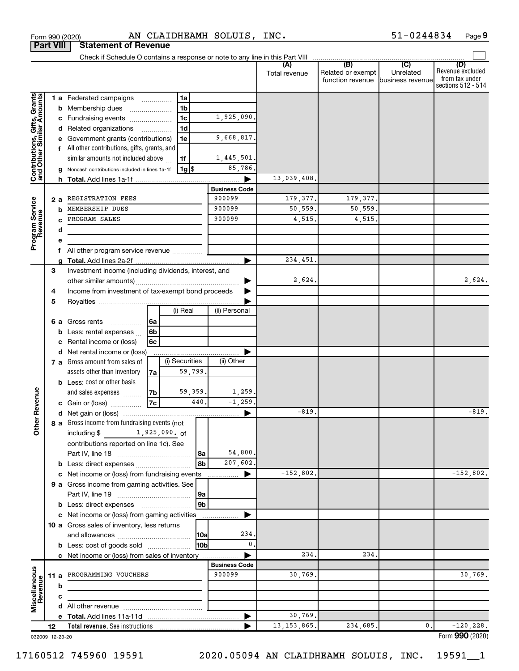|                                                           |      |    |                                                               |    |                 |                                | Total revenue | (B)<br>Related or exempt<br>function revenue | (C)<br>Unrelated<br>business revenue | (D)<br>Revenue excluded<br>from tax under<br>sections 512 - 514 |
|-----------------------------------------------------------|------|----|---------------------------------------------------------------|----|-----------------|--------------------------------|---------------|----------------------------------------------|--------------------------------------|-----------------------------------------------------------------|
|                                                           |      |    | <b>1 a</b> Federated campaigns                                |    | 1a              |                                |               |                                              |                                      |                                                                 |
| Contributions, Gifts, Grants<br>and Other Similar Amounts |      | b  | Membership dues                                               |    | 1 <sub>b</sub>  |                                |               |                                              |                                      |                                                                 |
|                                                           |      |    | c Fundraising events                                          |    | 1 <sub>c</sub>  | 1,925,090.                     |               |                                              |                                      |                                                                 |
|                                                           |      | d  | Related organizations                                         |    | 1 <sub>d</sub>  |                                |               |                                              |                                      |                                                                 |
|                                                           |      | е  | Government grants (contributions)                             |    | 1е              | 9,668,817.                     |               |                                              |                                      |                                                                 |
|                                                           |      |    | f All other contributions, gifts, grants, and                 |    |                 |                                |               |                                              |                                      |                                                                 |
|                                                           |      |    | similar amounts not included above                            |    | 1f              | 1,445,501.                     |               |                                              |                                      |                                                                 |
|                                                           |      | g  | Noncash contributions included in lines 1a-1f                 |    | 1g  \$          | 85,786.                        |               |                                              |                                      |                                                                 |
|                                                           |      |    |                                                               |    |                 |                                | 13,039,408.   |                                              |                                      |                                                                 |
|                                                           |      |    |                                                               |    |                 | <b>Business Code</b>           |               |                                              |                                      |                                                                 |
|                                                           |      | 2a | REGISTRATION FEES                                             |    |                 | 900099                         | 179, 377.     | 179, 377.                                    |                                      |                                                                 |
| Program Service<br>Revenue                                |      | b  | MEMBERSHIP DUES                                               |    |                 | 900099                         | 50,559.       | 50, 559.                                     |                                      |                                                                 |
|                                                           |      | C  | PROGRAM SALES                                                 |    |                 | 900099                         | 4,515.        | 4,515.                                       |                                      |                                                                 |
|                                                           |      | d  |                                                               |    |                 |                                |               |                                              |                                      |                                                                 |
|                                                           |      | е  |                                                               |    |                 |                                |               |                                              |                                      |                                                                 |
|                                                           |      | f  | All other program service revenue                             |    |                 |                                |               |                                              |                                      |                                                                 |
|                                                           |      | g  |                                                               |    |                 |                                | 234,451.      |                                              |                                      |                                                                 |
|                                                           | 3    |    | Investment income (including dividends, interest, and         |    |                 |                                |               |                                              |                                      |                                                                 |
|                                                           |      |    |                                                               |    |                 |                                | 2,624.        |                                              |                                      | 2,624.                                                          |
|                                                           | 4    |    | Income from investment of tax-exempt bond proceeds            |    |                 |                                |               |                                              |                                      |                                                                 |
|                                                           | 5    |    |                                                               |    | (i) Real        |                                |               |                                              |                                      |                                                                 |
|                                                           |      |    |                                                               |    |                 | (ii) Personal                  |               |                                              |                                      |                                                                 |
|                                                           |      |    | 6 a Gross rents                                               | 6a |                 |                                |               |                                              |                                      |                                                                 |
|                                                           |      | b  | Less: rental expenses                                         | 6b |                 |                                |               |                                              |                                      |                                                                 |
|                                                           |      | c  | Rental income or (loss)                                       | 6c |                 |                                |               |                                              |                                      |                                                                 |
|                                                           |      | d  | Net rental income or (loss)<br>7 a Gross amount from sales of |    | (i) Securities  | (ii) Other                     |               |                                              |                                      |                                                                 |
|                                                           |      |    | assets other than inventory                                   | 7a | 59,799.         |                                |               |                                              |                                      |                                                                 |
|                                                           |      |    | <b>b</b> Less: cost or other basis                            |    |                 |                                |               |                                              |                                      |                                                                 |
|                                                           |      |    | and sales expenses                                            | 7b | 59,359.         | 1,259.                         |               |                                              |                                      |                                                                 |
| ther Revenue                                              |      |    | c Gain or (loss)                                              | 7c | 440.            | $-1, 259.$                     |               |                                              |                                      |                                                                 |
|                                                           |      |    |                                                               |    |                 |                                | $-819.$       |                                              |                                      | $-819.$                                                         |
|                                                           |      |    | 8 a Gross income from fundraising events (not                 |    |                 |                                |               |                                              |                                      |                                                                 |
|                                                           |      |    | including \$1,925,090. of                                     |    |                 |                                |               |                                              |                                      |                                                                 |
|                                                           |      |    | contributions reported on line 1c). See                       |    |                 |                                |               |                                              |                                      |                                                                 |
|                                                           |      |    | Part IV, line 18                                              |    | 8a              | 54,800.                        |               |                                              |                                      |                                                                 |
|                                                           |      |    |                                                               |    | 8b              | 207,602.                       |               |                                              |                                      |                                                                 |
|                                                           |      | c  | Net income or (loss) from fundraising events                  |    |                 |                                | $-152,802.$   |                                              |                                      | $-152,802.$                                                     |
|                                                           |      |    | 9 a Gross income from gaming activities. See                  |    |                 |                                |               |                                              |                                      |                                                                 |
|                                                           |      |    |                                                               |    | 9a              |                                |               |                                              |                                      |                                                                 |
|                                                           |      |    |                                                               |    | 9b              |                                |               |                                              |                                      |                                                                 |
|                                                           |      |    | c Net income or (loss) from gaming activities                 |    |                 |                                |               |                                              |                                      |                                                                 |
|                                                           |      |    | 10 a Gross sales of inventory, less returns                   |    |                 |                                |               |                                              |                                      |                                                                 |
|                                                           |      |    |                                                               |    | 10a             | 234                            |               |                                              |                                      |                                                                 |
|                                                           |      |    | <b>b</b> Less: cost of goods sold                             |    | 10 <sub>b</sub> | 0.                             |               |                                              |                                      |                                                                 |
|                                                           |      |    | c Net income or (loss) from sales of inventory                |    |                 |                                | 234.          | 234.                                         |                                      |                                                                 |
|                                                           |      |    |                                                               |    |                 | <b>Business Code</b><br>900099 |               |                                              |                                      |                                                                 |
|                                                           | 11 a |    | PROGRAMMING VOUCHERS                                          |    |                 |                                | 30,769.       |                                              |                                      | 30,769.                                                         |
| Miscellaneous<br>Revenue                                  |      | b  |                                                               |    |                 |                                |               |                                              |                                      |                                                                 |
|                                                           |      | c  |                                                               |    |                 |                                |               |                                              |                                      |                                                                 |
|                                                           |      | d  |                                                               |    |                 |                                | 30,769.       |                                              |                                      |                                                                 |
|                                                           | 12   |    | Total revenue. See instructions                               |    |                 |                                | 13, 153, 865. | 234,685.                                     | 0.                                   | $-120, 228.$                                                    |
| 032009 12-23-20                                           |      |    |                                                               |    |                 |                                |               |                                              |                                      | Form 990 (2020)                                                 |

Form 990 (2020) Page AN CLAIDHEAMH SOLUIS, INC. 51-0244834

**Part VIII Statement of Revenue**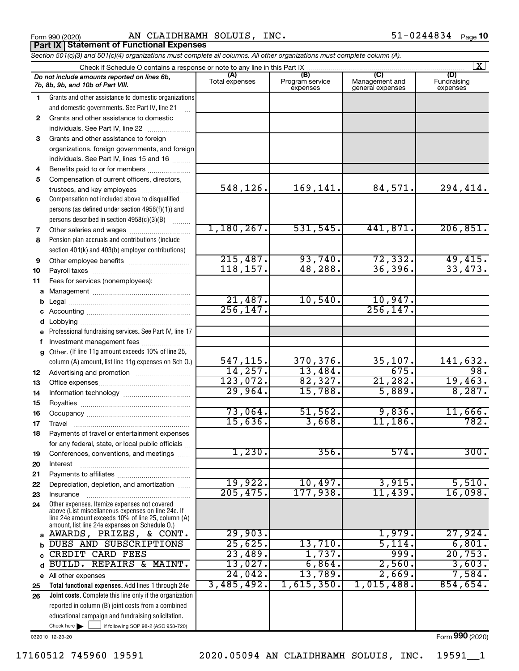Form 990 (2020) Page AN CLAIDHEAMH SOLUIS, INC. 51-0244834 **Part IX Statement of Functional Expenses**

*Section 501(c)(3) and 501(c)(4) organizations must complete all columns. All other organizations must complete column (A).*

|          | $\mathbf{X}$                                                                                         |                       |                                    |                                           |                                |  |  |  |  |  |
|----------|------------------------------------------------------------------------------------------------------|-----------------------|------------------------------------|-------------------------------------------|--------------------------------|--|--|--|--|--|
|          | Do not include amounts reported on lines 6b,<br>7b, 8b, 9b, and 10b of Part VIII.                    | (A)<br>Total expenses | (B)<br>Program service<br>expenses | (C)<br>Management and<br>general expenses | (D)<br>Fundraising<br>expenses |  |  |  |  |  |
| 1.       | Grants and other assistance to domestic organizations                                                |                       |                                    |                                           |                                |  |  |  |  |  |
|          | and domestic governments. See Part IV, line 21                                                       |                       |                                    |                                           |                                |  |  |  |  |  |
| 2        | Grants and other assistance to domestic                                                              |                       |                                    |                                           |                                |  |  |  |  |  |
|          | individuals. See Part IV, line 22                                                                    |                       |                                    |                                           |                                |  |  |  |  |  |
| 3        | Grants and other assistance to foreign                                                               |                       |                                    |                                           |                                |  |  |  |  |  |
|          | organizations, foreign governments, and foreign                                                      |                       |                                    |                                           |                                |  |  |  |  |  |
|          | individuals. See Part IV, lines 15 and 16                                                            |                       |                                    |                                           |                                |  |  |  |  |  |
| 4        | Benefits paid to or for members                                                                      |                       |                                    |                                           |                                |  |  |  |  |  |
| 5        | Compensation of current officers, directors,                                                         |                       |                                    |                                           |                                |  |  |  |  |  |
|          | trustees, and key employees                                                                          | 548,126.              | 169,141.                           | 84,571.                                   | 294,414.                       |  |  |  |  |  |
| 6        | Compensation not included above to disqualified                                                      |                       |                                    |                                           |                                |  |  |  |  |  |
|          | persons (as defined under section 4958(f)(1)) and                                                    |                       |                                    |                                           |                                |  |  |  |  |  |
|          | persons described in section 4958(c)(3)(B)                                                           |                       |                                    |                                           |                                |  |  |  |  |  |
| 7        | Other salaries and wages                                                                             | 1,180,267.            | 531,545.                           | 441,871.                                  | 206, 851.                      |  |  |  |  |  |
| 8        | Pension plan accruals and contributions (include                                                     |                       |                                    |                                           |                                |  |  |  |  |  |
|          | section 401(k) and 403(b) employer contributions)                                                    |                       |                                    |                                           |                                |  |  |  |  |  |
| 9        | Other employee benefits                                                                              | 215,487.              | 93,740.                            | 72,332.                                   | 49,415.                        |  |  |  |  |  |
| 10       |                                                                                                      | 118, 157.             | 48, 288.                           | 36, 396.                                  | 33,473.                        |  |  |  |  |  |
| 11       | Fees for services (nonemployees):                                                                    |                       |                                    |                                           |                                |  |  |  |  |  |
|          |                                                                                                      |                       |                                    |                                           |                                |  |  |  |  |  |
| b        |                                                                                                      | 21,487.               | 10,540.                            | 10,947.                                   |                                |  |  |  |  |  |
|          |                                                                                                      | 256, 147.             |                                    | 256, 147.                                 |                                |  |  |  |  |  |
| d        |                                                                                                      |                       |                                    |                                           |                                |  |  |  |  |  |
| e        | Professional fundraising services. See Part IV, line 17                                              |                       |                                    |                                           |                                |  |  |  |  |  |
| f        | Investment management fees                                                                           |                       |                                    |                                           |                                |  |  |  |  |  |
| g        | Other. (If line 11g amount exceeds 10% of line 25,                                                   |                       |                                    |                                           |                                |  |  |  |  |  |
|          | column (A) amount, list line 11g expenses on Sch O.)                                                 | 547,115.              | 370,376.                           | 35,107.                                   | 141,632.                       |  |  |  |  |  |
| 12       |                                                                                                      | 14, 257.              | 13,484.                            | 675.                                      | 98.                            |  |  |  |  |  |
| 13       |                                                                                                      | 123,072.              | 82,327.                            | 21,282.                                   | 19,463.                        |  |  |  |  |  |
| 14       |                                                                                                      | 29,964.               | 15,788.                            | 5,889.                                    | 8,287.                         |  |  |  |  |  |
| 15       |                                                                                                      |                       | 51,562.                            |                                           |                                |  |  |  |  |  |
| 16       |                                                                                                      | 73,064.<br>15,636.    |                                    | 9,836.                                    | 11,666.<br>782.                |  |  |  |  |  |
| 17       | Travel                                                                                               |                       | 3,668.                             | 11,186.                                   |                                |  |  |  |  |  |
| 18       | Payments of travel or entertainment expenses                                                         |                       |                                    |                                           |                                |  |  |  |  |  |
|          | for any federal, state, or local public officials                                                    | 1,230.                | 356.                               | 574.                                      | 300.                           |  |  |  |  |  |
| 19       | Conferences, conventions, and meetings                                                               |                       |                                    |                                           |                                |  |  |  |  |  |
| 20       | Interest                                                                                             |                       |                                    |                                           |                                |  |  |  |  |  |
| 21       | Depreciation, depletion, and amortization                                                            | 19,922.               | 10,497.                            | 3,915.                                    | 5,510.                         |  |  |  |  |  |
| 22       |                                                                                                      | 205, 475.             | 177,938.                           | 11,439.                                   | 16,098.                        |  |  |  |  |  |
| 23<br>24 | Insurance<br>Other expenses. Itemize expenses not covered                                            |                       |                                    |                                           |                                |  |  |  |  |  |
|          | above (List miscellaneous expenses on line 24e. If                                                   |                       |                                    |                                           |                                |  |  |  |  |  |
|          | line 24e amount exceeds 10% of line 25, column (A)<br>amount, list line 24e expenses on Schedule O.) |                       |                                    |                                           |                                |  |  |  |  |  |
|          | a AWARDS, PRIZES, & CONT.                                                                            | 29,903.               |                                    | 1,979.                                    | 27,924.                        |  |  |  |  |  |
| b        | DUES AND SUBSCRIPTIONS                                                                               | 25,625.               | 13,710.                            | 5,114.                                    | 6,801.                         |  |  |  |  |  |
| C        | CREDIT CARD FEES                                                                                     | 23,489.               | 1,737.                             | 999.                                      | 20,753.                        |  |  |  |  |  |
| d        | BUILD. REPAIRS & MAINT.                                                                              | 13,027.               | 6,864.                             | 2,560.                                    | 3,603.                         |  |  |  |  |  |
|          | e All other expenses                                                                                 | 24,042.               | 13,789.                            | 2,669.                                    | 7,584.                         |  |  |  |  |  |
| 25       | Total functional expenses. Add lines 1 through 24e                                                   | 3,485,492.            | 1,615,350.                         | 1,015,488.                                | 854,654.                       |  |  |  |  |  |
| 26       | <b>Joint costs.</b> Complete this line only if the organization                                      |                       |                                    |                                           |                                |  |  |  |  |  |
|          | reported in column (B) joint costs from a combined                                                   |                       |                                    |                                           |                                |  |  |  |  |  |
|          | educational campaign and fundraising solicitation.                                                   |                       |                                    |                                           |                                |  |  |  |  |  |
|          | Check here $\blacktriangleright$<br>if following SOP 98-2 (ASC 958-720)                              |                       |                                    |                                           |                                |  |  |  |  |  |

032010 12-23-20

17160512 745960 19591 2020.05094 AN CLAIDHEAMH SOLUIS, INC. 19591\_\_1

Form (2020) **990**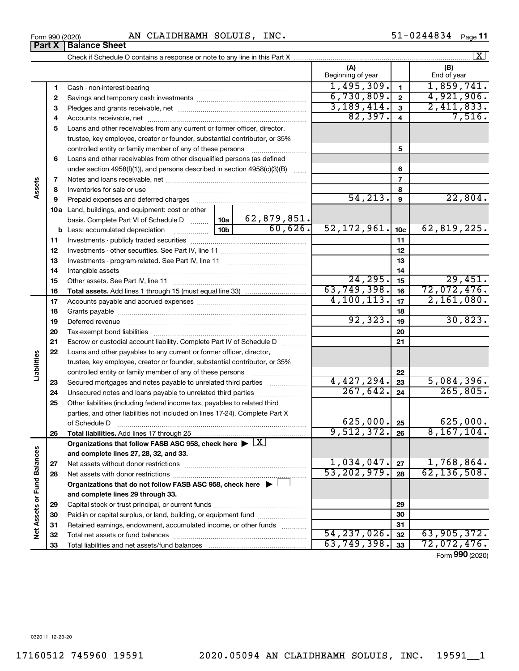**Part X Balance Sheet**

#### Form 990 (2020) Page AN CLAIDHEAMH SOLUIS, INC. 51-0244834

51-0244834 Page 11

|                             |    |                                                                                                        |                 |             |                          |                 | $\lfloor x \rfloor$ |
|-----------------------------|----|--------------------------------------------------------------------------------------------------------|-----------------|-------------|--------------------------|-----------------|---------------------|
|                             |    |                                                                                                        |                 |             | (A)<br>Beginning of year |                 | (B)<br>End of year  |
|                             | 1  |                                                                                                        |                 |             | 1,495,309.               | $\mathbf{1}$    | 1,859,741.          |
|                             | 2  |                                                                                                        |                 |             | 6,730,809.               | $\mathbf{2}$    | 4,921,906.          |
|                             | 3  |                                                                                                        |                 |             | 3,189,414.               | $\mathbf{3}$    | 2,411,833.          |
|                             | 4  |                                                                                                        |                 |             | 82,397.                  | $\overline{4}$  | 7,516.              |
|                             | 5  | Loans and other receivables from any current or former officer, director,                              |                 |             |                          |                 |                     |
|                             |    | trustee, key employee, creator or founder, substantial contributor, or 35%                             |                 |             |                          |                 |                     |
|                             |    | controlled entity or family member of any of these persons                                             |                 |             |                          | 5               |                     |
|                             | 6  | Loans and other receivables from other disqualified persons (as defined                                |                 |             |                          |                 |                     |
|                             |    | under section 4958(f)(1)), and persons described in section 4958(c)(3)(B)                              |                 | 6           |                          |                 |                     |
|                             | 7  |                                                                                                        |                 |             |                          | $\overline{7}$  |                     |
| Assets                      | 8  |                                                                                                        |                 |             |                          | 8               |                     |
|                             | 9  | Prepaid expenses and deferred charges                                                                  |                 |             | 54, 213.                 | 9               | 22,804.             |
|                             |    | 10a Land, buildings, and equipment: cost or other                                                      |                 |             |                          |                 |                     |
|                             |    | basis. Complete Part VI of Schedule D  10a                                                             |                 | 62,879,851. |                          |                 |                     |
|                             |    | <b>b</b> Less: accumulated depreciation                                                                | 10 <sub>b</sub> | 60,626.     | 52, 172, 961.            | 10 <sub>c</sub> | 62,819,225.         |
|                             | 11 |                                                                                                        |                 |             | 11                       |                 |                     |
|                             | 12 |                                                                                                        |                 |             | 12                       |                 |                     |
|                             | 13 |                                                                                                        |                 | 13          |                          |                 |                     |
|                             | 14 |                                                                                                        |                 |             | 14                       |                 |                     |
|                             | 15 |                                                                                                        |                 | 24, 295.    | 15                       | 29,451.         |                     |
|                             | 16 |                                                                                                        |                 |             | 63, 749, 398.            | 16              | 72,072,476.         |
|                             | 17 |                                                                                                        |                 |             | 4, 100, 113.             | 17              | 2,161,080.          |
|                             | 18 |                                                                                                        |                 | 18          |                          |                 |                     |
|                             | 19 |                                                                                                        | 92, 323.        | 19          | 30,823.                  |                 |                     |
|                             | 20 |                                                                                                        |                 |             | 20                       |                 |                     |
|                             | 21 | Escrow or custodial account liability. Complete Part IV of Schedule D                                  |                 |             |                          | 21              |                     |
|                             | 22 | Loans and other payables to any current or former officer, director,                                   |                 |             |                          |                 |                     |
| Liabilities                 |    | trustee, key employee, creator or founder, substantial contributor, or 35%                             |                 |             |                          |                 |                     |
|                             |    | controlled entity or family member of any of these persons                                             |                 |             |                          | 22              |                     |
|                             | 23 | Secured mortgages and notes payable to unrelated third parties                                         |                 |             | 4,427,294.               | 23              | 5,084,396.          |
|                             | 24 | Unsecured notes and loans payable to unrelated third parties                                           |                 |             | 267,642.                 | 24              | 265,805.            |
|                             | 25 | Other liabilities (including federal income tax, payables to related third                             |                 |             |                          |                 |                     |
|                             |    | parties, and other liabilities not included on lines 17-24). Complete Part X                           |                 |             |                          |                 |                     |
|                             |    | of Schedule D                                                                                          |                 |             | 625,000.                 | 25              | 625,000.            |
|                             | 26 |                                                                                                        |                 |             | 9,512,372.               | 26              | 8, 167, 104.        |
|                             |    | Organizations that follow FASB ASC 958, check here $\blacktriangleright \lfloor \underline{X} \rfloor$ |                 |             |                          |                 |                     |
|                             |    | and complete lines 27, 28, 32, and 33.                                                                 |                 |             |                          |                 |                     |
|                             | 27 |                                                                                                        |                 |             | 1,034,047.               | 27              | 1,768,864.          |
|                             | 28 |                                                                                                        |                 |             | 53, 202, 979.            | 28              | 62, 136, 508.       |
|                             |    | Organizations that do not follow FASB ASC 958, check here $\blacktriangleright$                        |                 |             |                          |                 |                     |
| Net Assets or Fund Balances |    | and complete lines 29 through 33.                                                                      |                 |             |                          |                 |                     |
|                             | 29 |                                                                                                        |                 |             | 29                       |                 |                     |
|                             | 30 | Paid-in or capital surplus, or land, building, or equipment fund                                       |                 |             |                          | 30              |                     |
|                             | 31 | Retained earnings, endowment, accumulated income, or other funds                                       |                 |             |                          | 31              |                     |
|                             | 32 |                                                                                                        |                 |             | 54, 237, 026.            | 32              | 63,905,372.         |
|                             | 33 |                                                                                                        |                 |             | 63, 749, 398.            | 33              | 72,072,476.         |

Form (2020) **990**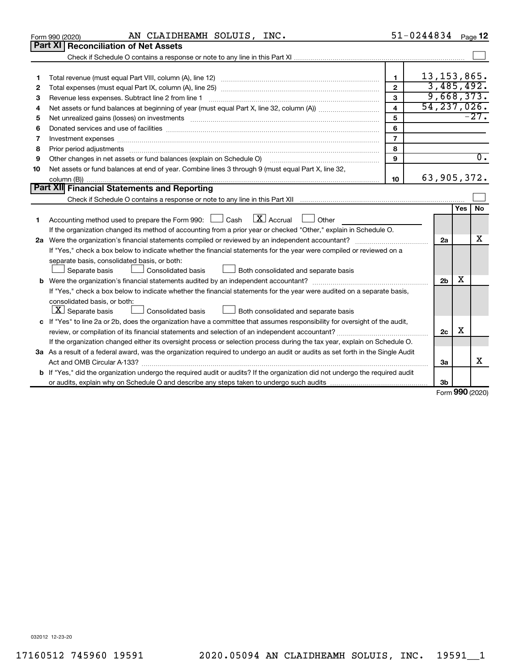|    | AN CLAIDHEAMH SOLUIS, INC.<br>Form 990 (2020)                                                                                                                                                                                  |                         | $51 - 0244834$ Page 12            |            |                  |  |  |
|----|--------------------------------------------------------------------------------------------------------------------------------------------------------------------------------------------------------------------------------|-------------------------|-----------------------------------|------------|------------------|--|--|
|    | Part XI   Reconciliation of Net Assets                                                                                                                                                                                         |                         |                                   |            |                  |  |  |
|    |                                                                                                                                                                                                                                |                         |                                   |            |                  |  |  |
|    |                                                                                                                                                                                                                                |                         |                                   |            |                  |  |  |
| 1  |                                                                                                                                                                                                                                | $\mathbf{1}$            | $13, 153, 865$ .                  |            |                  |  |  |
| 2  |                                                                                                                                                                                                                                | $\overline{2}$          | 3,485,492.                        |            |                  |  |  |
| З  |                                                                                                                                                                                                                                | 3                       | 9,668,373.                        |            |                  |  |  |
| 4  |                                                                                                                                                                                                                                | $\overline{\mathbf{4}}$ | 54, 237, 026.                     |            |                  |  |  |
| 5  | Net unrealized gains (losses) on investments [111] www.martime.community.community.community.community.communi                                                                                                                 | 5                       |                                   |            | $-27.$           |  |  |
| 6  |                                                                                                                                                                                                                                | 6                       |                                   |            |                  |  |  |
| 7  | Investment expenses [[11] https://www.facebook.com/www.facebook.com/www.facebook.com/www.facebook.com/www.facebook.com/www.facebook.com/www.facebook.com/www.facebook.com/www.facebook.com/www.facebook.com/www.facebook.com/w | $\overline{7}$          |                                   |            |                  |  |  |
| 8  |                                                                                                                                                                                                                                | 8                       |                                   |            |                  |  |  |
| 9  | Other changes in net assets or fund balances (explain on Schedule O)                                                                                                                                                           | 9                       |                                   |            | $\overline{0}$ . |  |  |
| 10 | Net assets or fund balances at end of year. Combine lines 3 through 9 (must equal Part X, line 32,                                                                                                                             |                         |                                   |            |                  |  |  |
|    | 63,905,372.<br>10                                                                                                                                                                                                              |                         |                                   |            |                  |  |  |
|    | Part XII Financial Statements and Reporting                                                                                                                                                                                    |                         |                                   |            |                  |  |  |
|    |                                                                                                                                                                                                                                |                         |                                   |            |                  |  |  |
|    |                                                                                                                                                                                                                                |                         |                                   | <b>Yes</b> | <b>No</b>        |  |  |
| 1  | $\mathbf{X}$ Accrual<br>Accounting method used to prepare the Form 990: [130] Cash<br>Other                                                                                                                                    |                         |                                   |            |                  |  |  |
|    | If the organization changed its method of accounting from a prior year or checked "Other," explain in Schedule O.                                                                                                              |                         |                                   |            |                  |  |  |
|    |                                                                                                                                                                                                                                |                         | 2a                                |            | x                |  |  |
|    | If "Yes," check a box below to indicate whether the financial statements for the year were compiled or reviewed on a                                                                                                           |                         |                                   |            |                  |  |  |
|    | separate basis, consolidated basis, or both:                                                                                                                                                                                   |                         |                                   |            |                  |  |  |
|    | Consolidated basis<br>Separate basis<br>Both consolidated and separate basis                                                                                                                                                   |                         |                                   |            |                  |  |  |
|    |                                                                                                                                                                                                                                |                         | 2 <sub>b</sub>                    | х          |                  |  |  |
|    | If "Yes," check a box below to indicate whether the financial statements for the year were audited on a separate basis,                                                                                                        |                         |                                   |            |                  |  |  |
|    | consolidated basis, or both:                                                                                                                                                                                                   |                         |                                   |            |                  |  |  |
|    | $ \mathbf{X} $ Separate basis<br>Both consolidated and separate basis<br><b>Consolidated basis</b>                                                                                                                             |                         |                                   |            |                  |  |  |
|    | c If "Yes" to line 2a or 2b, does the organization have a committee that assumes responsibility for oversight of the audit,                                                                                                    |                         |                                   | X          |                  |  |  |
|    |                                                                                                                                                                                                                                |                         | 2c                                |            |                  |  |  |
|    | If the organization changed either its oversight process or selection process during the tax year, explain on Schedule O.                                                                                                      |                         |                                   |            |                  |  |  |
|    | 3a As a result of a federal award, was the organization required to undergo an audit or audits as set forth in the Single Audit                                                                                                |                         |                                   |            | x                |  |  |
|    |                                                                                                                                                                                                                                |                         | За                                |            |                  |  |  |
|    | b If "Yes," did the organization undergo the required audit or audits? If the organization did not undergo the required audit                                                                                                  |                         |                                   |            |                  |  |  |
|    |                                                                                                                                                                                                                                |                         | 3 <sub>b</sub><br>Form 990 (2020) |            |                  |  |  |
|    |                                                                                                                                                                                                                                |                         |                                   |            |                  |  |  |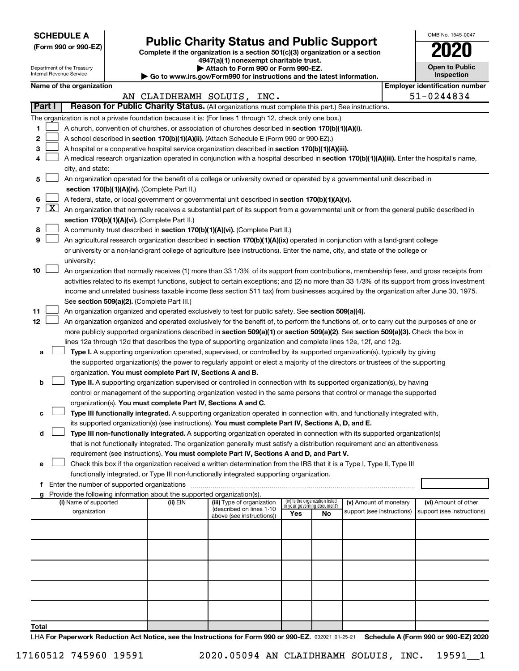**SCHEDULE A**

Department of the Treasury Internal Revenue Service

| (Form 990 or 990-EZ) |  |  |  |  |
|----------------------|--|--|--|--|
|----------------------|--|--|--|--|

# **(Form 990 or 990-EZ) Complete if the organization is a section 501(c)(3) organization or a section Public Charity Status and Public Support 2020**

**4947(a)(1) nonexempt charitable trust. | Attach to Form 990 or Form 990-EZ.** 

| ▶ Go to www.irs.gov/Form990 for instructions and the latest information. |
|--------------------------------------------------------------------------|

|  | Inspection | <b>Open to Public</b> |
|--|------------|-----------------------|
|  |            |                       |

OMB No. 1545-0047

| Name of the organization |  |
|--------------------------|--|
|--------------------------|--|

**Name of the organization Employer identification number**

|        |                     |                                                                                                                                                                                                                                                      |          | AN CLAIDHEAMH SOLUIS, INC.                             |     |                                                                |                                                      |  | 51-0244834                                         |  |  |
|--------|---------------------|------------------------------------------------------------------------------------------------------------------------------------------------------------------------------------------------------------------------------------------------------|----------|--------------------------------------------------------|-----|----------------------------------------------------------------|------------------------------------------------------|--|----------------------------------------------------|--|--|
| Part I |                     | Reason for Public Charity Status. (All organizations must complete this part.) See instructions.                                                                                                                                                     |          |                                                        |     |                                                                |                                                      |  |                                                    |  |  |
|        |                     | The organization is not a private foundation because it is: (For lines 1 through 12, check only one box.)                                                                                                                                            |          |                                                        |     |                                                                |                                                      |  |                                                    |  |  |
| 1      |                     | A church, convention of churches, or association of churches described in section 170(b)(1)(A)(i).                                                                                                                                                   |          |                                                        |     |                                                                |                                                      |  |                                                    |  |  |
| 2      |                     | A school described in section 170(b)(1)(A)(ii). (Attach Schedule E (Form 990 or 990-EZ).)                                                                                                                                                            |          |                                                        |     |                                                                |                                                      |  |                                                    |  |  |
| 3      |                     | A hospital or a cooperative hospital service organization described in section 170(b)(1)(A)(iii).                                                                                                                                                    |          |                                                        |     |                                                                |                                                      |  |                                                    |  |  |
| 4      |                     | A medical research organization operated in conjunction with a hospital described in section 170(b)(1)(A)(iii). Enter the hospital's name,                                                                                                           |          |                                                        |     |                                                                |                                                      |  |                                                    |  |  |
|        |                     | city, and state:                                                                                                                                                                                                                                     |          |                                                        |     |                                                                |                                                      |  |                                                    |  |  |
| 5      |                     | An organization operated for the benefit of a college or university owned or operated by a governmental unit described in                                                                                                                            |          |                                                        |     |                                                                |                                                      |  |                                                    |  |  |
|        |                     | section 170(b)(1)(A)(iv). (Complete Part II.)                                                                                                                                                                                                        |          |                                                        |     |                                                                |                                                      |  |                                                    |  |  |
| 6      |                     | A federal, state, or local government or governmental unit described in section 170(b)(1)(A)(v).                                                                                                                                                     |          |                                                        |     |                                                                |                                                      |  |                                                    |  |  |
| 7      | $\lfloor x \rfloor$ | An organization that normally receives a substantial part of its support from a governmental unit or from the general public described in                                                                                                            |          |                                                        |     |                                                                |                                                      |  |                                                    |  |  |
|        |                     | section 170(b)(1)(A)(vi). (Complete Part II.)                                                                                                                                                                                                        |          |                                                        |     |                                                                |                                                      |  |                                                    |  |  |
| 8      |                     | A community trust described in section 170(b)(1)(A)(vi). (Complete Part II.)                                                                                                                                                                         |          |                                                        |     |                                                                |                                                      |  |                                                    |  |  |
| 9      |                     | An agricultural research organization described in section 170(b)(1)(A)(ix) operated in conjunction with a land-grant college                                                                                                                        |          |                                                        |     |                                                                |                                                      |  |                                                    |  |  |
|        |                     | or university or a non-land-grant college of agriculture (see instructions). Enter the name, city, and state of the college or                                                                                                                       |          |                                                        |     |                                                                |                                                      |  |                                                    |  |  |
|        |                     | university:                                                                                                                                                                                                                                          |          |                                                        |     |                                                                |                                                      |  |                                                    |  |  |
| 10     |                     | An organization that normally receives (1) more than 33 1/3% of its support from contributions, membership fees, and gross receipts from                                                                                                             |          |                                                        |     |                                                                |                                                      |  |                                                    |  |  |
|        |                     | activities related to its exempt functions, subject to certain exceptions; and (2) no more than 33 1/3% of its support from gross investment                                                                                                         |          |                                                        |     |                                                                |                                                      |  |                                                    |  |  |
|        |                     | income and unrelated business taxable income (less section 511 tax) from businesses acquired by the organization after June 30, 1975.                                                                                                                |          |                                                        |     |                                                                |                                                      |  |                                                    |  |  |
|        |                     | See section 509(a)(2). (Complete Part III.)                                                                                                                                                                                                          |          |                                                        |     |                                                                |                                                      |  |                                                    |  |  |
| 11     |                     | An organization organized and operated exclusively to test for public safety. See section 509(a)(4).                                                                                                                                                 |          |                                                        |     |                                                                |                                                      |  |                                                    |  |  |
| 12     |                     | An organization organized and operated exclusively for the benefit of, to perform the functions of, or to carry out the purposes of one or                                                                                                           |          |                                                        |     |                                                                |                                                      |  |                                                    |  |  |
|        |                     | more publicly supported organizations described in section 509(a)(1) or section 509(a)(2). See section 509(a)(3). Check the box in<br>lines 12a through 12d that describes the type of supporting organization and complete lines 12e, 12f, and 12g. |          |                                                        |     |                                                                |                                                      |  |                                                    |  |  |
|        |                     | Type I. A supporting organization operated, supervised, or controlled by its supported organization(s), typically by giving                                                                                                                          |          |                                                        |     |                                                                |                                                      |  |                                                    |  |  |
| а      |                     | the supported organization(s) the power to regularly appoint or elect a majority of the directors or trustees of the supporting                                                                                                                      |          |                                                        |     |                                                                |                                                      |  |                                                    |  |  |
|        |                     | organization. You must complete Part IV, Sections A and B.                                                                                                                                                                                           |          |                                                        |     |                                                                |                                                      |  |                                                    |  |  |
| b      |                     | Type II. A supporting organization supervised or controlled in connection with its supported organization(s), by having                                                                                                                              |          |                                                        |     |                                                                |                                                      |  |                                                    |  |  |
|        |                     | control or management of the supporting organization vested in the same persons that control or manage the supported                                                                                                                                 |          |                                                        |     |                                                                |                                                      |  |                                                    |  |  |
|        |                     | organization(s). You must complete Part IV, Sections A and C.                                                                                                                                                                                        |          |                                                        |     |                                                                |                                                      |  |                                                    |  |  |
| с      |                     | Type III functionally integrated. A supporting organization operated in connection with, and functionally integrated with,                                                                                                                           |          |                                                        |     |                                                                |                                                      |  |                                                    |  |  |
|        |                     | its supported organization(s) (see instructions). You must complete Part IV, Sections A, D, and E.                                                                                                                                                   |          |                                                        |     |                                                                |                                                      |  |                                                    |  |  |
| d      |                     | Type III non-functionally integrated. A supporting organization operated in connection with its supported organization(s)                                                                                                                            |          |                                                        |     |                                                                |                                                      |  |                                                    |  |  |
|        |                     | that is not functionally integrated. The organization generally must satisfy a distribution requirement and an attentiveness                                                                                                                         |          |                                                        |     |                                                                |                                                      |  |                                                    |  |  |
|        |                     | requirement (see instructions). You must complete Part IV, Sections A and D, and Part V.                                                                                                                                                             |          |                                                        |     |                                                                |                                                      |  |                                                    |  |  |
| е      |                     | Check this box if the organization received a written determination from the IRS that it is a Type I, Type II, Type III                                                                                                                              |          |                                                        |     |                                                                |                                                      |  |                                                    |  |  |
|        |                     | functionally integrated, or Type III non-functionally integrated supporting organization.                                                                                                                                                            |          |                                                        |     |                                                                |                                                      |  |                                                    |  |  |
|        |                     | f Enter the number of supported organizations                                                                                                                                                                                                        |          |                                                        |     |                                                                |                                                      |  |                                                    |  |  |
|        |                     | Provide the following information about the supported organization(s).                                                                                                                                                                               |          |                                                        |     |                                                                |                                                      |  |                                                    |  |  |
|        |                     | (i) Name of supported<br>organization                                                                                                                                                                                                                | (ii) EIN | (iii) Type of organization<br>(described on lines 1-10 |     | (iv) Is the organization listed<br>in your governing document? | (v) Amount of monetary<br>support (see instructions) |  | (vi) Amount of other<br>support (see instructions) |  |  |
|        |                     |                                                                                                                                                                                                                                                      |          | above (see instructions))                              | Yes | No                                                             |                                                      |  |                                                    |  |  |
|        |                     |                                                                                                                                                                                                                                                      |          |                                                        |     |                                                                |                                                      |  |                                                    |  |  |
|        |                     |                                                                                                                                                                                                                                                      |          |                                                        |     |                                                                |                                                      |  |                                                    |  |  |
|        |                     |                                                                                                                                                                                                                                                      |          |                                                        |     |                                                                |                                                      |  |                                                    |  |  |
|        |                     |                                                                                                                                                                                                                                                      |          |                                                        |     |                                                                |                                                      |  |                                                    |  |  |
|        |                     |                                                                                                                                                                                                                                                      |          |                                                        |     |                                                                |                                                      |  |                                                    |  |  |
|        |                     |                                                                                                                                                                                                                                                      |          |                                                        |     |                                                                |                                                      |  |                                                    |  |  |
|        |                     |                                                                                                                                                                                                                                                      |          |                                                        |     |                                                                |                                                      |  |                                                    |  |  |
|        |                     |                                                                                                                                                                                                                                                      |          |                                                        |     |                                                                |                                                      |  |                                                    |  |  |
|        |                     |                                                                                                                                                                                                                                                      |          |                                                        |     |                                                                |                                                      |  |                                                    |  |  |
| Total  |                     |                                                                                                                                                                                                                                                      |          |                                                        |     |                                                                |                                                      |  |                                                    |  |  |
|        |                     |                                                                                                                                                                                                                                                      |          |                                                        |     |                                                                |                                                      |  |                                                    |  |  |

LHA For Paperwork Reduction Act Notice, see the Instructions for Form 990 or 990-EZ. 032021 01-25-21 Schedule A (Form 990 or 990-EZ) 2020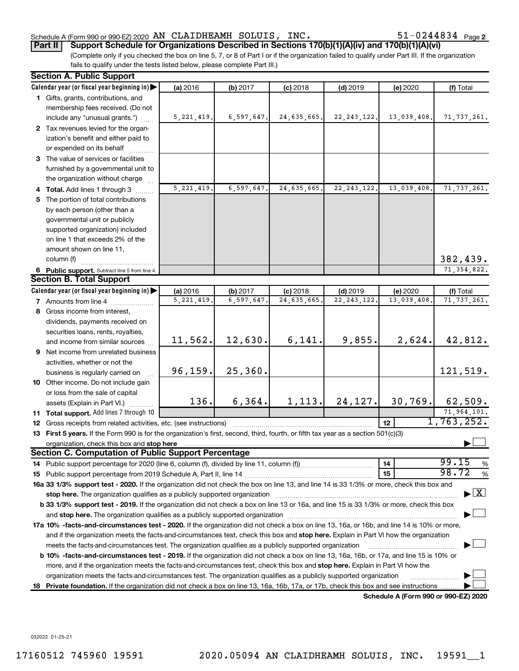#### Schedule A (Form 990 or 990-EZ) 2020 Page AN CLAIDHEAMH SOLUIS, INC. 51-0244834

**Part II** | Support Schedule for Organizations Described in Sections 170(b)(1)(A)(iv) and 170(b)(1)(A)(vi)

(Complete only if you checked the box on line 5, 7, or 8 of Part I or if the organization failed to qualify under Part III. If the organization fails to qualify under the tests listed below, please complete Part III.)

| Calendar year (or fiscal year beginning in)<br>(a) 2016<br>(b) 2017<br>$(c)$ 2018<br>$(d)$ 2019<br>(f) Total<br>(e) 2020<br>1 Gifts, grants, contributions, and<br>membership fees received. (Do not<br>5, 221, 419.<br>6,597,647.<br>24,635,665.<br>22, 243, 122.<br>13,039,408.<br>71, 737, 261.<br>include any "unusual grants.")<br>2 Tax revenues levied for the organ-<br>ization's benefit and either paid to<br>or expended on its behalf<br>3 The value of services or facilities<br>furnished by a governmental unit to<br>the organization without charge<br>5, 221, 419.<br>6,597,647.<br>24,635,665<br>22, 243, 122.<br>13,039,408.<br>71, 737, 261.<br>4 Total. Add lines 1 through 3<br>5 The portion of total contributions<br>by each person (other than a<br>governmental unit or publicly<br>supported organization) included<br>on line 1 that exceeds 2% of the<br>amount shown on line 11,<br>382,439.<br>column (f)<br>71, 354, 822.<br>6 Public support. Subtract line 5 from line 4.<br><b>Section B. Total Support</b><br>Calendar year (or fiscal year beginning in)<br>(a) 2016<br>(b) 2017<br>$(c)$ 2018<br>$(d)$ 2019<br>(e) 2020<br>(f) Total<br>5, 221, 419.<br>6,597,647<br>24,635,665<br>22, 243, 122<br>13,039,408<br>71, 737, 261.<br><b>7</b> Amounts from line 4<br>8 Gross income from interest,<br>dividends, payments received on<br>securities loans, rents, royalties,<br>42,812.<br>12,630.<br>6,141.<br>9,855.<br>2,624.<br>11,562.<br>and income from similar sources<br>9 Net income from unrelated business<br>activities, whether or not the<br>25, 360.<br>96, 159.<br>121,519.<br>business is regularly carried on<br>10 Other income. Do not include gain<br>or loss from the sale of capital<br>136.<br>6, 364.<br>24, 127.<br>30, 769.<br>62,509.<br>1, 113.<br>assets (Explain in Part VI.)<br>71,964,101.<br>11 Total support. Add lines 7 through 10<br>1,763,252.<br>12 <sub>2</sub><br><b>12</b> Gross receipts from related activities, etc. (see instructions)<br>13 First 5 years. If the Form 990 is for the organization's first, second, third, fourth, or fifth tax year as a section 501(c)(3)<br><b>Section C. Computation of Public Support Percentage</b><br>99.15<br>14<br>%<br>98.72<br>15<br>$\%$<br>16a 33 1/3% support test - 2020. If the organization did not check the box on line 13, and line 14 is 33 1/3% or more, check this box and<br>$\blacktriangleright$ $\boxed{\text{X}}$<br>stop here. The organization qualifies as a publicly supported organization manufaction manufacture or manufacture or the organization manufacture or the state of the state of the state of the state of the state of the stat<br>b 33 1/3% support test - 2019. If the organization did not check a box on line 13 or 16a, and line 15 is 33 1/3% or more, check this box<br>17a 10% -facts-and-circumstances test - 2020. If the organization did not check a box on line 13, 16a, or 16b, and line 14 is 10% or more,<br>and if the organization meets the facts-and-circumstances test, check this box and stop here. Explain in Part VI how the organization<br>meets the facts-and-circumstances test. The organization qualifies as a publicly supported organization<br>b 10% -facts-and-circumstances test - 2019. If the organization did not check a box on line 13, 16a, 16b, or 17a, and line 15 is 10% or<br>more, and if the organization meets the facts-and-circumstances test, check this box and stop here. Explain in Part VI how the<br>organization meets the facts-and-circumstances test. The organization qualifies as a publicly supported organization<br>Private foundation. If the organization did not check a box on line 13, 16a, 16b, 17a, or 17b, check this box and see instructions.<br>18<br>Schedule A (Form 990 or 990-EZ) 2020 | <b>Section A. Public Support</b> |  |  |  |
|-----------------------------------------------------------------------------------------------------------------------------------------------------------------------------------------------------------------------------------------------------------------------------------------------------------------------------------------------------------------------------------------------------------------------------------------------------------------------------------------------------------------------------------------------------------------------------------------------------------------------------------------------------------------------------------------------------------------------------------------------------------------------------------------------------------------------------------------------------------------------------------------------------------------------------------------------------------------------------------------------------------------------------------------------------------------------------------------------------------------------------------------------------------------------------------------------------------------------------------------------------------------------------------------------------------------------------------------------------------------------------------------------------------------------------------------------------------------------------------------------------------------------------------------------------------------------------------------------------------------------------------------------------------------------------------------------------------------------------------------------------------------------------------------------------------------------------------------------------------------------------------------------------------------------------------------------------------------------------------------------------------------------------------------------------------------------------------------------------------------------------------------------------------------------------------------------------------------------------------------------------------------------------------------------------------------------------------------------------------------------------------------------------------------------------------------------------------------------------------------------------------------------------------------------------------------------------------------------------------------------------------------------------------------------------------------------------------------------------------------------------------------------------------------------------------------------------------------------------------------------------------------------------------------------------------------------------------------------------------------------------------------------------------------------------------------------------------------------------------------------------------------------------------------------------------------------------------------------------------------------------------------------------------------------------------------------------------------------------------------------------------------------------------------------------------------------------------------------------------------------------------------------------------------------------------------------------------------------------------------------------------------------------------------------------------------------------------------------------------------------------------------------------------------------------------------------------------------------|----------------------------------|--|--|--|
|                                                                                                                                                                                                                                                                                                                                                                                                                                                                                                                                                                                                                                                                                                                                                                                                                                                                                                                                                                                                                                                                                                                                                                                                                                                                                                                                                                                                                                                                                                                                                                                                                                                                                                                                                                                                                                                                                                                                                                                                                                                                                                                                                                                                                                                                                                                                                                                                                                                                                                                                                                                                                                                                                                                                                                                                                                                                                                                                                                                                                                                                                                                                                                                                                                                                                                                                                                                                                                                                                                                                                                                                                                                                                                                                                                                                                                               |                                  |  |  |  |
|                                                                                                                                                                                                                                                                                                                                                                                                                                                                                                                                                                                                                                                                                                                                                                                                                                                                                                                                                                                                                                                                                                                                                                                                                                                                                                                                                                                                                                                                                                                                                                                                                                                                                                                                                                                                                                                                                                                                                                                                                                                                                                                                                                                                                                                                                                                                                                                                                                                                                                                                                                                                                                                                                                                                                                                                                                                                                                                                                                                                                                                                                                                                                                                                                                                                                                                                                                                                                                                                                                                                                                                                                                                                                                                                                                                                                                               |                                  |  |  |  |
|                                                                                                                                                                                                                                                                                                                                                                                                                                                                                                                                                                                                                                                                                                                                                                                                                                                                                                                                                                                                                                                                                                                                                                                                                                                                                                                                                                                                                                                                                                                                                                                                                                                                                                                                                                                                                                                                                                                                                                                                                                                                                                                                                                                                                                                                                                                                                                                                                                                                                                                                                                                                                                                                                                                                                                                                                                                                                                                                                                                                                                                                                                                                                                                                                                                                                                                                                                                                                                                                                                                                                                                                                                                                                                                                                                                                                                               |                                  |  |  |  |
|                                                                                                                                                                                                                                                                                                                                                                                                                                                                                                                                                                                                                                                                                                                                                                                                                                                                                                                                                                                                                                                                                                                                                                                                                                                                                                                                                                                                                                                                                                                                                                                                                                                                                                                                                                                                                                                                                                                                                                                                                                                                                                                                                                                                                                                                                                                                                                                                                                                                                                                                                                                                                                                                                                                                                                                                                                                                                                                                                                                                                                                                                                                                                                                                                                                                                                                                                                                                                                                                                                                                                                                                                                                                                                                                                                                                                                               |                                  |  |  |  |
|                                                                                                                                                                                                                                                                                                                                                                                                                                                                                                                                                                                                                                                                                                                                                                                                                                                                                                                                                                                                                                                                                                                                                                                                                                                                                                                                                                                                                                                                                                                                                                                                                                                                                                                                                                                                                                                                                                                                                                                                                                                                                                                                                                                                                                                                                                                                                                                                                                                                                                                                                                                                                                                                                                                                                                                                                                                                                                                                                                                                                                                                                                                                                                                                                                                                                                                                                                                                                                                                                                                                                                                                                                                                                                                                                                                                                                               |                                  |  |  |  |
|                                                                                                                                                                                                                                                                                                                                                                                                                                                                                                                                                                                                                                                                                                                                                                                                                                                                                                                                                                                                                                                                                                                                                                                                                                                                                                                                                                                                                                                                                                                                                                                                                                                                                                                                                                                                                                                                                                                                                                                                                                                                                                                                                                                                                                                                                                                                                                                                                                                                                                                                                                                                                                                                                                                                                                                                                                                                                                                                                                                                                                                                                                                                                                                                                                                                                                                                                                                                                                                                                                                                                                                                                                                                                                                                                                                                                                               |                                  |  |  |  |
|                                                                                                                                                                                                                                                                                                                                                                                                                                                                                                                                                                                                                                                                                                                                                                                                                                                                                                                                                                                                                                                                                                                                                                                                                                                                                                                                                                                                                                                                                                                                                                                                                                                                                                                                                                                                                                                                                                                                                                                                                                                                                                                                                                                                                                                                                                                                                                                                                                                                                                                                                                                                                                                                                                                                                                                                                                                                                                                                                                                                                                                                                                                                                                                                                                                                                                                                                                                                                                                                                                                                                                                                                                                                                                                                                                                                                                               |                                  |  |  |  |
|                                                                                                                                                                                                                                                                                                                                                                                                                                                                                                                                                                                                                                                                                                                                                                                                                                                                                                                                                                                                                                                                                                                                                                                                                                                                                                                                                                                                                                                                                                                                                                                                                                                                                                                                                                                                                                                                                                                                                                                                                                                                                                                                                                                                                                                                                                                                                                                                                                                                                                                                                                                                                                                                                                                                                                                                                                                                                                                                                                                                                                                                                                                                                                                                                                                                                                                                                                                                                                                                                                                                                                                                                                                                                                                                                                                                                                               |                                  |  |  |  |
|                                                                                                                                                                                                                                                                                                                                                                                                                                                                                                                                                                                                                                                                                                                                                                                                                                                                                                                                                                                                                                                                                                                                                                                                                                                                                                                                                                                                                                                                                                                                                                                                                                                                                                                                                                                                                                                                                                                                                                                                                                                                                                                                                                                                                                                                                                                                                                                                                                                                                                                                                                                                                                                                                                                                                                                                                                                                                                                                                                                                                                                                                                                                                                                                                                                                                                                                                                                                                                                                                                                                                                                                                                                                                                                                                                                                                                               |                                  |  |  |  |
|                                                                                                                                                                                                                                                                                                                                                                                                                                                                                                                                                                                                                                                                                                                                                                                                                                                                                                                                                                                                                                                                                                                                                                                                                                                                                                                                                                                                                                                                                                                                                                                                                                                                                                                                                                                                                                                                                                                                                                                                                                                                                                                                                                                                                                                                                                                                                                                                                                                                                                                                                                                                                                                                                                                                                                                                                                                                                                                                                                                                                                                                                                                                                                                                                                                                                                                                                                                                                                                                                                                                                                                                                                                                                                                                                                                                                                               |                                  |  |  |  |
|                                                                                                                                                                                                                                                                                                                                                                                                                                                                                                                                                                                                                                                                                                                                                                                                                                                                                                                                                                                                                                                                                                                                                                                                                                                                                                                                                                                                                                                                                                                                                                                                                                                                                                                                                                                                                                                                                                                                                                                                                                                                                                                                                                                                                                                                                                                                                                                                                                                                                                                                                                                                                                                                                                                                                                                                                                                                                                                                                                                                                                                                                                                                                                                                                                                                                                                                                                                                                                                                                                                                                                                                                                                                                                                                                                                                                                               |                                  |  |  |  |
|                                                                                                                                                                                                                                                                                                                                                                                                                                                                                                                                                                                                                                                                                                                                                                                                                                                                                                                                                                                                                                                                                                                                                                                                                                                                                                                                                                                                                                                                                                                                                                                                                                                                                                                                                                                                                                                                                                                                                                                                                                                                                                                                                                                                                                                                                                                                                                                                                                                                                                                                                                                                                                                                                                                                                                                                                                                                                                                                                                                                                                                                                                                                                                                                                                                                                                                                                                                                                                                                                                                                                                                                                                                                                                                                                                                                                                               |                                  |  |  |  |
|                                                                                                                                                                                                                                                                                                                                                                                                                                                                                                                                                                                                                                                                                                                                                                                                                                                                                                                                                                                                                                                                                                                                                                                                                                                                                                                                                                                                                                                                                                                                                                                                                                                                                                                                                                                                                                                                                                                                                                                                                                                                                                                                                                                                                                                                                                                                                                                                                                                                                                                                                                                                                                                                                                                                                                                                                                                                                                                                                                                                                                                                                                                                                                                                                                                                                                                                                                                                                                                                                                                                                                                                                                                                                                                                                                                                                                               |                                  |  |  |  |
|                                                                                                                                                                                                                                                                                                                                                                                                                                                                                                                                                                                                                                                                                                                                                                                                                                                                                                                                                                                                                                                                                                                                                                                                                                                                                                                                                                                                                                                                                                                                                                                                                                                                                                                                                                                                                                                                                                                                                                                                                                                                                                                                                                                                                                                                                                                                                                                                                                                                                                                                                                                                                                                                                                                                                                                                                                                                                                                                                                                                                                                                                                                                                                                                                                                                                                                                                                                                                                                                                                                                                                                                                                                                                                                                                                                                                                               |                                  |  |  |  |
|                                                                                                                                                                                                                                                                                                                                                                                                                                                                                                                                                                                                                                                                                                                                                                                                                                                                                                                                                                                                                                                                                                                                                                                                                                                                                                                                                                                                                                                                                                                                                                                                                                                                                                                                                                                                                                                                                                                                                                                                                                                                                                                                                                                                                                                                                                                                                                                                                                                                                                                                                                                                                                                                                                                                                                                                                                                                                                                                                                                                                                                                                                                                                                                                                                                                                                                                                                                                                                                                                                                                                                                                                                                                                                                                                                                                                                               |                                  |  |  |  |
|                                                                                                                                                                                                                                                                                                                                                                                                                                                                                                                                                                                                                                                                                                                                                                                                                                                                                                                                                                                                                                                                                                                                                                                                                                                                                                                                                                                                                                                                                                                                                                                                                                                                                                                                                                                                                                                                                                                                                                                                                                                                                                                                                                                                                                                                                                                                                                                                                                                                                                                                                                                                                                                                                                                                                                                                                                                                                                                                                                                                                                                                                                                                                                                                                                                                                                                                                                                                                                                                                                                                                                                                                                                                                                                                                                                                                                               |                                  |  |  |  |
|                                                                                                                                                                                                                                                                                                                                                                                                                                                                                                                                                                                                                                                                                                                                                                                                                                                                                                                                                                                                                                                                                                                                                                                                                                                                                                                                                                                                                                                                                                                                                                                                                                                                                                                                                                                                                                                                                                                                                                                                                                                                                                                                                                                                                                                                                                                                                                                                                                                                                                                                                                                                                                                                                                                                                                                                                                                                                                                                                                                                                                                                                                                                                                                                                                                                                                                                                                                                                                                                                                                                                                                                                                                                                                                                                                                                                                               |                                  |  |  |  |
|                                                                                                                                                                                                                                                                                                                                                                                                                                                                                                                                                                                                                                                                                                                                                                                                                                                                                                                                                                                                                                                                                                                                                                                                                                                                                                                                                                                                                                                                                                                                                                                                                                                                                                                                                                                                                                                                                                                                                                                                                                                                                                                                                                                                                                                                                                                                                                                                                                                                                                                                                                                                                                                                                                                                                                                                                                                                                                                                                                                                                                                                                                                                                                                                                                                                                                                                                                                                                                                                                                                                                                                                                                                                                                                                                                                                                                               |                                  |  |  |  |
|                                                                                                                                                                                                                                                                                                                                                                                                                                                                                                                                                                                                                                                                                                                                                                                                                                                                                                                                                                                                                                                                                                                                                                                                                                                                                                                                                                                                                                                                                                                                                                                                                                                                                                                                                                                                                                                                                                                                                                                                                                                                                                                                                                                                                                                                                                                                                                                                                                                                                                                                                                                                                                                                                                                                                                                                                                                                                                                                                                                                                                                                                                                                                                                                                                                                                                                                                                                                                                                                                                                                                                                                                                                                                                                                                                                                                                               |                                  |  |  |  |
|                                                                                                                                                                                                                                                                                                                                                                                                                                                                                                                                                                                                                                                                                                                                                                                                                                                                                                                                                                                                                                                                                                                                                                                                                                                                                                                                                                                                                                                                                                                                                                                                                                                                                                                                                                                                                                                                                                                                                                                                                                                                                                                                                                                                                                                                                                                                                                                                                                                                                                                                                                                                                                                                                                                                                                                                                                                                                                                                                                                                                                                                                                                                                                                                                                                                                                                                                                                                                                                                                                                                                                                                                                                                                                                                                                                                                                               |                                  |  |  |  |
|                                                                                                                                                                                                                                                                                                                                                                                                                                                                                                                                                                                                                                                                                                                                                                                                                                                                                                                                                                                                                                                                                                                                                                                                                                                                                                                                                                                                                                                                                                                                                                                                                                                                                                                                                                                                                                                                                                                                                                                                                                                                                                                                                                                                                                                                                                                                                                                                                                                                                                                                                                                                                                                                                                                                                                                                                                                                                                                                                                                                                                                                                                                                                                                                                                                                                                                                                                                                                                                                                                                                                                                                                                                                                                                                                                                                                                               |                                  |  |  |  |
|                                                                                                                                                                                                                                                                                                                                                                                                                                                                                                                                                                                                                                                                                                                                                                                                                                                                                                                                                                                                                                                                                                                                                                                                                                                                                                                                                                                                                                                                                                                                                                                                                                                                                                                                                                                                                                                                                                                                                                                                                                                                                                                                                                                                                                                                                                                                                                                                                                                                                                                                                                                                                                                                                                                                                                                                                                                                                                                                                                                                                                                                                                                                                                                                                                                                                                                                                                                                                                                                                                                                                                                                                                                                                                                                                                                                                                               |                                  |  |  |  |
|                                                                                                                                                                                                                                                                                                                                                                                                                                                                                                                                                                                                                                                                                                                                                                                                                                                                                                                                                                                                                                                                                                                                                                                                                                                                                                                                                                                                                                                                                                                                                                                                                                                                                                                                                                                                                                                                                                                                                                                                                                                                                                                                                                                                                                                                                                                                                                                                                                                                                                                                                                                                                                                                                                                                                                                                                                                                                                                                                                                                                                                                                                                                                                                                                                                                                                                                                                                                                                                                                                                                                                                                                                                                                                                                                                                                                                               |                                  |  |  |  |
|                                                                                                                                                                                                                                                                                                                                                                                                                                                                                                                                                                                                                                                                                                                                                                                                                                                                                                                                                                                                                                                                                                                                                                                                                                                                                                                                                                                                                                                                                                                                                                                                                                                                                                                                                                                                                                                                                                                                                                                                                                                                                                                                                                                                                                                                                                                                                                                                                                                                                                                                                                                                                                                                                                                                                                                                                                                                                                                                                                                                                                                                                                                                                                                                                                                                                                                                                                                                                                                                                                                                                                                                                                                                                                                                                                                                                                               |                                  |  |  |  |
|                                                                                                                                                                                                                                                                                                                                                                                                                                                                                                                                                                                                                                                                                                                                                                                                                                                                                                                                                                                                                                                                                                                                                                                                                                                                                                                                                                                                                                                                                                                                                                                                                                                                                                                                                                                                                                                                                                                                                                                                                                                                                                                                                                                                                                                                                                                                                                                                                                                                                                                                                                                                                                                                                                                                                                                                                                                                                                                                                                                                                                                                                                                                                                                                                                                                                                                                                                                                                                                                                                                                                                                                                                                                                                                                                                                                                                               |                                  |  |  |  |
|                                                                                                                                                                                                                                                                                                                                                                                                                                                                                                                                                                                                                                                                                                                                                                                                                                                                                                                                                                                                                                                                                                                                                                                                                                                                                                                                                                                                                                                                                                                                                                                                                                                                                                                                                                                                                                                                                                                                                                                                                                                                                                                                                                                                                                                                                                                                                                                                                                                                                                                                                                                                                                                                                                                                                                                                                                                                                                                                                                                                                                                                                                                                                                                                                                                                                                                                                                                                                                                                                                                                                                                                                                                                                                                                                                                                                                               |                                  |  |  |  |
|                                                                                                                                                                                                                                                                                                                                                                                                                                                                                                                                                                                                                                                                                                                                                                                                                                                                                                                                                                                                                                                                                                                                                                                                                                                                                                                                                                                                                                                                                                                                                                                                                                                                                                                                                                                                                                                                                                                                                                                                                                                                                                                                                                                                                                                                                                                                                                                                                                                                                                                                                                                                                                                                                                                                                                                                                                                                                                                                                                                                                                                                                                                                                                                                                                                                                                                                                                                                                                                                                                                                                                                                                                                                                                                                                                                                                                               |                                  |  |  |  |
|                                                                                                                                                                                                                                                                                                                                                                                                                                                                                                                                                                                                                                                                                                                                                                                                                                                                                                                                                                                                                                                                                                                                                                                                                                                                                                                                                                                                                                                                                                                                                                                                                                                                                                                                                                                                                                                                                                                                                                                                                                                                                                                                                                                                                                                                                                                                                                                                                                                                                                                                                                                                                                                                                                                                                                                                                                                                                                                                                                                                                                                                                                                                                                                                                                                                                                                                                                                                                                                                                                                                                                                                                                                                                                                                                                                                                                               |                                  |  |  |  |
|                                                                                                                                                                                                                                                                                                                                                                                                                                                                                                                                                                                                                                                                                                                                                                                                                                                                                                                                                                                                                                                                                                                                                                                                                                                                                                                                                                                                                                                                                                                                                                                                                                                                                                                                                                                                                                                                                                                                                                                                                                                                                                                                                                                                                                                                                                                                                                                                                                                                                                                                                                                                                                                                                                                                                                                                                                                                                                                                                                                                                                                                                                                                                                                                                                                                                                                                                                                                                                                                                                                                                                                                                                                                                                                                                                                                                                               |                                  |  |  |  |
|                                                                                                                                                                                                                                                                                                                                                                                                                                                                                                                                                                                                                                                                                                                                                                                                                                                                                                                                                                                                                                                                                                                                                                                                                                                                                                                                                                                                                                                                                                                                                                                                                                                                                                                                                                                                                                                                                                                                                                                                                                                                                                                                                                                                                                                                                                                                                                                                                                                                                                                                                                                                                                                                                                                                                                                                                                                                                                                                                                                                                                                                                                                                                                                                                                                                                                                                                                                                                                                                                                                                                                                                                                                                                                                                                                                                                                               |                                  |  |  |  |
|                                                                                                                                                                                                                                                                                                                                                                                                                                                                                                                                                                                                                                                                                                                                                                                                                                                                                                                                                                                                                                                                                                                                                                                                                                                                                                                                                                                                                                                                                                                                                                                                                                                                                                                                                                                                                                                                                                                                                                                                                                                                                                                                                                                                                                                                                                                                                                                                                                                                                                                                                                                                                                                                                                                                                                                                                                                                                                                                                                                                                                                                                                                                                                                                                                                                                                                                                                                                                                                                                                                                                                                                                                                                                                                                                                                                                                               |                                  |  |  |  |
|                                                                                                                                                                                                                                                                                                                                                                                                                                                                                                                                                                                                                                                                                                                                                                                                                                                                                                                                                                                                                                                                                                                                                                                                                                                                                                                                                                                                                                                                                                                                                                                                                                                                                                                                                                                                                                                                                                                                                                                                                                                                                                                                                                                                                                                                                                                                                                                                                                                                                                                                                                                                                                                                                                                                                                                                                                                                                                                                                                                                                                                                                                                                                                                                                                                                                                                                                                                                                                                                                                                                                                                                                                                                                                                                                                                                                                               |                                  |  |  |  |
|                                                                                                                                                                                                                                                                                                                                                                                                                                                                                                                                                                                                                                                                                                                                                                                                                                                                                                                                                                                                                                                                                                                                                                                                                                                                                                                                                                                                                                                                                                                                                                                                                                                                                                                                                                                                                                                                                                                                                                                                                                                                                                                                                                                                                                                                                                                                                                                                                                                                                                                                                                                                                                                                                                                                                                                                                                                                                                                                                                                                                                                                                                                                                                                                                                                                                                                                                                                                                                                                                                                                                                                                                                                                                                                                                                                                                                               |                                  |  |  |  |
|                                                                                                                                                                                                                                                                                                                                                                                                                                                                                                                                                                                                                                                                                                                                                                                                                                                                                                                                                                                                                                                                                                                                                                                                                                                                                                                                                                                                                                                                                                                                                                                                                                                                                                                                                                                                                                                                                                                                                                                                                                                                                                                                                                                                                                                                                                                                                                                                                                                                                                                                                                                                                                                                                                                                                                                                                                                                                                                                                                                                                                                                                                                                                                                                                                                                                                                                                                                                                                                                                                                                                                                                                                                                                                                                                                                                                                               |                                  |  |  |  |
|                                                                                                                                                                                                                                                                                                                                                                                                                                                                                                                                                                                                                                                                                                                                                                                                                                                                                                                                                                                                                                                                                                                                                                                                                                                                                                                                                                                                                                                                                                                                                                                                                                                                                                                                                                                                                                                                                                                                                                                                                                                                                                                                                                                                                                                                                                                                                                                                                                                                                                                                                                                                                                                                                                                                                                                                                                                                                                                                                                                                                                                                                                                                                                                                                                                                                                                                                                                                                                                                                                                                                                                                                                                                                                                                                                                                                                               |                                  |  |  |  |
|                                                                                                                                                                                                                                                                                                                                                                                                                                                                                                                                                                                                                                                                                                                                                                                                                                                                                                                                                                                                                                                                                                                                                                                                                                                                                                                                                                                                                                                                                                                                                                                                                                                                                                                                                                                                                                                                                                                                                                                                                                                                                                                                                                                                                                                                                                                                                                                                                                                                                                                                                                                                                                                                                                                                                                                                                                                                                                                                                                                                                                                                                                                                                                                                                                                                                                                                                                                                                                                                                                                                                                                                                                                                                                                                                                                                                                               |                                  |  |  |  |
|                                                                                                                                                                                                                                                                                                                                                                                                                                                                                                                                                                                                                                                                                                                                                                                                                                                                                                                                                                                                                                                                                                                                                                                                                                                                                                                                                                                                                                                                                                                                                                                                                                                                                                                                                                                                                                                                                                                                                                                                                                                                                                                                                                                                                                                                                                                                                                                                                                                                                                                                                                                                                                                                                                                                                                                                                                                                                                                                                                                                                                                                                                                                                                                                                                                                                                                                                                                                                                                                                                                                                                                                                                                                                                                                                                                                                                               |                                  |  |  |  |
|                                                                                                                                                                                                                                                                                                                                                                                                                                                                                                                                                                                                                                                                                                                                                                                                                                                                                                                                                                                                                                                                                                                                                                                                                                                                                                                                                                                                                                                                                                                                                                                                                                                                                                                                                                                                                                                                                                                                                                                                                                                                                                                                                                                                                                                                                                                                                                                                                                                                                                                                                                                                                                                                                                                                                                                                                                                                                                                                                                                                                                                                                                                                                                                                                                                                                                                                                                                                                                                                                                                                                                                                                                                                                                                                                                                                                                               |                                  |  |  |  |
|                                                                                                                                                                                                                                                                                                                                                                                                                                                                                                                                                                                                                                                                                                                                                                                                                                                                                                                                                                                                                                                                                                                                                                                                                                                                                                                                                                                                                                                                                                                                                                                                                                                                                                                                                                                                                                                                                                                                                                                                                                                                                                                                                                                                                                                                                                                                                                                                                                                                                                                                                                                                                                                                                                                                                                                                                                                                                                                                                                                                                                                                                                                                                                                                                                                                                                                                                                                                                                                                                                                                                                                                                                                                                                                                                                                                                                               |                                  |  |  |  |
|                                                                                                                                                                                                                                                                                                                                                                                                                                                                                                                                                                                                                                                                                                                                                                                                                                                                                                                                                                                                                                                                                                                                                                                                                                                                                                                                                                                                                                                                                                                                                                                                                                                                                                                                                                                                                                                                                                                                                                                                                                                                                                                                                                                                                                                                                                                                                                                                                                                                                                                                                                                                                                                                                                                                                                                                                                                                                                                                                                                                                                                                                                                                                                                                                                                                                                                                                                                                                                                                                                                                                                                                                                                                                                                                                                                                                                               |                                  |  |  |  |
|                                                                                                                                                                                                                                                                                                                                                                                                                                                                                                                                                                                                                                                                                                                                                                                                                                                                                                                                                                                                                                                                                                                                                                                                                                                                                                                                                                                                                                                                                                                                                                                                                                                                                                                                                                                                                                                                                                                                                                                                                                                                                                                                                                                                                                                                                                                                                                                                                                                                                                                                                                                                                                                                                                                                                                                                                                                                                                                                                                                                                                                                                                                                                                                                                                                                                                                                                                                                                                                                                                                                                                                                                                                                                                                                                                                                                                               |                                  |  |  |  |
|                                                                                                                                                                                                                                                                                                                                                                                                                                                                                                                                                                                                                                                                                                                                                                                                                                                                                                                                                                                                                                                                                                                                                                                                                                                                                                                                                                                                                                                                                                                                                                                                                                                                                                                                                                                                                                                                                                                                                                                                                                                                                                                                                                                                                                                                                                                                                                                                                                                                                                                                                                                                                                                                                                                                                                                                                                                                                                                                                                                                                                                                                                                                                                                                                                                                                                                                                                                                                                                                                                                                                                                                                                                                                                                                                                                                                                               |                                  |  |  |  |
|                                                                                                                                                                                                                                                                                                                                                                                                                                                                                                                                                                                                                                                                                                                                                                                                                                                                                                                                                                                                                                                                                                                                                                                                                                                                                                                                                                                                                                                                                                                                                                                                                                                                                                                                                                                                                                                                                                                                                                                                                                                                                                                                                                                                                                                                                                                                                                                                                                                                                                                                                                                                                                                                                                                                                                                                                                                                                                                                                                                                                                                                                                                                                                                                                                                                                                                                                                                                                                                                                                                                                                                                                                                                                                                                                                                                                                               |                                  |  |  |  |
|                                                                                                                                                                                                                                                                                                                                                                                                                                                                                                                                                                                                                                                                                                                                                                                                                                                                                                                                                                                                                                                                                                                                                                                                                                                                                                                                                                                                                                                                                                                                                                                                                                                                                                                                                                                                                                                                                                                                                                                                                                                                                                                                                                                                                                                                                                                                                                                                                                                                                                                                                                                                                                                                                                                                                                                                                                                                                                                                                                                                                                                                                                                                                                                                                                                                                                                                                                                                                                                                                                                                                                                                                                                                                                                                                                                                                                               |                                  |  |  |  |
|                                                                                                                                                                                                                                                                                                                                                                                                                                                                                                                                                                                                                                                                                                                                                                                                                                                                                                                                                                                                                                                                                                                                                                                                                                                                                                                                                                                                                                                                                                                                                                                                                                                                                                                                                                                                                                                                                                                                                                                                                                                                                                                                                                                                                                                                                                                                                                                                                                                                                                                                                                                                                                                                                                                                                                                                                                                                                                                                                                                                                                                                                                                                                                                                                                                                                                                                                                                                                                                                                                                                                                                                                                                                                                                                                                                                                                               |                                  |  |  |  |
|                                                                                                                                                                                                                                                                                                                                                                                                                                                                                                                                                                                                                                                                                                                                                                                                                                                                                                                                                                                                                                                                                                                                                                                                                                                                                                                                                                                                                                                                                                                                                                                                                                                                                                                                                                                                                                                                                                                                                                                                                                                                                                                                                                                                                                                                                                                                                                                                                                                                                                                                                                                                                                                                                                                                                                                                                                                                                                                                                                                                                                                                                                                                                                                                                                                                                                                                                                                                                                                                                                                                                                                                                                                                                                                                                                                                                                               |                                  |  |  |  |
|                                                                                                                                                                                                                                                                                                                                                                                                                                                                                                                                                                                                                                                                                                                                                                                                                                                                                                                                                                                                                                                                                                                                                                                                                                                                                                                                                                                                                                                                                                                                                                                                                                                                                                                                                                                                                                                                                                                                                                                                                                                                                                                                                                                                                                                                                                                                                                                                                                                                                                                                                                                                                                                                                                                                                                                                                                                                                                                                                                                                                                                                                                                                                                                                                                                                                                                                                                                                                                                                                                                                                                                                                                                                                                                                                                                                                                               |                                  |  |  |  |
|                                                                                                                                                                                                                                                                                                                                                                                                                                                                                                                                                                                                                                                                                                                                                                                                                                                                                                                                                                                                                                                                                                                                                                                                                                                                                                                                                                                                                                                                                                                                                                                                                                                                                                                                                                                                                                                                                                                                                                                                                                                                                                                                                                                                                                                                                                                                                                                                                                                                                                                                                                                                                                                                                                                                                                                                                                                                                                                                                                                                                                                                                                                                                                                                                                                                                                                                                                                                                                                                                                                                                                                                                                                                                                                                                                                                                                               |                                  |  |  |  |
|                                                                                                                                                                                                                                                                                                                                                                                                                                                                                                                                                                                                                                                                                                                                                                                                                                                                                                                                                                                                                                                                                                                                                                                                                                                                                                                                                                                                                                                                                                                                                                                                                                                                                                                                                                                                                                                                                                                                                                                                                                                                                                                                                                                                                                                                                                                                                                                                                                                                                                                                                                                                                                                                                                                                                                                                                                                                                                                                                                                                                                                                                                                                                                                                                                                                                                                                                                                                                                                                                                                                                                                                                                                                                                                                                                                                                                               |                                  |  |  |  |
|                                                                                                                                                                                                                                                                                                                                                                                                                                                                                                                                                                                                                                                                                                                                                                                                                                                                                                                                                                                                                                                                                                                                                                                                                                                                                                                                                                                                                                                                                                                                                                                                                                                                                                                                                                                                                                                                                                                                                                                                                                                                                                                                                                                                                                                                                                                                                                                                                                                                                                                                                                                                                                                                                                                                                                                                                                                                                                                                                                                                                                                                                                                                                                                                                                                                                                                                                                                                                                                                                                                                                                                                                                                                                                                                                                                                                                               |                                  |  |  |  |

032022 01-25-21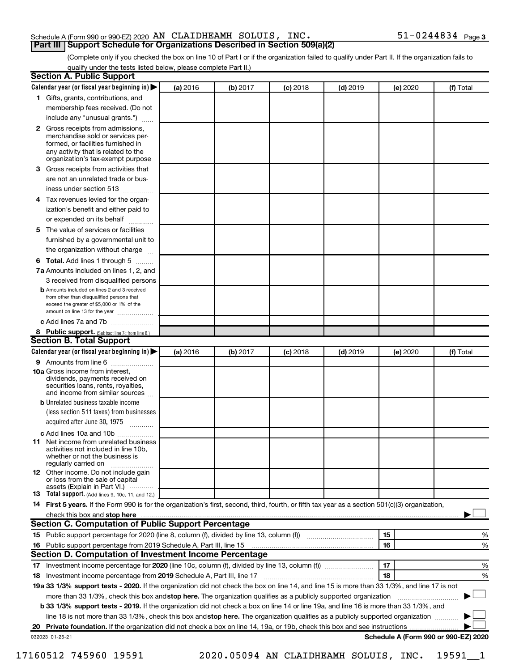#### Schedule A (Form 990 or 990-EZ) 2020 Page AN CLAIDHEAMH SOLUIS, INC. 51-0244834 **Part III Support Schedule for Organizations Described in Section 509(a)(2)**

(Complete only if you checked the box on line 10 of Part I or if the organization failed to qualify under Part II. If the organization fails to qualify under the tests listed below, please complete Part II.)

| <b>Section A. Public Support</b>                                                                                                                                                         |          |          |            |            |          |                                      |
|------------------------------------------------------------------------------------------------------------------------------------------------------------------------------------------|----------|----------|------------|------------|----------|--------------------------------------|
| Calendar year (or fiscal year beginning in)                                                                                                                                              | (a) 2016 | (b) 2017 | $(c)$ 2018 | $(d)$ 2019 | (e) 2020 | (f) Total                            |
| 1 Gifts, grants, contributions, and                                                                                                                                                      |          |          |            |            |          |                                      |
| membership fees received. (Do not                                                                                                                                                        |          |          |            |            |          |                                      |
| include any "unusual grants.")                                                                                                                                                           |          |          |            |            |          |                                      |
| 2 Gross receipts from admissions,<br>merchandise sold or services per-<br>formed, or facilities furnished in<br>any activity that is related to the<br>organization's tax-exempt purpose |          |          |            |            |          |                                      |
| <b>3</b> Gross receipts from activities that                                                                                                                                             |          |          |            |            |          |                                      |
| are not an unrelated trade or bus-<br>iness under section 513                                                                                                                            |          |          |            |            |          |                                      |
| 4 Tax revenues levied for the organ-<br>ization's benefit and either paid to                                                                                                             |          |          |            |            |          |                                      |
| or expended on its behalf                                                                                                                                                                |          |          |            |            |          |                                      |
| 5 The value of services or facilities<br>furnished by a governmental unit to<br>the organization without charge                                                                          |          |          |            |            |          |                                      |
| <b>6 Total.</b> Add lines 1 through 5                                                                                                                                                    |          |          |            |            |          |                                      |
| 7a Amounts included on lines 1, 2, and                                                                                                                                                   |          |          |            |            |          |                                      |
| 3 received from disqualified persons                                                                                                                                                     |          |          |            |            |          |                                      |
| <b>b</b> Amounts included on lines 2 and 3 received<br>from other than disqualified persons that<br>exceed the greater of \$5,000 or 1% of the<br>amount on line 13 for the year         |          |          |            |            |          |                                      |
| c Add lines 7a and 7b                                                                                                                                                                    |          |          |            |            |          |                                      |
| 8 Public support. (Subtract line 7c from line 6.)                                                                                                                                        |          |          |            |            |          |                                      |
| <b>Section B. Total Support</b>                                                                                                                                                          |          |          |            |            |          |                                      |
| Calendar year (or fiscal year beginning in)                                                                                                                                              | (a) 2016 | (b) 2017 | $(c)$ 2018 | $(d)$ 2019 | (e) 2020 | (f) Total                            |
| <b>9</b> Amounts from line 6                                                                                                                                                             |          |          |            |            |          |                                      |
| <b>10a</b> Gross income from interest,<br>dividends, payments received on<br>securities loans, rents, royalties,<br>and income from similar sources                                      |          |          |            |            |          |                                      |
| <b>b</b> Unrelated business taxable income                                                                                                                                               |          |          |            |            |          |                                      |
| (less section 511 taxes) from businesses<br>acquired after June 30, 1975                                                                                                                 |          |          |            |            |          |                                      |
| c Add lines 10a and 10b                                                                                                                                                                  |          |          |            |            |          |                                      |
| <b>11</b> Net income from unrelated business<br>activities not included in line 10b.<br>whether or not the business is<br>regularly carried on                                           |          |          |            |            |          |                                      |
| <b>12</b> Other income. Do not include gain<br>or loss from the sale of capital<br>assets (Explain in Part VI.)                                                                          |          |          |            |            |          |                                      |
| <b>13</b> Total support. (Add lines 9, 10c, 11, and 12.)                                                                                                                                 |          |          |            |            |          |                                      |
| 14 First 5 years. If the Form 990 is for the organization's first, second, third, fourth, or fifth tax year as a section 501(c)(3) organization,                                         |          |          |            |            |          |                                      |
| check this box and stop here <b>contained and according to the set of the set of stars and stop here</b> contained and                                                                   |          |          |            |            |          |                                      |
| <b>Section C. Computation of Public Support Percentage</b>                                                                                                                               |          |          |            |            |          |                                      |
| 15 Public support percentage for 2020 (line 8, column (f), divided by line 13, column (f) <i></i>                                                                                        |          |          |            |            | 15       | ℅                                    |
| 16 Public support percentage from 2019 Schedule A, Part III, line 15                                                                                                                     |          |          |            |            | 16       | %                                    |
| Section D. Computation of Investment Income Percentage                                                                                                                                   |          |          |            |            |          |                                      |
|                                                                                                                                                                                          |          |          |            |            | 17       | %                                    |
| 18 Investment income percentage from 2019 Schedule A, Part III, line 17                                                                                                                  |          |          |            |            | 18       | %                                    |
| 19a 33 1/3% support tests - 2020. If the organization did not check the box on line 14, and line 15 is more than 33 1/3%, and line 17 is not                                             |          |          |            |            |          |                                      |
| more than 33 1/3%, check this box and stop here. The organization qualifies as a publicly supported organization                                                                         |          |          |            |            |          |                                      |
| b 33 1/3% support tests - 2019. If the organization did not check a box on line 14 or line 19a, and line 16 is more than 33 1/3%, and                                                    |          |          |            |            |          |                                      |
| line 18 is not more than 33 1/3%, check this box and stop here. The organization qualifies as a publicly supported organization                                                          |          |          |            |            |          |                                      |
|                                                                                                                                                                                          |          |          |            |            |          |                                      |
| 032023 01-25-21                                                                                                                                                                          |          |          |            |            |          | Schedule A (Form 990 or 990-EZ) 2020 |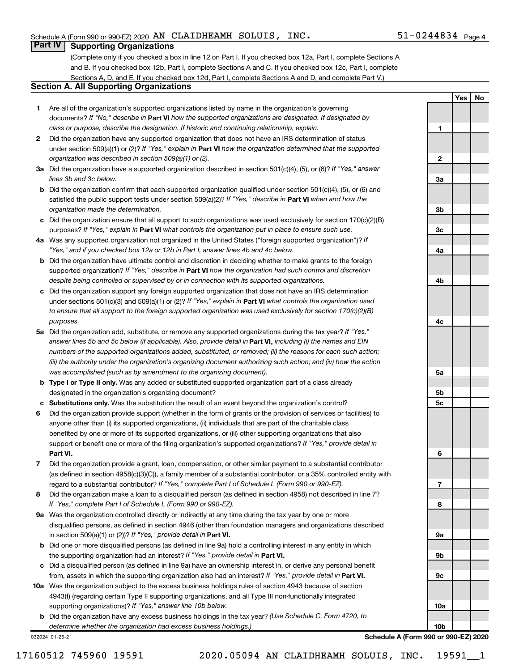**1**

**2**

**3a**

**3b**

**3c**

**4a**

**4b**

**4c**

**5a**

**5b 5c**

**6**

**7**

**8**

**9a**

**9b**

**9c**

**10a**

**Yes No**

#### **Part IV Supporting Organizations**

(Complete only if you checked a box in line 12 on Part I. If you checked box 12a, Part I, complete Sections A and B. If you checked box 12b, Part I, complete Sections A and C. If you checked box 12c, Part I, complete Sections A, D, and E. If you checked box 12d, Part I, complete Sections A and D, and complete Part V.)

#### **Section A. All Supporting Organizations**

- **1** Are all of the organization's supported organizations listed by name in the organization's governing documents? If "No," describe in Part VI how the supported organizations are designated. If designated by *class or purpose, describe the designation. If historic and continuing relationship, explain.*
- **2** Did the organization have any supported organization that does not have an IRS determination of status under section 509(a)(1) or (2)? If "Yes," explain in Part **VI** how the organization determined that the supported *organization was described in section 509(a)(1) or (2).*
- **3a** Did the organization have a supported organization described in section 501(c)(4), (5), or (6)? If "Yes," answer *lines 3b and 3c below.*
- **b** Did the organization confirm that each supported organization qualified under section 501(c)(4), (5), or (6) and satisfied the public support tests under section 509(a)(2)? If "Yes," describe in Part VI when and how the *organization made the determination.*
- **c** Did the organization ensure that all support to such organizations was used exclusively for section 170(c)(2)(B) purposes? If "Yes," explain in Part VI what controls the organization put in place to ensure such use.
- **4 a** *If* Was any supported organization not organized in the United States ("foreign supported organization")? *"Yes," and if you checked box 12a or 12b in Part I, answer lines 4b and 4c below.*
- **b** Did the organization have ultimate control and discretion in deciding whether to make grants to the foreign supported organization? If "Yes," describe in Part VI how the organization had such control and discretion *despite being controlled or supervised by or in connection with its supported organizations.*
- **c** Did the organization support any foreign supported organization that does not have an IRS determination under sections 501(c)(3) and 509(a)(1) or (2)? If "Yes," explain in Part VI what controls the organization used *to ensure that all support to the foreign supported organization was used exclusively for section 170(c)(2)(B) purposes.*
- **5a** Did the organization add, substitute, or remove any supported organizations during the tax year? If "Yes," answer lines 5b and 5c below (if applicable). Also, provide detail in **Part VI,** including (i) the names and EIN *numbers of the supported organizations added, substituted, or removed; (ii) the reasons for each such action; (iii) the authority under the organization's organizing document authorizing such action; and (iv) how the action was accomplished (such as by amendment to the organizing document).*
- **b Type I or Type II only.** Was any added or substituted supported organization part of a class already designated in the organization's organizing document?
- **c Substitutions only.**  Was the substitution the result of an event beyond the organization's control?
- **6** Did the organization provide support (whether in the form of grants or the provision of services or facilities) to **Part VI.** support or benefit one or more of the filing organization's supported organizations? If "Yes," provide detail in anyone other than (i) its supported organizations, (ii) individuals that are part of the charitable class benefited by one or more of its supported organizations, or (iii) other supporting organizations that also
- **7** Did the organization provide a grant, loan, compensation, or other similar payment to a substantial contributor regard to a substantial contributor? If "Yes," complete Part I of Schedule L (Form 990 or 990-EZ). (as defined in section 4958(c)(3)(C)), a family member of a substantial contributor, or a 35% controlled entity with
- **8** Did the organization make a loan to a disqualified person (as defined in section 4958) not described in line 7? *If "Yes," complete Part I of Schedule L (Form 990 or 990-EZ).*
- **9 a** Was the organization controlled directly or indirectly at any time during the tax year by one or more in section 509(a)(1) or (2))? If "Yes," provide detail in **Part VI.** disqualified persons, as defined in section 4946 (other than foundation managers and organizations described
- **b** Did one or more disqualified persons (as defined in line 9a) hold a controlling interest in any entity in which the supporting organization had an interest? If "Yes," provide detail in Part VI.
- **c** Did a disqualified person (as defined in line 9a) have an ownership interest in, or derive any personal benefit from, assets in which the supporting organization also had an interest? If "Yes," provide detail in Part VI.
- **10 a** Was the organization subject to the excess business holdings rules of section 4943 because of section supporting organizations)? If "Yes," answer line 10b below. 4943(f) (regarding certain Type II supporting organizations, and all Type III non-functionally integrated
	- **b** Did the organization have any excess business holdings in the tax year? (Use Schedule C, Form 4720, to *determine whether the organization had excess business holdings.)*

032024 01-25-21

**10b Schedule A (Form 990 or 990-EZ) 2020**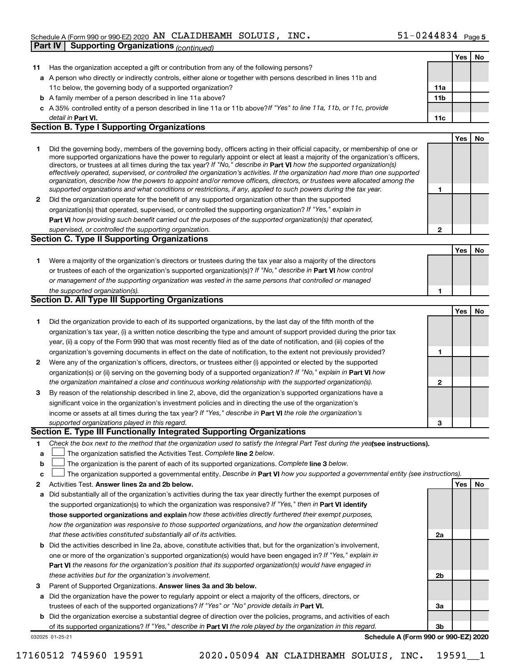#### Schedule A (Form 990 or 990-EZ) 2020 Page AN CLAIDHEAMH SOLUIS, INC. 51-0244834 **Part IV Supporting Organizations** *(continued)*

|              |                                                                                                                                                                                                                                                                                                                                                                                                                                                                                                                                                                                                                                                      |                | Yes | No |
|--------------|------------------------------------------------------------------------------------------------------------------------------------------------------------------------------------------------------------------------------------------------------------------------------------------------------------------------------------------------------------------------------------------------------------------------------------------------------------------------------------------------------------------------------------------------------------------------------------------------------------------------------------------------------|----------------|-----|----|
| 11           | Has the organization accepted a gift or contribution from any of the following persons?                                                                                                                                                                                                                                                                                                                                                                                                                                                                                                                                                              |                |     |    |
|              | a A person who directly or indirectly controls, either alone or together with persons described in lines 11b and                                                                                                                                                                                                                                                                                                                                                                                                                                                                                                                                     |                |     |    |
|              | 11c below, the governing body of a supported organization?                                                                                                                                                                                                                                                                                                                                                                                                                                                                                                                                                                                           | 11a            |     |    |
|              | <b>b</b> A family member of a person described in line 11a above?                                                                                                                                                                                                                                                                                                                                                                                                                                                                                                                                                                                    | 11b            |     |    |
|              | c A 35% controlled entity of a person described in line 11a or 11b above? If "Yes" to line 11a, 11b, or 11c, provide                                                                                                                                                                                                                                                                                                                                                                                                                                                                                                                                 |                |     |    |
|              | detail in Part VI.                                                                                                                                                                                                                                                                                                                                                                                                                                                                                                                                                                                                                                   | 11c            |     |    |
|              | <b>Section B. Type I Supporting Organizations</b>                                                                                                                                                                                                                                                                                                                                                                                                                                                                                                                                                                                                    |                |     |    |
|              |                                                                                                                                                                                                                                                                                                                                                                                                                                                                                                                                                                                                                                                      |                | Yes | No |
| 1.           | Did the governing body, members of the governing body, officers acting in their official capacity, or membership of one or<br>more supported organizations have the power to regularly appoint or elect at least a majority of the organization's officers,<br>directors, or trustees at all times during the tax year? If "No," describe in Part VI how the supported organization(s)<br>effectively operated, supervised, or controlled the organization's activities. If the organization had more than one supported<br>organization, describe how the powers to appoint and/or remove officers, directors, or trustees were allocated among the |                |     |    |
|              | supported organizations and what conditions or restrictions, if any, applied to such powers during the tax year.                                                                                                                                                                                                                                                                                                                                                                                                                                                                                                                                     | 1              |     |    |
| $\mathbf{2}$ | Did the organization operate for the benefit of any supported organization other than the supported                                                                                                                                                                                                                                                                                                                                                                                                                                                                                                                                                  |                |     |    |
|              | organization(s) that operated, supervised, or controlled the supporting organization? If "Yes," explain in                                                                                                                                                                                                                                                                                                                                                                                                                                                                                                                                           |                |     |    |
|              | Part VI how providing such benefit carried out the purposes of the supported organization(s) that operated,                                                                                                                                                                                                                                                                                                                                                                                                                                                                                                                                          |                |     |    |
|              | supervised, or controlled the supporting organization.<br><b>Section C. Type II Supporting Organizations</b>                                                                                                                                                                                                                                                                                                                                                                                                                                                                                                                                         | $\mathbf{2}$   |     |    |
|              |                                                                                                                                                                                                                                                                                                                                                                                                                                                                                                                                                                                                                                                      |                |     |    |
|              |                                                                                                                                                                                                                                                                                                                                                                                                                                                                                                                                                                                                                                                      |                | Yes | No |
| 1.           | Were a majority of the organization's directors or trustees during the tax year also a majority of the directors                                                                                                                                                                                                                                                                                                                                                                                                                                                                                                                                     |                |     |    |
|              | or trustees of each of the organization's supported organization(s)? If "No," describe in Part VI how control                                                                                                                                                                                                                                                                                                                                                                                                                                                                                                                                        |                |     |    |
|              | or management of the supporting organization was vested in the same persons that controlled or managed                                                                                                                                                                                                                                                                                                                                                                                                                                                                                                                                               |                |     |    |
|              | the supported organization(s).<br>Section D. All Type III Supporting Organizations                                                                                                                                                                                                                                                                                                                                                                                                                                                                                                                                                                   | 1              |     |    |
|              |                                                                                                                                                                                                                                                                                                                                                                                                                                                                                                                                                                                                                                                      |                |     | No |
|              |                                                                                                                                                                                                                                                                                                                                                                                                                                                                                                                                                                                                                                                      |                | Yes |    |
| 1.           | Did the organization provide to each of its supported organizations, by the last day of the fifth month of the                                                                                                                                                                                                                                                                                                                                                                                                                                                                                                                                       |                |     |    |
|              | organization's tax year, (i) a written notice describing the type and amount of support provided during the prior tax                                                                                                                                                                                                                                                                                                                                                                                                                                                                                                                                |                |     |    |
|              | year, (ii) a copy of the Form 990 that was most recently filed as of the date of notification, and (iii) copies of the                                                                                                                                                                                                                                                                                                                                                                                                                                                                                                                               |                |     |    |
|              | organization's governing documents in effect on the date of notification, to the extent not previously provided?                                                                                                                                                                                                                                                                                                                                                                                                                                                                                                                                     | 1              |     |    |
| 2            | Were any of the organization's officers, directors, or trustees either (i) appointed or elected by the supported                                                                                                                                                                                                                                                                                                                                                                                                                                                                                                                                     |                |     |    |
|              | organization(s) or (ii) serving on the governing body of a supported organization? If "No," explain in Part VI how<br>the organization maintained a close and continuous working relationship with the supported organization(s).                                                                                                                                                                                                                                                                                                                                                                                                                    | $\mathbf{2}$   |     |    |
|              | By reason of the relationship described in line 2, above, did the organization's supported organizations have a                                                                                                                                                                                                                                                                                                                                                                                                                                                                                                                                      |                |     |    |
| 3            | significant voice in the organization's investment policies and in directing the use of the organization's                                                                                                                                                                                                                                                                                                                                                                                                                                                                                                                                           |                |     |    |
|              |                                                                                                                                                                                                                                                                                                                                                                                                                                                                                                                                                                                                                                                      |                |     |    |
|              | income or assets at all times during the tax year? If "Yes," describe in Part VI the role the organization's                                                                                                                                                                                                                                                                                                                                                                                                                                                                                                                                         |                |     |    |
|              | supported organizations played in this regard.<br>Section E. Type III Functionally Integrated Supporting Organizations                                                                                                                                                                                                                                                                                                                                                                                                                                                                                                                               | 3              |     |    |
|              | Check the box next to the method that the organization used to satisfy the Integral Part Test during the yealsee instructions).                                                                                                                                                                                                                                                                                                                                                                                                                                                                                                                      |                |     |    |
| 1.           | The organization satisfied the Activities Test. Complete line 2 below.                                                                                                                                                                                                                                                                                                                                                                                                                                                                                                                                                                               |                |     |    |
| a            | The organization is the parent of each of its supported organizations. Complete line 3 below.                                                                                                                                                                                                                                                                                                                                                                                                                                                                                                                                                        |                |     |    |
| b<br>c       | The organization supported a governmental entity. Describe in Part VI how you supported a governmental entity (see instructions).                                                                                                                                                                                                                                                                                                                                                                                                                                                                                                                    |                |     |    |
| 2            | Activities Test. Answer lines 2a and 2b below.                                                                                                                                                                                                                                                                                                                                                                                                                                                                                                                                                                                                       |                | Yes | No |
|              | Did substantially all of the organization's activities during the tax year directly further the exempt purposes of                                                                                                                                                                                                                                                                                                                                                                                                                                                                                                                                   |                |     |    |
| а            | the supported organization(s) to which the organization was responsive? If "Yes," then in Part VI identify                                                                                                                                                                                                                                                                                                                                                                                                                                                                                                                                           |                |     |    |
|              | those supported organizations and explain how these activities directly furthered their exempt purposes,                                                                                                                                                                                                                                                                                                                                                                                                                                                                                                                                             |                |     |    |
|              | how the organization was responsive to those supported organizations, and how the organization determined                                                                                                                                                                                                                                                                                                                                                                                                                                                                                                                                            |                |     |    |
|              | that these activities constituted substantially all of its activities.                                                                                                                                                                                                                                                                                                                                                                                                                                                                                                                                                                               | 2a             |     |    |
| b            | Did the activities described in line 2a, above, constitute activities that, but for the organization's involvement,                                                                                                                                                                                                                                                                                                                                                                                                                                                                                                                                  |                |     |    |
|              | one or more of the organization's supported organization(s) would have been engaged in? If "Yes," explain in                                                                                                                                                                                                                                                                                                                                                                                                                                                                                                                                         |                |     |    |
|              | Part VI the reasons for the organization's position that its supported organization(s) would have engaged in                                                                                                                                                                                                                                                                                                                                                                                                                                                                                                                                         |                |     |    |
|              | these activities but for the organization's involvement.                                                                                                                                                                                                                                                                                                                                                                                                                                                                                                                                                                                             | 2 <sub>b</sub> |     |    |
| з            | Parent of Supported Organizations. Answer lines 3a and 3b below.                                                                                                                                                                                                                                                                                                                                                                                                                                                                                                                                                                                     |                |     |    |
|              | Did the organization have the power to regularly appoint or elect a majority of the officers, directors, or                                                                                                                                                                                                                                                                                                                                                                                                                                                                                                                                          |                |     |    |
| a            | trustees of each of the supported organizations? If "Yes" or "No" provide details in Part VI.                                                                                                                                                                                                                                                                                                                                                                                                                                                                                                                                                        | За             |     |    |
|              |                                                                                                                                                                                                                                                                                                                                                                                                                                                                                                                                                                                                                                                      |                |     |    |

032025 01-25-21 **b** Did the organization exercise a substantial degree of direction over the policies, programs, and activities of each of its supported organizations? If "Yes," describe in Part VI the role played by the organization in this regard.

**Schedule A (Form 990 or 990-EZ) 2020**

**3b**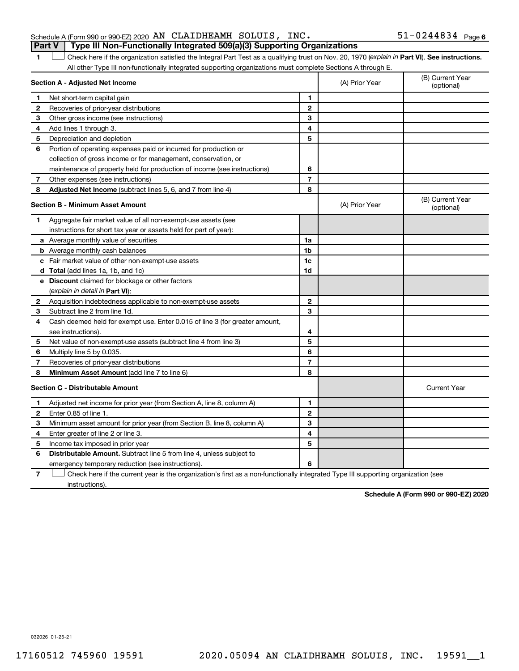| Schedule A (Form 990 or 990-EZ) 2020 $\,$ AN $\,$ CLAIDHEAMH $\,$ SOLUIS, $\,$ INC $\,$ |  | $51 - 0244834$ Page 6 |  |
|-----------------------------------------------------------------------------------------|--|-----------------------|--|
| <b>Part V</b> Type III Non-Functionally Integrated 509(a)(3) Supporting Organizations   |  |                       |  |

1 Check here if the organization satisfied the Integral Part Test as a qualifying trust on Nov. 20, 1970 (explain in Part VI). See instructions. All other Type III non-functionally integrated supporting organizations must complete Sections A through E.

|   | Section A - Adjusted Net Income                                                                                                   | (A) Prior Year | (B) Current Year<br>(optional) |                                |
|---|-----------------------------------------------------------------------------------------------------------------------------------|----------------|--------------------------------|--------------------------------|
| 1 | Net short-term capital gain                                                                                                       | 1              |                                |                                |
| 2 | Recoveries of prior-year distributions                                                                                            | $\mathbf{2}$   |                                |                                |
| З | Other gross income (see instructions)                                                                                             | 3              |                                |                                |
| 4 | Add lines 1 through 3.                                                                                                            | 4              |                                |                                |
| 5 | Depreciation and depletion                                                                                                        | 5              |                                |                                |
| 6 | Portion of operating expenses paid or incurred for production or                                                                  |                |                                |                                |
|   | collection of gross income or for management, conservation, or                                                                    |                |                                |                                |
|   | maintenance of property held for production of income (see instructions)                                                          | 6              |                                |                                |
| 7 | Other expenses (see instructions)                                                                                                 | $\overline{7}$ |                                |                                |
| 8 | Adjusted Net Income (subtract lines 5, 6, and 7 from line 4)                                                                      | 8              |                                |                                |
|   | <b>Section B - Minimum Asset Amount</b>                                                                                           |                | (A) Prior Year                 | (B) Current Year<br>(optional) |
| 1 | Aggregate fair market value of all non-exempt-use assets (see                                                                     |                |                                |                                |
|   | instructions for short tax year or assets held for part of year):                                                                 |                |                                |                                |
|   | a Average monthly value of securities                                                                                             | 1a             |                                |                                |
|   | <b>b</b> Average monthly cash balances                                                                                            | 1 <sub>b</sub> |                                |                                |
|   | c Fair market value of other non-exempt-use assets                                                                                | 1c             |                                |                                |
|   | d Total (add lines 1a, 1b, and 1c)                                                                                                | 1 <sub>d</sub> |                                |                                |
|   | e Discount claimed for blockage or other factors                                                                                  |                |                                |                                |
|   | (explain in detail in Part VI):                                                                                                   |                |                                |                                |
| 2 | Acquisition indebtedness applicable to non-exempt-use assets                                                                      | $\mathbf{2}$   |                                |                                |
| 3 | Subtract line 2 from line 1d.                                                                                                     | 3              |                                |                                |
| 4 | Cash deemed held for exempt use. Enter 0.015 of line 3 (for greater amount,                                                       |                |                                |                                |
|   | see instructions).                                                                                                                | 4              |                                |                                |
| 5 | Net value of non-exempt-use assets (subtract line 4 from line 3)                                                                  | 5              |                                |                                |
| 6 | Multiply line 5 by 0.035.                                                                                                         | 6              |                                |                                |
| 7 | Recoveries of prior-year distributions                                                                                            | $\overline{7}$ |                                |                                |
| 8 | Minimum Asset Amount (add line 7 to line 6)                                                                                       | 8              |                                |                                |
|   | <b>Section C - Distributable Amount</b>                                                                                           |                |                                | <b>Current Year</b>            |
| 1 | Adjusted net income for prior year (from Section A, line 8, column A)                                                             | 1              |                                |                                |
| 2 | Enter 0.85 of line 1.                                                                                                             | $\overline{2}$ |                                |                                |
| 3 | Minimum asset amount for prior year (from Section B, line 8, column A)                                                            | 3              |                                |                                |
| 4 | Enter greater of line 2 or line 3.                                                                                                | 4              |                                |                                |
| 5 | Income tax imposed in prior year                                                                                                  | 5              |                                |                                |
| 6 | <b>Distributable Amount.</b> Subtract line 5 from line 4, unless subject to                                                       |                |                                |                                |
|   | emergency temporary reduction (see instructions).                                                                                 | 6              |                                |                                |
| 7 | Check here if the current year is the organization's first as a non-functionally integrated Type III supporting organization (see |                |                                |                                |

instructions).

**Schedule A (Form 990 or 990-EZ) 2020**

032026 01-25-21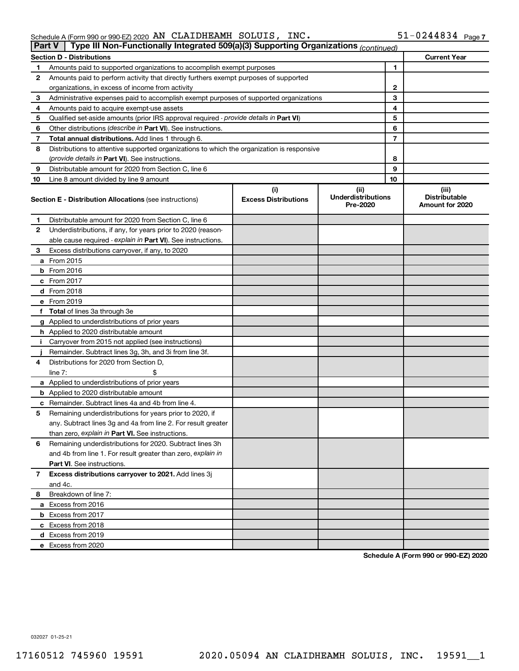| Schedule A (Form 990 or 990-EZ) 2020 $\,$ AN $\,$ CLAIDHEAMH $\,$ SOLUIS , $\,$ INC $\,$ . | $51 - 0244834$ Page 7 |
|--------------------------------------------------------------------------------------------|-----------------------|
|--------------------------------------------------------------------------------------------|-----------------------|

|    | Type III Non-Functionally Integrated 509(a)(3) Supporting Organizations (continued)<br>Part V |                                    |                                               |    |                                                  |  |
|----|-----------------------------------------------------------------------------------------------|------------------------------------|-----------------------------------------------|----|--------------------------------------------------|--|
|    | <b>Section D - Distributions</b>                                                              |                                    |                                               |    | <b>Current Year</b>                              |  |
| 1  | Amounts paid to supported organizations to accomplish exempt purposes                         |                                    | 1                                             |    |                                                  |  |
| 2  | Amounts paid to perform activity that directly furthers exempt purposes of supported          |                                    |                                               |    |                                                  |  |
|    | organizations, in excess of income from activity                                              |                                    | 2                                             |    |                                                  |  |
| 3  | Administrative expenses paid to accomplish exempt purposes of supported organizations         |                                    |                                               | 3  |                                                  |  |
| 4  | Amounts paid to acquire exempt-use assets                                                     |                                    | 4                                             |    |                                                  |  |
| 5  | Qualified set-aside amounts (prior IRS approval required - provide details in Part VI)        |                                    | 5                                             |    |                                                  |  |
| 6  | Other distributions (describe in Part VI). See instructions.                                  |                                    | 6                                             |    |                                                  |  |
| 7  | Total annual distributions. Add lines 1 through 6.                                            |                                    | 7                                             |    |                                                  |  |
| 8  | Distributions to attentive supported organizations to which the organization is responsive    |                                    |                                               |    |                                                  |  |
|    | ( <i>provide details in Part VI</i> ). See instructions.                                      |                                    |                                               | 8  |                                                  |  |
| 9  | Distributable amount for 2020 from Section C, line 6                                          |                                    |                                               | 9  |                                                  |  |
| 10 | Line 8 amount divided by line 9 amount                                                        |                                    |                                               | 10 |                                                  |  |
|    | <b>Section E - Distribution Allocations (see instructions)</b>                                | (i)<br><b>Excess Distributions</b> | (ii)<br><b>Underdistributions</b><br>Pre-2020 |    | (iii)<br><b>Distributable</b><br>Amount for 2020 |  |
| 1  | Distributable amount for 2020 from Section C, line 6                                          |                                    |                                               |    |                                                  |  |
| 2  | Underdistributions, if any, for years prior to 2020 (reason-                                  |                                    |                                               |    |                                                  |  |
|    | able cause required - explain in Part VI). See instructions.                                  |                                    |                                               |    |                                                  |  |
| З  | Excess distributions carryover, if any, to 2020                                               |                                    |                                               |    |                                                  |  |
|    | a From 2015                                                                                   |                                    |                                               |    |                                                  |  |
|    | $b$ From 2016                                                                                 |                                    |                                               |    |                                                  |  |
|    | c From 2017                                                                                   |                                    |                                               |    |                                                  |  |
|    | <b>d</b> From 2018                                                                            |                                    |                                               |    |                                                  |  |
|    | e From 2019                                                                                   |                                    |                                               |    |                                                  |  |
|    | f Total of lines 3a through 3e                                                                |                                    |                                               |    |                                                  |  |
|    | g Applied to underdistributions of prior years                                                |                                    |                                               |    |                                                  |  |
|    | <b>h</b> Applied to 2020 distributable amount                                                 |                                    |                                               |    |                                                  |  |
| Ť. | Carryover from 2015 not applied (see instructions)                                            |                                    |                                               |    |                                                  |  |
|    | Remainder. Subtract lines 3g, 3h, and 3i from line 3f.                                        |                                    |                                               |    |                                                  |  |
| 4  | Distributions for 2020 from Section D,                                                        |                                    |                                               |    |                                                  |  |
|    | line 7:                                                                                       |                                    |                                               |    |                                                  |  |
|    | a Applied to underdistributions of prior years                                                |                                    |                                               |    |                                                  |  |
|    | <b>b</b> Applied to 2020 distributable amount                                                 |                                    |                                               |    |                                                  |  |
|    | c Remainder. Subtract lines 4a and 4b from line 4.                                            |                                    |                                               |    |                                                  |  |
| 5  | Remaining underdistributions for years prior to 2020, if                                      |                                    |                                               |    |                                                  |  |
|    | any. Subtract lines 3g and 4a from line 2. For result greater                                 |                                    |                                               |    |                                                  |  |
|    | than zero, explain in Part VI. See instructions.                                              |                                    |                                               |    |                                                  |  |
| 6  | Remaining underdistributions for 2020. Subtract lines 3h                                      |                                    |                                               |    |                                                  |  |
|    | and 4b from line 1. For result greater than zero, explain in                                  |                                    |                                               |    |                                                  |  |
|    | <b>Part VI.</b> See instructions.                                                             |                                    |                                               |    |                                                  |  |
| 7  | Excess distributions carryover to 2021. Add lines 3j                                          |                                    |                                               |    |                                                  |  |
|    | and 4c.                                                                                       |                                    |                                               |    |                                                  |  |
| 8  | Breakdown of line 7:                                                                          |                                    |                                               |    |                                                  |  |
|    | a Excess from 2016                                                                            |                                    |                                               |    |                                                  |  |
|    | <b>b</b> Excess from 2017                                                                     |                                    |                                               |    |                                                  |  |
|    | c Excess from 2018                                                                            |                                    |                                               |    |                                                  |  |
|    | d Excess from 2019                                                                            |                                    |                                               |    |                                                  |  |
|    | e Excess from 2020                                                                            |                                    |                                               |    |                                                  |  |

**Schedule A (Form 990 or 990-EZ) 2020**

032027 01-25-21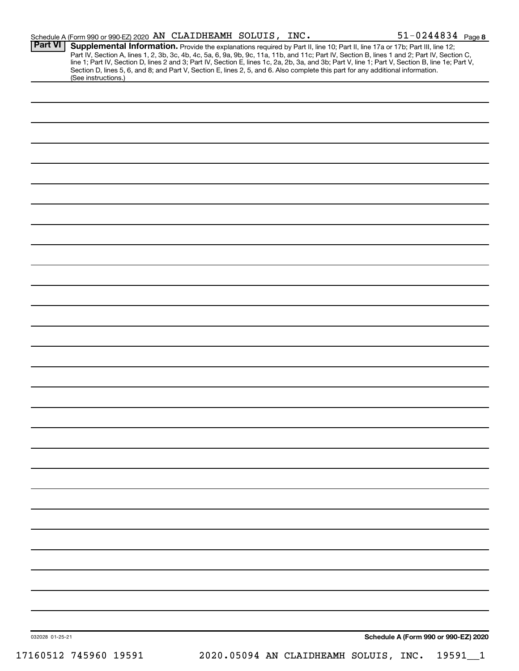|                 | Schedule A (Form 990 or 990-EZ) 2020 AN CLAIDHEAMH SOLUIS, INC. |  |  | $51 - 0244834$ Page 8                                                                                                                                                                                                                                                               |
|-----------------|-----------------------------------------------------------------|--|--|-------------------------------------------------------------------------------------------------------------------------------------------------------------------------------------------------------------------------------------------------------------------------------------|
| <b>Part VI</b>  |                                                                 |  |  | Supplemental Information. Provide the explanations required by Part II, line 10; Part II, line 17a or 17b; Part III, line 12;<br>Part IV, Section A, lines 1, 2, 3b, 3c, 4b, 4c, 5a, 6, 9a, 9b, 9c, 11a, 11b, and 11c; Part IV, Section B, lines 1 and 2; Part IV, Section C,       |
|                 | (See instructions.)                                             |  |  | line 1; Part IV, Section D, lines 2 and 3; Part IV, Section E, lines 1c, 2a, 2b, 3a, and 3b; Part V, line 1; Part V, Section B, line 1e; Part V,<br>Section D, lines 5, 6, and 8; and Part V, Section E, lines 2, 5, and 6. Also complete this part for any additional information. |
|                 |                                                                 |  |  |                                                                                                                                                                                                                                                                                     |
|                 |                                                                 |  |  |                                                                                                                                                                                                                                                                                     |
|                 |                                                                 |  |  |                                                                                                                                                                                                                                                                                     |
|                 |                                                                 |  |  |                                                                                                                                                                                                                                                                                     |
|                 |                                                                 |  |  |                                                                                                                                                                                                                                                                                     |
|                 |                                                                 |  |  |                                                                                                                                                                                                                                                                                     |
|                 |                                                                 |  |  |                                                                                                                                                                                                                                                                                     |
|                 |                                                                 |  |  |                                                                                                                                                                                                                                                                                     |
|                 |                                                                 |  |  |                                                                                                                                                                                                                                                                                     |
|                 |                                                                 |  |  |                                                                                                                                                                                                                                                                                     |
|                 |                                                                 |  |  |                                                                                                                                                                                                                                                                                     |
|                 |                                                                 |  |  |                                                                                                                                                                                                                                                                                     |
|                 |                                                                 |  |  |                                                                                                                                                                                                                                                                                     |
|                 |                                                                 |  |  |                                                                                                                                                                                                                                                                                     |
|                 |                                                                 |  |  |                                                                                                                                                                                                                                                                                     |
|                 |                                                                 |  |  |                                                                                                                                                                                                                                                                                     |
|                 |                                                                 |  |  |                                                                                                                                                                                                                                                                                     |
|                 |                                                                 |  |  |                                                                                                                                                                                                                                                                                     |
|                 |                                                                 |  |  |                                                                                                                                                                                                                                                                                     |
|                 |                                                                 |  |  |                                                                                                                                                                                                                                                                                     |
|                 |                                                                 |  |  |                                                                                                                                                                                                                                                                                     |
|                 |                                                                 |  |  |                                                                                                                                                                                                                                                                                     |
|                 |                                                                 |  |  |                                                                                                                                                                                                                                                                                     |
|                 |                                                                 |  |  |                                                                                                                                                                                                                                                                                     |
|                 |                                                                 |  |  |                                                                                                                                                                                                                                                                                     |
|                 |                                                                 |  |  |                                                                                                                                                                                                                                                                                     |
|                 |                                                                 |  |  |                                                                                                                                                                                                                                                                                     |
|                 |                                                                 |  |  |                                                                                                                                                                                                                                                                                     |
|                 |                                                                 |  |  |                                                                                                                                                                                                                                                                                     |
|                 |                                                                 |  |  |                                                                                                                                                                                                                                                                                     |
| 032028 01-25-21 |                                                                 |  |  | Schedule A (Form 990 or 990-EZ) 2020                                                                                                                                                                                                                                                |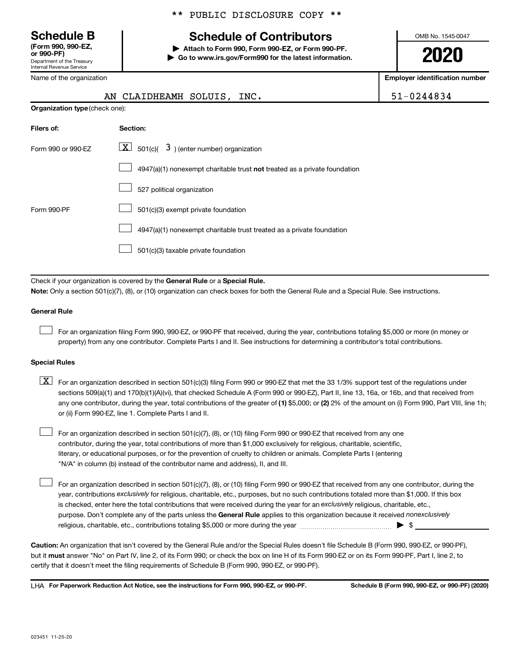**(Form 990, 990-EZ,**

Department of the Treasury Internal Revenue Service

Name of the organization

## **Schedule B Schedule of Contributors**

**or 990-PF) | Attach to Form 990, Form 990-EZ, or Form 990-PF. | Go to www.irs.gov/Form990 for the latest information.** OMB No. 1545-0047

**2020**

**Employer identification number**

| AN                                                                                                                                                                                                                                                                               | $51 - 0244834$                                                                                                                            |  |  |  |  |  |
|----------------------------------------------------------------------------------------------------------------------------------------------------------------------------------------------------------------------------------------------------------------------------------|-------------------------------------------------------------------------------------------------------------------------------------------|--|--|--|--|--|
|                                                                                                                                                                                                                                                                                  | Organization type (check one):                                                                                                            |  |  |  |  |  |
| Filers of:                                                                                                                                                                                                                                                                       | Section:                                                                                                                                  |  |  |  |  |  |
| Form 990 or 990-EZ                                                                                                                                                                                                                                                               | $ \mathbf{X} $ 501(c)( 3) (enter number) organization                                                                                     |  |  |  |  |  |
|                                                                                                                                                                                                                                                                                  | 4947(a)(1) nonexempt charitable trust not treated as a private foundation                                                                 |  |  |  |  |  |
|                                                                                                                                                                                                                                                                                  | 527 political organization                                                                                                                |  |  |  |  |  |
| Form 990-PF                                                                                                                                                                                                                                                                      | 501(c)(3) exempt private foundation                                                                                                       |  |  |  |  |  |
|                                                                                                                                                                                                                                                                                  | 4947(a)(1) nonexempt charitable trust treated as a private foundation                                                                     |  |  |  |  |  |
|                                                                                                                                                                                                                                                                                  | 501(c)(3) taxable private foundation                                                                                                      |  |  |  |  |  |
|                                                                                                                                                                                                                                                                                  |                                                                                                                                           |  |  |  |  |  |
|                                                                                                                                                                                                                                                                                  | Check if your organization is covered by the General Rule or a Special Rule.                                                              |  |  |  |  |  |
|                                                                                                                                                                                                                                                                                  | Note: Only a section 501(c)(7), (8), or (10) organization can check boxes for both the General Rule and a Special Rule. See instructions. |  |  |  |  |  |
| <b>General Rule</b>                                                                                                                                                                                                                                                              |                                                                                                                                           |  |  |  |  |  |
| For an organization filing Form 990, 990-EZ, or 990-PF that received, during the year, contributions totaling \$5,000 or more (in money or<br>property) from any one contributor. Complete Parts I and II. See instructions for determining a contributor's total contributions. |                                                                                                                                           |  |  |  |  |  |
| <b>Special Rules</b>                                                                                                                                                                                                                                                             |                                                                                                                                           |  |  |  |  |  |

| $\boxed{\text{X}}$ For an organization described in section 501(c)(3) filing Form 990 or 990-EZ that met the 33 1/3% support test of the regulations under |
|------------------------------------------------------------------------------------------------------------------------------------------------------------|
| sections 509(a)(1) and 170(b)(1)(A)(vi), that checked Schedule A (Form 990 or 990-EZ), Part II, line 13, 16a, or 16b, and that received from               |
| any one contributor, during the year, total contributions of the greater of (1) \$5,000; or (2) 2% of the amount on (i) Form 990, Part VIII, line 1h;      |
| or (ii) Form 990-EZ, line 1. Complete Parts I and II.                                                                                                      |

For an organization described in section 501(c)(7), (8), or (10) filing Form 990 or 990-EZ that received from any one contributor, during the year, total contributions of more than \$1,000 exclusively for religious, charitable, scientific, literary, or educational purposes, or for the prevention of cruelty to children or animals. Complete Parts I (entering "N/A" in column (b) instead of the contributor name and address), II, and III.  $\Box$ 

purpose. Don't complete any of the parts unless the General Rule applies to this organization because it received nonexclusively year, contributions exclusively for religious, charitable, etc., purposes, but no such contributions totaled more than \$1,000. If this box is checked, enter here the total contributions that were received during the year for an exclusively religious, charitable, etc., For an organization described in section 501(c)(7), (8), or (10) filing Form 990 or 990-EZ that received from any one contributor, during the religious, charitable, etc., contributions totaling \$5,000 or more during the year  $~\ldots$  $~$   $\ldots$   $\ldots$   $\ldots$   $\ldots$   $\ldots$ 

**Caution:**  An organization that isn't covered by the General Rule and/or the Special Rules doesn't file Schedule B (Form 990, 990-EZ, or 990-PF),  **must** but it answer "No" on Part IV, line 2, of its Form 990; or check the box on line H of its Form 990-EZ or on its Form 990-PF, Part I, line 2, to certify that it doesn't meet the filing requirements of Schedule B (Form 990, 990-EZ, or 990-PF).

**For Paperwork Reduction Act Notice, see the instructions for Form 990, 990-EZ, or 990-PF. Schedule B (Form 990, 990-EZ, or 990-PF) (2020)** LHA

 $\Box$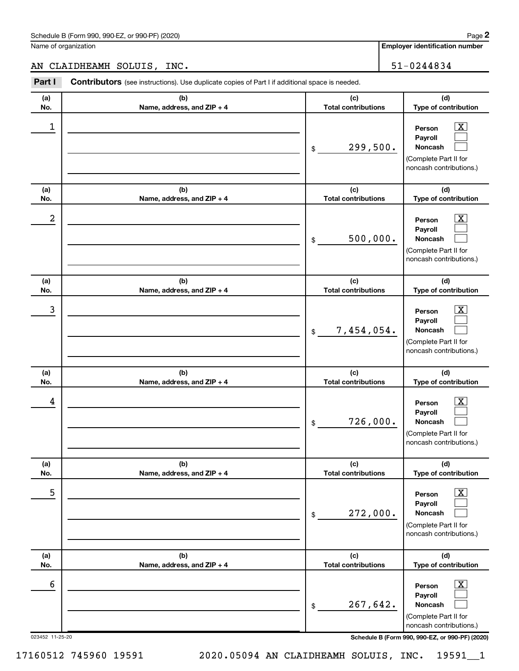Name of organization

**Employer identification number**

### AN CLAIDHEAMH SOLUIS, INC. 51-0244834

| Part I     | <b>Contributors</b> (see instructions). Use duplicate copies of Part I if additional space is needed. |                                   |                                                                                                                    |  |  |  |
|------------|-------------------------------------------------------------------------------------------------------|-----------------------------------|--------------------------------------------------------------------------------------------------------------------|--|--|--|
| (a)<br>No. | (b)<br>Name, address, and ZIP + 4                                                                     | (c)<br><b>Total contributions</b> | (d)<br>Type of contribution                                                                                        |  |  |  |
| 1          |                                                                                                       | 299,500.<br>\$                    | $\overline{\text{X}}$<br>Person<br>Payroll<br><b>Noncash</b><br>(Complete Part II for<br>noncash contributions.)   |  |  |  |
| (a)<br>No. | (b)<br>Name, address, and ZIP + 4                                                                     | (c)<br><b>Total contributions</b> | (d)<br>Type of contribution                                                                                        |  |  |  |
| 2          |                                                                                                       | 500,000.<br>\$                    | $\overline{\text{X}}$<br>Person<br>Payroll<br><b>Noncash</b><br>(Complete Part II for<br>noncash contributions.)   |  |  |  |
| (a)<br>No. | (b)<br>Name, address, and ZIP + 4                                                                     | (c)<br><b>Total contributions</b> | (d)<br>Type of contribution                                                                                        |  |  |  |
| 3          |                                                                                                       | 7,454,054.<br>\$                  | $\overline{\text{X}}$<br>Person<br>Payroll<br><b>Noncash</b><br>(Complete Part II for<br>noncash contributions.)   |  |  |  |
| (a)<br>No. | (b)<br>Name, address, and ZIP + 4                                                                     | (c)<br><b>Total contributions</b> | (d)<br>Type of contribution                                                                                        |  |  |  |
| 4          |                                                                                                       | 726,000.<br>\$                    | $\overline{\text{X}}$<br>Person<br>Payroll<br>Noncash<br>(Complete Part II for<br>noncash contributions.)          |  |  |  |
| (a)<br>No. | (b)<br>Name, address, and ZIP + 4                                                                     | (c)<br><b>Total contributions</b> | (d)<br>Type of contribution                                                                                        |  |  |  |
| 5          |                                                                                                       | 272,000.<br>\$                    | $\overline{\textbf{X}}$<br>Person<br>Payroll<br><b>Noncash</b><br>(Complete Part II for<br>noncash contributions.) |  |  |  |
| (a)<br>No. | (b)<br>Name, address, and ZIP + 4                                                                     | (c)<br><b>Total contributions</b> | (d)<br>Type of contribution                                                                                        |  |  |  |
| 6          |                                                                                                       | 267,642.<br>\$                    | $\overline{\text{X}}$<br>Person<br>Payroll<br>Noncash<br>(Complete Part II for<br>noncash contributions.)          |  |  |  |

023452 11-25-20 **Schedule B (Form 990, 990-EZ, or 990-PF) (2020)**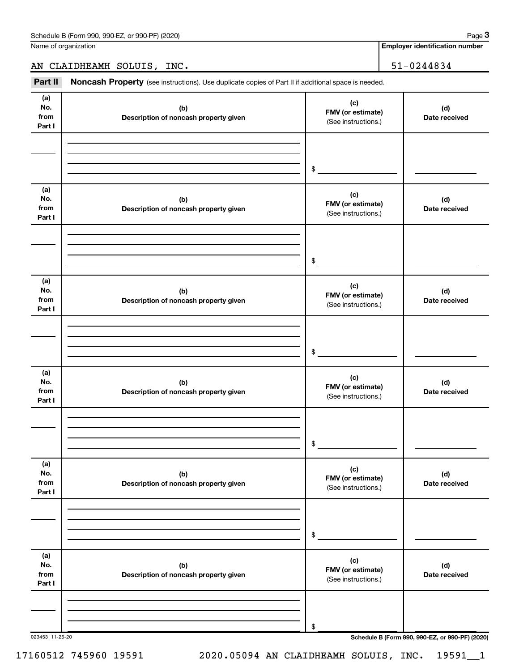Name of organization

**Employer identification number**

AN CLAIDHEAMH SOLUIS, INC. 51-0244834

Part II Noncash Property (see instructions). Use duplicate copies of Part II if additional space is needed.

| (a)                          |                                              | (c)                                             |                                                 |
|------------------------------|----------------------------------------------|-------------------------------------------------|-------------------------------------------------|
| No.<br>from<br>Part I        | (b)<br>Description of noncash property given | FMV (or estimate)<br>(See instructions.)        | (d)<br>Date received                            |
|                              |                                              |                                                 |                                                 |
|                              |                                              |                                                 |                                                 |
|                              |                                              | \$                                              |                                                 |
| (a)<br>No.<br>from<br>Part I | (b)<br>Description of noncash property given | (c)<br>FMV (or estimate)<br>(See instructions.) | (d)<br>Date received                            |
|                              |                                              |                                                 |                                                 |
|                              |                                              |                                                 |                                                 |
|                              |                                              | $\frac{1}{2}$                                   |                                                 |
| (a)<br>No.<br>from<br>Part I | (b)<br>Description of noncash property given | (c)<br>FMV (or estimate)<br>(See instructions.) | (d)<br>Date received                            |
|                              |                                              |                                                 |                                                 |
|                              |                                              |                                                 |                                                 |
|                              |                                              | $\sim$                                          |                                                 |
| (a)<br>No.<br>from<br>Part I | (b)<br>Description of noncash property given | (c)<br>FMV (or estimate)<br>(See instructions.) | (d)<br>Date received                            |
|                              |                                              |                                                 |                                                 |
|                              |                                              |                                                 |                                                 |
|                              |                                              | $$\mathbb{S}$$                                  |                                                 |
| (a)<br>No.<br>from<br>Part I | (b)<br>Description of noncash property given | (c)<br>FMV (or estimate)<br>(See instructions.) | (d)<br>Date received                            |
|                              |                                              |                                                 |                                                 |
|                              |                                              |                                                 |                                                 |
|                              |                                              | \$                                              |                                                 |
| (a)<br>No.<br>from<br>Part I | (b)<br>Description of noncash property given | (c)<br>FMV (or estimate)<br>(See instructions.) | (d)<br>Date received                            |
|                              |                                              |                                                 |                                                 |
|                              |                                              |                                                 |                                                 |
|                              |                                              | \$                                              |                                                 |
| 023453 11-25-20              |                                              |                                                 | Schedule B (Form 990, 990-EZ, or 990-PF) (2020) |

17160512 745960 19591 2020.05094 AN CLAIDHEAMH SOLUIS, INC. 19591\_\_1

**3**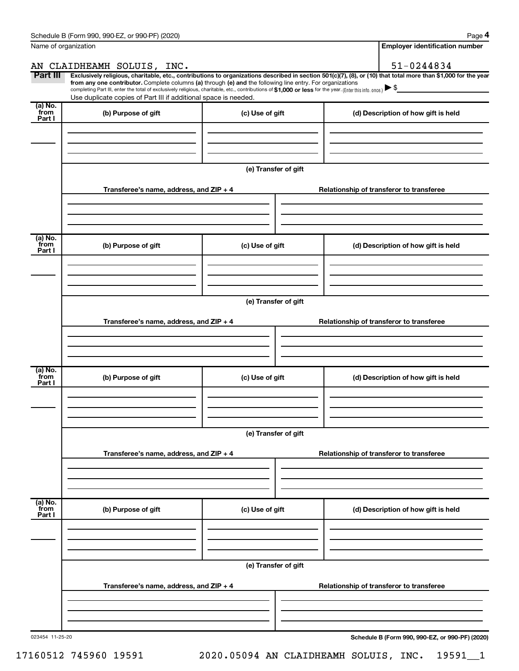| Name of organization      |                                                                                                                                                                                                                                                                                                                                                                    |                      | <b>Employer identification number</b>                                                                                                                          |  |  |
|---------------------------|--------------------------------------------------------------------------------------------------------------------------------------------------------------------------------------------------------------------------------------------------------------------------------------------------------------------------------------------------------------------|----------------------|----------------------------------------------------------------------------------------------------------------------------------------------------------------|--|--|
|                           | AN CLAIDHEAMH SOLUIS, INC.                                                                                                                                                                                                                                                                                                                                         |                      | 51-0244834                                                                                                                                                     |  |  |
| Part III                  | from any one contributor. Complete columns (a) through (e) and the following line entry. For organizations<br>completing Part III, enter the total of exclusively religious, charitable, etc., contributions of \$1,000 or less for the year. (Enter this info. once.) $\blacktriangleright$ \$<br>Use duplicate copies of Part III if additional space is needed. |                      | Exclusively religious, charitable, etc., contributions to organizations described in section 501(c)(7), (8), or (10) that total more than \$1,000 for the year |  |  |
| (a) No.<br>from<br>Part I | (b) Purpose of gift                                                                                                                                                                                                                                                                                                                                                | (c) Use of gift      | (d) Description of how gift is held                                                                                                                            |  |  |
|                           |                                                                                                                                                                                                                                                                                                                                                                    | (e) Transfer of gift |                                                                                                                                                                |  |  |
|                           | Transferee's name, address, and $ZIP + 4$                                                                                                                                                                                                                                                                                                                          |                      | Relationship of transferor to transferee                                                                                                                       |  |  |
| (a) No.<br>from<br>Part I | (b) Purpose of gift                                                                                                                                                                                                                                                                                                                                                | (c) Use of gift      | (d) Description of how gift is held                                                                                                                            |  |  |
|                           |                                                                                                                                                                                                                                                                                                                                                                    | (e) Transfer of gift |                                                                                                                                                                |  |  |
|                           | Transferee's name, address, and ZIP + 4                                                                                                                                                                                                                                                                                                                            |                      | Relationship of transferor to transferee                                                                                                                       |  |  |
| (a) No.<br>from<br>Part I | (b) Purpose of gift                                                                                                                                                                                                                                                                                                                                                | (c) Use of gift      | (d) Description of how gift is held                                                                                                                            |  |  |
|                           |                                                                                                                                                                                                                                                                                                                                                                    |                      |                                                                                                                                                                |  |  |
|                           | Transferee's name, address, and ZIP + 4                                                                                                                                                                                                                                                                                                                            | (e) Transfer of gift | Relationship of transferor to transferee                                                                                                                       |  |  |
|                           |                                                                                                                                                                                                                                                                                                                                                                    |                      |                                                                                                                                                                |  |  |
| (a) No.<br>from<br>Part I | (b) Purpose of gift                                                                                                                                                                                                                                                                                                                                                | (c) Use of gift      | (d) Description of how gift is held                                                                                                                            |  |  |
|                           |                                                                                                                                                                                                                                                                                                                                                                    |                      |                                                                                                                                                                |  |  |
|                           | Transferee's name, address, and ZIP + 4                                                                                                                                                                                                                                                                                                                            | (e) Transfer of gift | Relationship of transferor to transferee                                                                                                                       |  |  |
|                           |                                                                                                                                                                                                                                                                                                                                                                    |                      |                                                                                                                                                                |  |  |

023454 11-25-20

**Schedule B (Form 990, 990-EZ, or 990-PF) (2020)**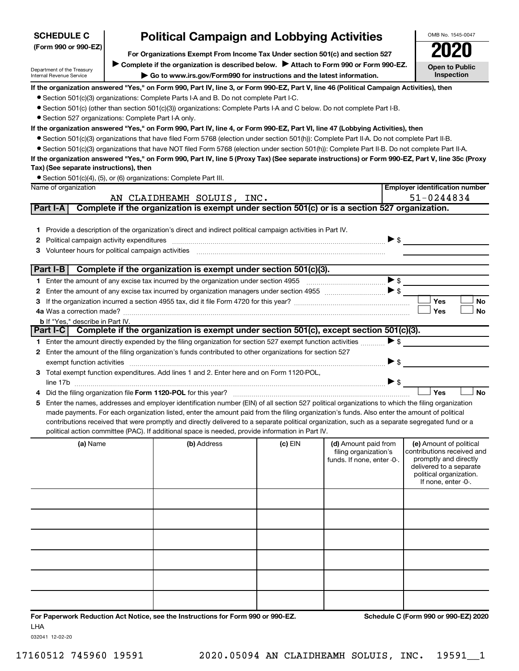| <b>SCHEDULE C</b>                                      |                                                                                                                                                                         | <b>Political Campaign and Lobbying Activities</b>                                                                                                                                                                                 |         |                                               |                          | OMB No. 1545-0047                                     |  |
|--------------------------------------------------------|-------------------------------------------------------------------------------------------------------------------------------------------------------------------------|-----------------------------------------------------------------------------------------------------------------------------------------------------------------------------------------------------------------------------------|---------|-----------------------------------------------|--------------------------|-------------------------------------------------------|--|
| (Form 990 or 990-EZ)                                   |                                                                                                                                                                         |                                                                                                                                                                                                                                   |         |                                               |                          |                                                       |  |
|                                                        | For Organizations Exempt From Income Tax Under section 501(c) and section 527<br>Complete if the organization is described below.<br>Attach to Form 990 or Form 990-EZ. |                                                                                                                                                                                                                                   |         |                                               |                          |                                                       |  |
| Department of the Treasury<br>Internal Revenue Service |                                                                                                                                                                         | Go to www.irs.gov/Form990 for instructions and the latest information.                                                                                                                                                            |         |                                               |                          | <b>Open to Public</b><br>Inspection                   |  |
|                                                        |                                                                                                                                                                         |                                                                                                                                                                                                                                   |         |                                               |                          |                                                       |  |
|                                                        |                                                                                                                                                                         | If the organization answered "Yes," on Form 990, Part IV, line 3, or Form 990-EZ, Part V, line 46 (Political Campaign Activities), then<br>• Section 501(c)(3) organizations: Complete Parts I-A and B. Do not complete Part I-C. |         |                                               |                          |                                                       |  |
|                                                        |                                                                                                                                                                         | • Section 501(c) (other than section 501(c)(3)) organizations: Complete Parts I-A and C below. Do not complete Part I-B.                                                                                                          |         |                                               |                          |                                                       |  |
| • Section 527 organizations: Complete Part I-A only.   |                                                                                                                                                                         |                                                                                                                                                                                                                                   |         |                                               |                          |                                                       |  |
|                                                        |                                                                                                                                                                         | If the organization answered "Yes," on Form 990, Part IV, line 4, or Form 990-EZ, Part VI, line 47 (Lobbying Activities), then                                                                                                    |         |                                               |                          |                                                       |  |
|                                                        |                                                                                                                                                                         | ● Section 501(c)(3) organizations that have filed Form 5768 (election under section 501(h)): Complete Part II-A. Do not complete Part II-B.                                                                                       |         |                                               |                          |                                                       |  |
|                                                        |                                                                                                                                                                         | • Section 501(c)(3) organizations that have NOT filed Form 5768 (election under section 501(h)): Complete Part II-B. Do not complete Part II-A.                                                                                   |         |                                               |                          |                                                       |  |
|                                                        |                                                                                                                                                                         | If the organization answered "Yes," on Form 990, Part IV, line 5 (Proxy Tax) (See separate instructions) or Form 990-EZ, Part V, line 35c (Proxy                                                                                  |         |                                               |                          |                                                       |  |
| Tax) (See separate instructions), then                 |                                                                                                                                                                         |                                                                                                                                                                                                                                   |         |                                               |                          |                                                       |  |
|                                                        |                                                                                                                                                                         | • Section 501(c)(4), (5), or (6) organizations: Complete Part III.                                                                                                                                                                |         |                                               |                          |                                                       |  |
| Name of organization                                   |                                                                                                                                                                         |                                                                                                                                                                                                                                   |         |                                               |                          | <b>Employer identification number</b>                 |  |
| Part I-A                                               |                                                                                                                                                                         | AN CLAIDHEAMH SOLUIS, INC.<br>Complete if the organization is exempt under section 501(c) or is a section 527 organization.                                                                                                       |         |                                               |                          | 51-0244834                                            |  |
|                                                        |                                                                                                                                                                         |                                                                                                                                                                                                                                   |         |                                               |                          |                                                       |  |
|                                                        |                                                                                                                                                                         | 1 Provide a description of the organization's direct and indirect political campaign activities in Part IV.                                                                                                                       |         |                                               |                          |                                                       |  |
| 2                                                      |                                                                                                                                                                         |                                                                                                                                                                                                                                   |         |                                               | $\triangleright$ \$      |                                                       |  |
| 3                                                      |                                                                                                                                                                         | Volunteer hours for political campaign activities [11] with the content of the content of the content of the content of the content of the content of the content of the content of the content of the content of the content     |         |                                               |                          |                                                       |  |
|                                                        |                                                                                                                                                                         |                                                                                                                                                                                                                                   |         |                                               |                          |                                                       |  |
| Part I-B                                               |                                                                                                                                                                         | Complete if the organization is exempt under section 501(c)(3).                                                                                                                                                                   |         |                                               |                          |                                                       |  |
|                                                        |                                                                                                                                                                         |                                                                                                                                                                                                                                   |         |                                               | $\blacktriangleright$ \$ |                                                       |  |
| 2                                                      |                                                                                                                                                                         |                                                                                                                                                                                                                                   |         |                                               |                          |                                                       |  |
| 3                                                      |                                                                                                                                                                         |                                                                                                                                                                                                                                   |         |                                               |                          | Yes<br>No                                             |  |
|                                                        |                                                                                                                                                                         |                                                                                                                                                                                                                                   |         |                                               |                          | Yes<br><b>No</b>                                      |  |
| <b>b</b> If "Yes," describe in Part IV.                |                                                                                                                                                                         | Part I-C Complete if the organization is exempt under section 501(c), except section 501(c)(3).                                                                                                                                   |         |                                               |                          |                                                       |  |
|                                                        |                                                                                                                                                                         | 1 Enter the amount directly expended by the filing organization for section 527 exempt function activities                                                                                                                        |         |                                               | $\blacktriangleright$ \$ |                                                       |  |
|                                                        |                                                                                                                                                                         | 2 Enter the amount of the filing organization's funds contributed to other organizations for section 527                                                                                                                          |         |                                               |                          |                                                       |  |
|                                                        |                                                                                                                                                                         |                                                                                                                                                                                                                                   |         |                                               | $\blacktriangleright$ \$ |                                                       |  |
|                                                        |                                                                                                                                                                         | 3 Total exempt function expenditures. Add lines 1 and 2. Enter here and on Form 1120-POL,                                                                                                                                         |         |                                               |                          |                                                       |  |
|                                                        |                                                                                                                                                                         |                                                                                                                                                                                                                                   |         |                                               | $\triangleright$ \$      |                                                       |  |
|                                                        |                                                                                                                                                                         |                                                                                                                                                                                                                                   |         |                                               |                          | Yes<br><b>No</b>                                      |  |
| 5                                                      |                                                                                                                                                                         | Enter the names, addresses and employer identification number (EIN) of all section 527 political organizations to which the filing organization                                                                                   |         |                                               |                          |                                                       |  |
|                                                        |                                                                                                                                                                         | made payments. For each organization listed, enter the amount paid from the filing organization's funds. Also enter the amount of political                                                                                       |         |                                               |                          |                                                       |  |
|                                                        |                                                                                                                                                                         | contributions received that were promptly and directly delivered to a separate political organization, such as a separate segregated fund or a                                                                                    |         |                                               |                          |                                                       |  |
|                                                        |                                                                                                                                                                         | political action committee (PAC). If additional space is needed, provide information in Part IV.                                                                                                                                  |         |                                               |                          |                                                       |  |
| (a) Name                                               |                                                                                                                                                                         | (b) Address                                                                                                                                                                                                                       | (c) EIN | (d) Amount paid from<br>filing organization's |                          | (e) Amount of political<br>contributions received and |  |
|                                                        |                                                                                                                                                                         |                                                                                                                                                                                                                                   |         | funds. If none, enter -0-.                    |                          | promptly and directly                                 |  |
|                                                        |                                                                                                                                                                         |                                                                                                                                                                                                                                   |         |                                               |                          | delivered to a separate<br>political organization.    |  |
|                                                        |                                                                                                                                                                         |                                                                                                                                                                                                                                   |         |                                               |                          | If none, enter -0-.                                   |  |
|                                                        |                                                                                                                                                                         |                                                                                                                                                                                                                                   |         |                                               |                          |                                                       |  |
|                                                        |                                                                                                                                                                         |                                                                                                                                                                                                                                   |         |                                               |                          |                                                       |  |
|                                                        |                                                                                                                                                                         |                                                                                                                                                                                                                                   |         |                                               |                          |                                                       |  |
|                                                        |                                                                                                                                                                         |                                                                                                                                                                                                                                   |         |                                               |                          |                                                       |  |
|                                                        |                                                                                                                                                                         |                                                                                                                                                                                                                                   |         |                                               |                          |                                                       |  |
|                                                        |                                                                                                                                                                         |                                                                                                                                                                                                                                   |         |                                               |                          |                                                       |  |
|                                                        |                                                                                                                                                                         |                                                                                                                                                                                                                                   |         |                                               |                          |                                                       |  |
|                                                        |                                                                                                                                                                         |                                                                                                                                                                                                                                   |         |                                               |                          |                                                       |  |
|                                                        |                                                                                                                                                                         |                                                                                                                                                                                                                                   |         |                                               |                          |                                                       |  |
|                                                        |                                                                                                                                                                         |                                                                                                                                                                                                                                   |         |                                               |                          |                                                       |  |
|                                                        |                                                                                                                                                                         |                                                                                                                                                                                                                                   |         |                                               |                          |                                                       |  |
|                                                        |                                                                                                                                                                         |                                                                                                                                                                                                                                   |         |                                               |                          |                                                       |  |

**For Paperwork Reduction Act Notice, see the Instructions for Form 990 or 990-EZ. Schedule C (Form 990 or 990-EZ) 2020** LHA

032041 12-02-20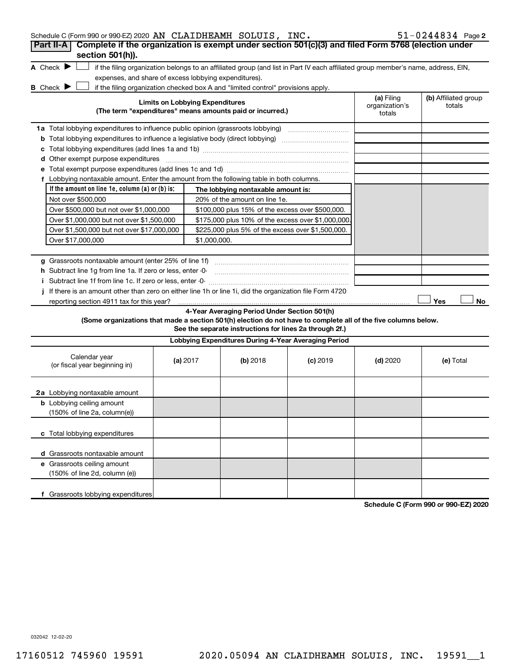| Schedule C (Form 990 or 990-EZ) 2020 AN CLAIDHEAMH SOLUIS, INC.                                                                                                    |                                        |                                                                                                         |            |                                        | $51 - 0244834$ Page 2          |
|--------------------------------------------------------------------------------------------------------------------------------------------------------------------|----------------------------------------|---------------------------------------------------------------------------------------------------------|------------|----------------------------------------|--------------------------------|
| Complete if the organization is exempt under section 501(c)(3) and filed Form 5768 (election under<br>Part II-A                                                    |                                        |                                                                                                         |            |                                        |                                |
| section 501(h)).                                                                                                                                                   |                                        |                                                                                                         |            |                                        |                                |
| A Check $\blacktriangleright$<br>if the filing organization belongs to an affiliated group (and list in Part IV each affiliated group member's name, address, EIN, |                                        |                                                                                                         |            |                                        |                                |
| expenses, and share of excess lobbying expenditures).                                                                                                              |                                        |                                                                                                         |            |                                        |                                |
| <b>B</b> Check $\blacktriangleright$<br>if the filing organization checked box A and "limited control" provisions apply.                                           |                                        |                                                                                                         |            |                                        |                                |
| (The term "expenditures" means amounts paid or incurred.)                                                                                                          | <b>Limits on Lobbying Expenditures</b> |                                                                                                         |            | (a) Filing<br>organization's<br>totals | (b) Affiliated group<br>totals |
| 1a Total lobbying expenditures to influence public opinion (grassroots lobbying)                                                                                   |                                        |                                                                                                         |            |                                        |                                |
| <b>b</b> Total lobbying expenditures to influence a legislative body (direct lobbying) <i>manumumumum</i>                                                          |                                        |                                                                                                         |            |                                        |                                |
| с                                                                                                                                                                  |                                        |                                                                                                         |            |                                        |                                |
| <b>d</b> Other exempt purpose expenditures                                                                                                                         |                                        |                                                                                                         |            |                                        |                                |
|                                                                                                                                                                    |                                        |                                                                                                         |            |                                        |                                |
| f Lobbying nontaxable amount. Enter the amount from the following table in both columns.                                                                           |                                        |                                                                                                         |            |                                        |                                |
| If the amount on line 1e, column $(a)$ or $(b)$ is:                                                                                                                |                                        | The lobbying nontaxable amount is:                                                                      |            |                                        |                                |
| Not over \$500,000                                                                                                                                                 |                                        | 20% of the amount on line 1e.                                                                           |            |                                        |                                |
| Over \$500,000 but not over \$1,000,000                                                                                                                            |                                        | \$100,000 plus 15% of the excess over \$500,000.                                                        |            |                                        |                                |
| Over \$1,000,000 but not over \$1,500,000                                                                                                                          |                                        | \$175,000 plus 10% of the excess over \$1,000,000                                                       |            |                                        |                                |
| Over \$1,500,000 but not over \$17,000,000                                                                                                                         |                                        | \$225,000 plus 5% of the excess over \$1,500,000.                                                       |            |                                        |                                |
| Over \$17,000,000                                                                                                                                                  | \$1,000,000.                           |                                                                                                         |            |                                        |                                |
|                                                                                                                                                                    |                                        |                                                                                                         |            |                                        |                                |
| g Grassroots nontaxable amount (enter 25% of line 1f)                                                                                                              |                                        |                                                                                                         |            |                                        |                                |
| h Subtract line 1g from line 1a. If zero or less, enter -0-                                                                                                        |                                        |                                                                                                         |            |                                        |                                |
|                                                                                                                                                                    |                                        |                                                                                                         |            |                                        |                                |
| If there is an amount other than zero on either line 1h or line 1i, did the organization file Form 4720<br>Ť                                                       |                                        |                                                                                                         |            |                                        |                                |
| reporting section 4911 tax for this year?                                                                                                                          |                                        |                                                                                                         |            |                                        | Yes<br>No                      |
| (Some organizations that made a section 501(h) election do not have to complete all of the five columns below.                                                     |                                        | 4-Year Averaging Period Under Section 501(h)<br>See the separate instructions for lines 2a through 2f.) |            |                                        |                                |
|                                                                                                                                                                    |                                        | Lobbying Expenditures During 4-Year Averaging Period                                                    |            |                                        |                                |
| Calendar year<br>(or fiscal year beginning in)                                                                                                                     | (a) $2017$                             | $(b)$ 2018                                                                                              | $(c)$ 2019 | $(d)$ 2020                             | (e) Total                      |
| 2a Lobbying nontaxable amount                                                                                                                                      |                                        |                                                                                                         |            |                                        |                                |
| <b>b</b> Lobbying ceiling amount<br>(150% of line 2a, column(e))                                                                                                   |                                        |                                                                                                         |            |                                        |                                |
| c Total lobbying expenditures                                                                                                                                      |                                        |                                                                                                         |            |                                        |                                |
| d Grassroots nontaxable amount                                                                                                                                     |                                        |                                                                                                         |            |                                        |                                |
| e Grassroots ceiling amount<br>(150% of line 2d, column (e))                                                                                                       |                                        |                                                                                                         |            |                                        |                                |
| f Grassroots lobbying expenditures                                                                                                                                 |                                        |                                                                                                         |            |                                        |                                |

**Schedule C (Form 990 or 990-EZ) 2020**

032042 12-02-20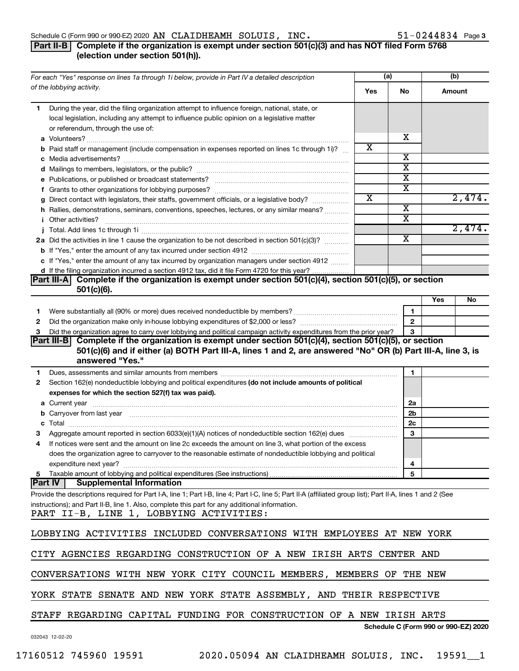#### Schedule C (Form 990 or 990-EZ) 2020 Page AN CLAIDHEAMH SOLUIS, INC. 51-0244834

#### **Part II-B** Complete if the organization is exempt under section 501(c)(3) and has NOT filed Form 5768 **(election under section 501(h)).**

|    | For each "Yes" response on lines 1a through 1i below, provide in Part IV a detailed description                                                                                                                                          |     | (a)                   |     | (b)                                  |
|----|------------------------------------------------------------------------------------------------------------------------------------------------------------------------------------------------------------------------------------------|-----|-----------------------|-----|--------------------------------------|
|    | of the lobbying activity.                                                                                                                                                                                                                | Yes | <b>No</b>             |     | Amount                               |
| 1. | During the year, did the filing organization attempt to influence foreign, national, state, or<br>local legislation, including any attempt to influence public opinion on a legislative matter<br>or referendum, through the use of:     |     |                       |     |                                      |
|    |                                                                                                                                                                                                                                          |     | х                     |     |                                      |
|    | <b>b</b> Paid staff or management (include compensation in expenses reported on lines 1c through 1i)?                                                                                                                                    | х   |                       |     |                                      |
|    |                                                                                                                                                                                                                                          |     | х                     |     |                                      |
|    |                                                                                                                                                                                                                                          |     | X                     |     |                                      |
|    |                                                                                                                                                                                                                                          |     | $\overline{\text{x}}$ |     |                                      |
|    |                                                                                                                                                                                                                                          |     | X                     |     |                                      |
|    | g Direct contact with legislators, their staffs, government officials, or a legislative body?                                                                                                                                            | X   |                       |     | 2,474.                               |
|    | h Rallies, demonstrations, seminars, conventions, speeches, lectures, or any similar means?                                                                                                                                              |     | X                     |     |                                      |
|    | <i>i</i> Other activities?                                                                                                                                                                                                               |     | X                     |     |                                      |
|    |                                                                                                                                                                                                                                          |     |                       |     | 2,474.                               |
|    | 2a Did the activities in line 1 cause the organization to be not described in section 501(c)(3)?                                                                                                                                         |     | X                     |     |                                      |
|    |                                                                                                                                                                                                                                          |     |                       |     |                                      |
|    | c If "Yes," enter the amount of any tax incurred by organization managers under section 4912                                                                                                                                             |     |                       |     |                                      |
|    | d If the filing organization incurred a section 4912 tax, did it file Form 4720 for this year?                                                                                                                                           |     |                       |     |                                      |
|    | Part III-A Complete if the organization is exempt under section 501(c)(4), section 501(c)(5), or section<br>$501(c)(6)$ .                                                                                                                |     |                       |     |                                      |
|    |                                                                                                                                                                                                                                          |     |                       | Yes | No                                   |
| 1. |                                                                                                                                                                                                                                          |     | $\mathbf{1}$          |     |                                      |
| 2  |                                                                                                                                                                                                                                          |     | $\overline{2}$        |     |                                      |
| 3  | Did the organization agree to carry over lobbying and political campaign activity expenditures from the prior year?                                                                                                                      |     | 3                     |     |                                      |
|    | Part III-B Complete if the organization is exempt under section 501(c)(4), section 501(c)(5), or section                                                                                                                                 |     |                       |     |                                      |
|    | 501(c)(6) and if either (a) BOTH Part III-A, lines 1 and 2, are answered "No" OR (b) Part III-A, line 3, is                                                                                                                              |     |                       |     |                                      |
|    | answered "Yes."                                                                                                                                                                                                                          |     |                       |     |                                      |
| 1  | Dues, assessments and similar amounts from members [111] [12] The manuscription assessments and similar amounts from members [11] [12] The manuscription and similar amounts from members [11] $\alpha$ [12] $\alpha$ [12] $\alpha$ [12] |     | $\mathbf{1}$          |     |                                      |
| 2  | Section 162(e) nondeductible lobbying and political expenditures (do not include amounts of political                                                                                                                                    |     |                       |     |                                      |
|    | expenses for which the section 527(f) tax was paid).                                                                                                                                                                                     |     |                       |     |                                      |
|    |                                                                                                                                                                                                                                          |     | 2a                    |     |                                      |
|    | b Carryover from last year manufactured and continuum control of the control of the control of the control of the control of the control of the control of the control of the control of the control of the control of the con           |     | 2 <sub>b</sub>        |     |                                      |
|    |                                                                                                                                                                                                                                          |     | 2 <sub>c</sub>        |     |                                      |
|    |                                                                                                                                                                                                                                          |     | 3                     |     |                                      |
| 4  | If notices were sent and the amount on line 2c exceeds the amount on line 3, what portion of the excess                                                                                                                                  |     |                       |     |                                      |
|    | does the organization agree to carryover to the reasonable estimate of nondeductible lobbying and political<br>expenditure next year?                                                                                                    |     | 4                     |     |                                      |
|    |                                                                                                                                                                                                                                          |     | 5                     |     |                                      |
|    | <b>Part IV</b><br><b>Supplemental Information</b>                                                                                                                                                                                        |     |                       |     |                                      |
|    | Provide the descriptions required for Part I-A, line 1; Part I-B, line 4; Part I-C, line 5; Part II-A (affiliated group list); Part II-A, lines 1 and 2 (See                                                                             |     |                       |     |                                      |
|    | instructions); and Part II-B, line 1. Also, complete this part for any additional information.                                                                                                                                           |     |                       |     |                                      |
|    | PART II-B, LINE 1, LOBBYING ACTIVITIES:                                                                                                                                                                                                  |     |                       |     |                                      |
|    |                                                                                                                                                                                                                                          |     |                       |     |                                      |
|    | LOBBYING ACTIVITIES INCLUDED CONVERSATIONS WITH EMPLOYEES AT NEW YORK                                                                                                                                                                    |     |                       |     |                                      |
|    |                                                                                                                                                                                                                                          |     |                       |     |                                      |
|    | CITY AGENCIES REGARDING CONSTRUCTION OF A NEW IRISH ARTS CENTER AND                                                                                                                                                                      |     |                       |     |                                      |
|    | CONVERSATIONS WITH NEW YORK CITY COUNCIL MEMBERS, MEMBERS OF THE NEW                                                                                                                                                                     |     |                       |     |                                      |
|    | YORK STATE SENATE AND NEW YORK STATE ASSEMBLY, AND THEIR RESPECTIVE                                                                                                                                                                      |     |                       |     |                                      |
|    | STAFF REGARDING CAPITAL FUNDING FOR CONSTRUCTION OF A NEW IRISH ARTS                                                                                                                                                                     |     |                       |     |                                      |
|    |                                                                                                                                                                                                                                          |     |                       |     | Schedule C (Form 990 or 990-EZ) 2020 |
|    | 032043 12-02-20                                                                                                                                                                                                                          |     |                       |     |                                      |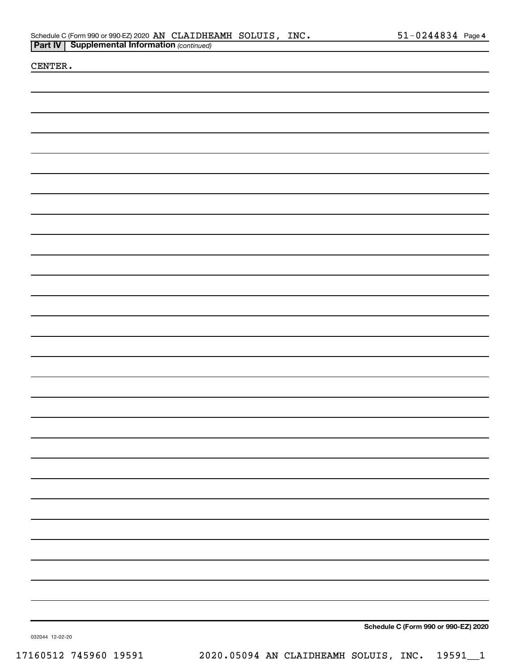|  | Schedule C (Form 990 or 990-EZ) 2020 AN CLAIDHEAMH SOLUIS, INC. |  | $51 - 0244834$ Page 4 |  |
|--|-----------------------------------------------------------------|--|-----------------------|--|
|  | <b>Part IV   Supplemental Information (continued)</b>           |  |                       |  |

CENTER.

**Schedule C (Form 990 or 990-EZ) 2020**

032044 12-02-20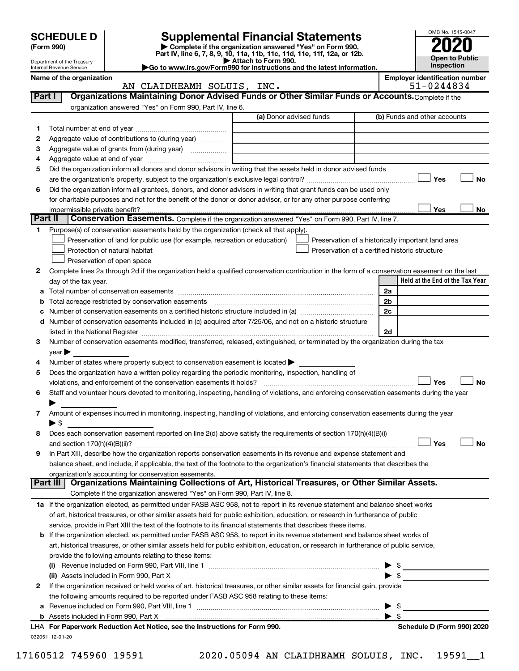|                          | <b>SCHEDULE D</b><br>(Form 990)                        |                                                                                                        | <b>Supplemental Financial Statements</b><br>Complete if the organization answered "Yes" on Form 990,<br>Part IV, line 6, 7, 8, 9, 10, 11a, 11b, 11c, 11d, 11e, 11f, 12a, or 12b.<br>Attach to Form 990. | OMB No. 1545-0047<br><b>Open to Public</b>         |
|--------------------------|--------------------------------------------------------|--------------------------------------------------------------------------------------------------------|---------------------------------------------------------------------------------------------------------------------------------------------------------------------------------------------------------|----------------------------------------------------|
|                          | Department of the Treasury<br>Internal Revenue Service |                                                                                                        | Go to www.irs.gov/Form990 for instructions and the latest information.                                                                                                                                  | Inspection                                         |
| Name of the organization | <b>Employer identification number</b><br>51-0244834    |                                                                                                        |                                                                                                                                                                                                         |                                                    |
| Part I                   |                                                        | AN CLAIDHEAMH SOLUIS, INC.                                                                             | Organizations Maintaining Donor Advised Funds or Other Similar Funds or Accounts. Complete if the                                                                                                       |                                                    |
|                          |                                                        | organization answered "Yes" on Form 990, Part IV, line 6.                                              |                                                                                                                                                                                                         |                                                    |
|                          |                                                        |                                                                                                        | (a) Donor advised funds                                                                                                                                                                                 | (b) Funds and other accounts                       |
| 1                        |                                                        |                                                                                                        |                                                                                                                                                                                                         |                                                    |
| 2                        |                                                        | Aggregate value of contributions to (during year)                                                      |                                                                                                                                                                                                         |                                                    |
| З                        |                                                        | Aggregate value of grants from (during year)                                                           |                                                                                                                                                                                                         |                                                    |
| 4                        |                                                        |                                                                                                        |                                                                                                                                                                                                         |                                                    |
| 5                        |                                                        |                                                                                                        | Did the organization inform all donors and donor advisors in writing that the assets held in donor advised funds                                                                                        |                                                    |
|                          |                                                        |                                                                                                        |                                                                                                                                                                                                         | Yes<br>No                                          |
| 6                        |                                                        |                                                                                                        | Did the organization inform all grantees, donors, and donor advisors in writing that grant funds can be used only                                                                                       |                                                    |
|                          |                                                        |                                                                                                        | for charitable purposes and not for the benefit of the donor or donor advisor, or for any other purpose conferring                                                                                      |                                                    |
| Part II                  | impermissible private benefit?                         |                                                                                                        | Conservation Easements. Complete if the organization answered "Yes" on Form 990, Part IV, line 7.                                                                                                       | No<br>Yes                                          |
| 1.                       |                                                        | Purpose(s) of conservation easements held by the organization (check all that apply).                  |                                                                                                                                                                                                         |                                                    |
|                          |                                                        | Preservation of land for public use (for example, recreation or education)                             |                                                                                                                                                                                                         | Preservation of a historically important land area |
|                          |                                                        | Protection of natural habitat                                                                          |                                                                                                                                                                                                         | Preservation of a certified historic structure     |
|                          |                                                        | Preservation of open space                                                                             |                                                                                                                                                                                                         |                                                    |
| 2                        |                                                        |                                                                                                        | Complete lines 2a through 2d if the organization held a qualified conservation contribution in the form of a conservation easement on the last                                                          |                                                    |
|                          | day of the tax year.                                   |                                                                                                        |                                                                                                                                                                                                         | Held at the End of the Tax Year                    |
|                          |                                                        |                                                                                                        |                                                                                                                                                                                                         | 2a                                                 |
|                          |                                                        |                                                                                                        |                                                                                                                                                                                                         | 2b                                                 |
| с                        |                                                        |                                                                                                        |                                                                                                                                                                                                         | 2c                                                 |
| d                        |                                                        |                                                                                                        | Number of conservation easements included in (c) acquired after 7/25/06, and not on a historic structure                                                                                                | 2d                                                 |
| З.                       |                                                        |                                                                                                        | Number of conservation easements modified, transferred, released, extinguished, or terminated by the organization during the tax                                                                        |                                                    |
|                          | vear                                                   |                                                                                                        |                                                                                                                                                                                                         |                                                    |
| 4                        |                                                        | Number of states where property subject to conservation easement is located >                          |                                                                                                                                                                                                         |                                                    |
| 5                        |                                                        | Does the organization have a written policy regarding the periodic monitoring, inspection, handling of |                                                                                                                                                                                                         | Yes<br><b>No</b>                                   |
|                          |                                                        |                                                                                                        | Staff and volunteer hours devoted to monitoring, inspecting, handling of violations, and enforcing conservation easements during the year                                                               |                                                    |
|                          |                                                        |                                                                                                        |                                                                                                                                                                                                         |                                                    |
| 7                        |                                                        |                                                                                                        | Amount of expenses incurred in monitoring, inspecting, handling of violations, and enforcing conservation easements during the year                                                                     |                                                    |
| 8                        | $\blacktriangleright$ \$                               |                                                                                                        | Does each conservation easement reported on line 2(d) above satisfy the requirements of section 170(h)(4)(B)(i)                                                                                         |                                                    |
|                          |                                                        |                                                                                                        |                                                                                                                                                                                                         | Yes<br>No                                          |
| 9                        |                                                        |                                                                                                        | In Part XIII, describe how the organization reports conservation easements in its revenue and expense statement and                                                                                     |                                                    |
|                          |                                                        |                                                                                                        | balance sheet, and include, if applicable, the text of the footnote to the organization's financial statements that describes the                                                                       |                                                    |
|                          |                                                        | organization's accounting for conservation easements.                                                  |                                                                                                                                                                                                         |                                                    |
|                          | Part III                                               |                                                                                                        | Organizations Maintaining Collections of Art, Historical Treasures, or Other Similar Assets.                                                                                                            |                                                    |
|                          |                                                        | Complete if the organization answered "Yes" on Form 990, Part IV, line 8.                              |                                                                                                                                                                                                         |                                                    |
|                          |                                                        |                                                                                                        | 1a If the organization elected, as permitted under FASB ASC 958, not to report in its revenue statement and balance sheet works                                                                         |                                                    |
|                          |                                                        |                                                                                                        | of art, historical treasures, or other similar assets held for public exhibition, education, or research in furtherance of public                                                                       |                                                    |
|                          |                                                        |                                                                                                        | service, provide in Part XIII the text of the footnote to its financial statements that describes these items.                                                                                          |                                                    |
| b                        |                                                        |                                                                                                        | If the organization elected, as permitted under FASB ASC 958, to report in its revenue statement and balance sheet works of                                                                             |                                                    |
|                          |                                                        |                                                                                                        | art, historical treasures, or other similar assets held for public exhibition, education, or research in furtherance of public service,                                                                 |                                                    |
|                          |                                                        | provide the following amounts relating to these items:                                                 |                                                                                                                                                                                                         |                                                    |
|                          |                                                        |                                                                                                        |                                                                                                                                                                                                         | \$                                                 |
| 2                        |                                                        | (ii) Assets included in Form 990, Part X                                                               | If the organization received or held works of art, historical treasures, or other similar assets for financial gain, provide                                                                            | \$                                                 |
|                          |                                                        | the following amounts required to be reported under FASB ASC 958 relating to these items:              |                                                                                                                                                                                                         |                                                    |

|  | LHA For Paperwork Reduction Act Notice, see the Instructions for Form 990. |  | Schedule D (Form 990) 2020 |
|--|----------------------------------------------------------------------------|--|----------------------------|
|  | <b>b</b> Assets included in Form 990. Part X                               |  |                            |
|  | a Revenue included on Form 990. Part VIII. line 1                          |  |                            |

032051 12-01-20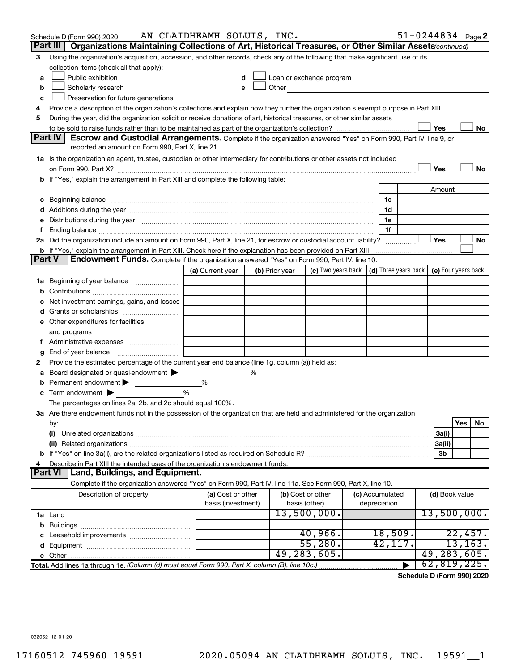| Part III<br>Organizations Maintaining Collections of Art, Historical Treasures, or Other Similar Assets (continued)<br>Using the organization's acquisition, accession, and other records, check any of the following that make significant use of its<br>3<br>collection items (check all that apply):<br>Public exhibition<br>Loan or exchange program<br>a<br>Other<br>Scholarly research<br>b<br>Preservation for future generations<br>c<br>Provide a description of the organization's collections and explain how they further the organization's exempt purpose in Part XIII.<br>4<br>During the year, did the organization solicit or receive donations of art, historical treasures, or other similar assets<br>5<br>Yes<br>No<br>Part IV<br><b>Escrow and Custodial Arrangements.</b> Complete if the organization answered "Yes" on Form 990, Part IV, line 9, or<br>reported an amount on Form 990, Part X, line 21.<br>1a Is the organization an agent, trustee, custodian or other intermediary for contributions or other assets not included<br>Yes<br>No<br>b If "Yes," explain the arrangement in Part XIII and complete the following table:<br>Amount<br>c Beginning balance measurements and the contract of the contract of the contract of the contract of the contract of the contract of the contract of the contract of the contract of the contract of the contract of the contr<br>1c<br>1d<br>e Distributions during the year manufactured and continuum control of the control of the control of the state of the control of the control of the control of the control of the control of the control of the control of the<br>1e<br>1f<br>Ť.,<br>2a Did the organization include an amount on Form 990, Part X, line 21, for escrow or custodial account liability?<br>Yes<br>No<br><b>b</b> If "Yes," explain the arrangement in Part XIII. Check here if the explanation has been provided on Part XIII<br><b>Part V</b><br><b>Endowment Funds.</b> Complete if the organization answered "Yes" on Form 990, Part IV, line 10.<br>(c) Two years back $\vert$ (d) Three years back $\vert$ (e) Four years back<br>(a) Current year<br>(b) Prior year<br>1a Beginning of year balance<br>b<br>Net investment earnings, gains, and losses<br>e Other expenditures for facilities<br>and programs<br>g<br>Provide the estimated percentage of the current year end balance (line 1g, column (a)) held as:<br>2<br>Board designated or quasi-endowment $\blacktriangleright$<br>%<br>а<br>Permanent endowment<br>%<br>b<br>$\frac{0}{0}$<br>Term endowment $\blacktriangleright$<br>с<br>The percentages on lines 2a, 2b, and 2c should equal 100%.<br>3a Are there endowment funds not in the possession of the organization that are held and administered for the organization<br>Yes<br>No<br>by:<br>(i)<br>3a(i)<br> 3a(ii)<br>3b<br>Describe in Part XIII the intended uses of the organization's endowment funds.<br>4<br>Land, Buildings, and Equipment.<br>Part VI<br>Complete if the organization answered "Yes" on Form 990, Part IV, line 11a. See Form 990, Part X, line 10.<br>(a) Cost or other<br>Description of property<br>(b) Cost or other<br>(c) Accumulated<br>(d) Book value<br>basis (investment)<br>depreciation<br>basis (other)<br>13,500,000.<br>13,500,000.<br>40,966.<br>18,509.<br>22,457.<br>55,280.<br>13, 163.<br>42, 117.<br>49,283,605.<br>49,283,605.<br>62,819,225.<br>Total. Add lines 1a through 1e. (Column (d) must equal Form 990, Part X, column (B), line 10c.) | Schedule D (Form 990) 2020 | AN CLAIDHEAMH SOLUIS, INC. |  |  |  |  |  | $51 - 0244834$ Page 2 |  |  |
|------------------------------------------------------------------------------------------------------------------------------------------------------------------------------------------------------------------------------------------------------------------------------------------------------------------------------------------------------------------------------------------------------------------------------------------------------------------------------------------------------------------------------------------------------------------------------------------------------------------------------------------------------------------------------------------------------------------------------------------------------------------------------------------------------------------------------------------------------------------------------------------------------------------------------------------------------------------------------------------------------------------------------------------------------------------------------------------------------------------------------------------------------------------------------------------------------------------------------------------------------------------------------------------------------------------------------------------------------------------------------------------------------------------------------------------------------------------------------------------------------------------------------------------------------------------------------------------------------------------------------------------------------------------------------------------------------------------------------------------------------------------------------------------------------------------------------------------------------------------------------------------------------------------------------------------------------------------------------------------------------------------------------------------------------------------------------------------------------------------------------------------------------------------------------------------------------------------------------------------------------------------------------------------------------------------------------------------------------------------------------------------------------------------------------------------------------------------------------------------------------------------------------------------------------------------------------------------------------------------------------------------------------------------------------------------------------------------------------------------------------------------------------------------------------------------------------------------------------------------------------------------------------------------------------------------------------------------------------------------------------------------------------------------------------------------------------------------------------------------------------------------------------------------------------------------------------------------------------------------------------------------------------------------------------------------------------------------------------------------------------------------------------------------------------------------------------------------------------------------------------------------------------------------|----------------------------|----------------------------|--|--|--|--|--|-----------------------|--|--|
|                                                                                                                                                                                                                                                                                                                                                                                                                                                                                                                                                                                                                                                                                                                                                                                                                                                                                                                                                                                                                                                                                                                                                                                                                                                                                                                                                                                                                                                                                                                                                                                                                                                                                                                                                                                                                                                                                                                                                                                                                                                                                                                                                                                                                                                                                                                                                                                                                                                                                                                                                                                                                                                                                                                                                                                                                                                                                                                                                                                                                                                                                                                                                                                                                                                                                                                                                                                                                                                                                                                                          |                            |                            |  |  |  |  |  |                       |  |  |
|                                                                                                                                                                                                                                                                                                                                                                                                                                                                                                                                                                                                                                                                                                                                                                                                                                                                                                                                                                                                                                                                                                                                                                                                                                                                                                                                                                                                                                                                                                                                                                                                                                                                                                                                                                                                                                                                                                                                                                                                                                                                                                                                                                                                                                                                                                                                                                                                                                                                                                                                                                                                                                                                                                                                                                                                                                                                                                                                                                                                                                                                                                                                                                                                                                                                                                                                                                                                                                                                                                                                          |                            |                            |  |  |  |  |  |                       |  |  |
|                                                                                                                                                                                                                                                                                                                                                                                                                                                                                                                                                                                                                                                                                                                                                                                                                                                                                                                                                                                                                                                                                                                                                                                                                                                                                                                                                                                                                                                                                                                                                                                                                                                                                                                                                                                                                                                                                                                                                                                                                                                                                                                                                                                                                                                                                                                                                                                                                                                                                                                                                                                                                                                                                                                                                                                                                                                                                                                                                                                                                                                                                                                                                                                                                                                                                                                                                                                                                                                                                                                                          |                            |                            |  |  |  |  |  |                       |  |  |
|                                                                                                                                                                                                                                                                                                                                                                                                                                                                                                                                                                                                                                                                                                                                                                                                                                                                                                                                                                                                                                                                                                                                                                                                                                                                                                                                                                                                                                                                                                                                                                                                                                                                                                                                                                                                                                                                                                                                                                                                                                                                                                                                                                                                                                                                                                                                                                                                                                                                                                                                                                                                                                                                                                                                                                                                                                                                                                                                                                                                                                                                                                                                                                                                                                                                                                                                                                                                                                                                                                                                          |                            |                            |  |  |  |  |  |                       |  |  |
|                                                                                                                                                                                                                                                                                                                                                                                                                                                                                                                                                                                                                                                                                                                                                                                                                                                                                                                                                                                                                                                                                                                                                                                                                                                                                                                                                                                                                                                                                                                                                                                                                                                                                                                                                                                                                                                                                                                                                                                                                                                                                                                                                                                                                                                                                                                                                                                                                                                                                                                                                                                                                                                                                                                                                                                                                                                                                                                                                                                                                                                                                                                                                                                                                                                                                                                                                                                                                                                                                                                                          |                            |                            |  |  |  |  |  |                       |  |  |
|                                                                                                                                                                                                                                                                                                                                                                                                                                                                                                                                                                                                                                                                                                                                                                                                                                                                                                                                                                                                                                                                                                                                                                                                                                                                                                                                                                                                                                                                                                                                                                                                                                                                                                                                                                                                                                                                                                                                                                                                                                                                                                                                                                                                                                                                                                                                                                                                                                                                                                                                                                                                                                                                                                                                                                                                                                                                                                                                                                                                                                                                                                                                                                                                                                                                                                                                                                                                                                                                                                                                          |                            |                            |  |  |  |  |  |                       |  |  |
|                                                                                                                                                                                                                                                                                                                                                                                                                                                                                                                                                                                                                                                                                                                                                                                                                                                                                                                                                                                                                                                                                                                                                                                                                                                                                                                                                                                                                                                                                                                                                                                                                                                                                                                                                                                                                                                                                                                                                                                                                                                                                                                                                                                                                                                                                                                                                                                                                                                                                                                                                                                                                                                                                                                                                                                                                                                                                                                                                                                                                                                                                                                                                                                                                                                                                                                                                                                                                                                                                                                                          |                            |                            |  |  |  |  |  |                       |  |  |
|                                                                                                                                                                                                                                                                                                                                                                                                                                                                                                                                                                                                                                                                                                                                                                                                                                                                                                                                                                                                                                                                                                                                                                                                                                                                                                                                                                                                                                                                                                                                                                                                                                                                                                                                                                                                                                                                                                                                                                                                                                                                                                                                                                                                                                                                                                                                                                                                                                                                                                                                                                                                                                                                                                                                                                                                                                                                                                                                                                                                                                                                                                                                                                                                                                                                                                                                                                                                                                                                                                                                          |                            |                            |  |  |  |  |  |                       |  |  |
|                                                                                                                                                                                                                                                                                                                                                                                                                                                                                                                                                                                                                                                                                                                                                                                                                                                                                                                                                                                                                                                                                                                                                                                                                                                                                                                                                                                                                                                                                                                                                                                                                                                                                                                                                                                                                                                                                                                                                                                                                                                                                                                                                                                                                                                                                                                                                                                                                                                                                                                                                                                                                                                                                                                                                                                                                                                                                                                                                                                                                                                                                                                                                                                                                                                                                                                                                                                                                                                                                                                                          |                            |                            |  |  |  |  |  |                       |  |  |
|                                                                                                                                                                                                                                                                                                                                                                                                                                                                                                                                                                                                                                                                                                                                                                                                                                                                                                                                                                                                                                                                                                                                                                                                                                                                                                                                                                                                                                                                                                                                                                                                                                                                                                                                                                                                                                                                                                                                                                                                                                                                                                                                                                                                                                                                                                                                                                                                                                                                                                                                                                                                                                                                                                                                                                                                                                                                                                                                                                                                                                                                                                                                                                                                                                                                                                                                                                                                                                                                                                                                          |                            |                            |  |  |  |  |  |                       |  |  |
|                                                                                                                                                                                                                                                                                                                                                                                                                                                                                                                                                                                                                                                                                                                                                                                                                                                                                                                                                                                                                                                                                                                                                                                                                                                                                                                                                                                                                                                                                                                                                                                                                                                                                                                                                                                                                                                                                                                                                                                                                                                                                                                                                                                                                                                                                                                                                                                                                                                                                                                                                                                                                                                                                                                                                                                                                                                                                                                                                                                                                                                                                                                                                                                                                                                                                                                                                                                                                                                                                                                                          |                            |                            |  |  |  |  |  |                       |  |  |
|                                                                                                                                                                                                                                                                                                                                                                                                                                                                                                                                                                                                                                                                                                                                                                                                                                                                                                                                                                                                                                                                                                                                                                                                                                                                                                                                                                                                                                                                                                                                                                                                                                                                                                                                                                                                                                                                                                                                                                                                                                                                                                                                                                                                                                                                                                                                                                                                                                                                                                                                                                                                                                                                                                                                                                                                                                                                                                                                                                                                                                                                                                                                                                                                                                                                                                                                                                                                                                                                                                                                          |                            |                            |  |  |  |  |  |                       |  |  |
|                                                                                                                                                                                                                                                                                                                                                                                                                                                                                                                                                                                                                                                                                                                                                                                                                                                                                                                                                                                                                                                                                                                                                                                                                                                                                                                                                                                                                                                                                                                                                                                                                                                                                                                                                                                                                                                                                                                                                                                                                                                                                                                                                                                                                                                                                                                                                                                                                                                                                                                                                                                                                                                                                                                                                                                                                                                                                                                                                                                                                                                                                                                                                                                                                                                                                                                                                                                                                                                                                                                                          |                            |                            |  |  |  |  |  |                       |  |  |
|                                                                                                                                                                                                                                                                                                                                                                                                                                                                                                                                                                                                                                                                                                                                                                                                                                                                                                                                                                                                                                                                                                                                                                                                                                                                                                                                                                                                                                                                                                                                                                                                                                                                                                                                                                                                                                                                                                                                                                                                                                                                                                                                                                                                                                                                                                                                                                                                                                                                                                                                                                                                                                                                                                                                                                                                                                                                                                                                                                                                                                                                                                                                                                                                                                                                                                                                                                                                                                                                                                                                          |                            |                            |  |  |  |  |  |                       |  |  |
|                                                                                                                                                                                                                                                                                                                                                                                                                                                                                                                                                                                                                                                                                                                                                                                                                                                                                                                                                                                                                                                                                                                                                                                                                                                                                                                                                                                                                                                                                                                                                                                                                                                                                                                                                                                                                                                                                                                                                                                                                                                                                                                                                                                                                                                                                                                                                                                                                                                                                                                                                                                                                                                                                                                                                                                                                                                                                                                                                                                                                                                                                                                                                                                                                                                                                                                                                                                                                                                                                                                                          |                            |                            |  |  |  |  |  |                       |  |  |
|                                                                                                                                                                                                                                                                                                                                                                                                                                                                                                                                                                                                                                                                                                                                                                                                                                                                                                                                                                                                                                                                                                                                                                                                                                                                                                                                                                                                                                                                                                                                                                                                                                                                                                                                                                                                                                                                                                                                                                                                                                                                                                                                                                                                                                                                                                                                                                                                                                                                                                                                                                                                                                                                                                                                                                                                                                                                                                                                                                                                                                                                                                                                                                                                                                                                                                                                                                                                                                                                                                                                          |                            |                            |  |  |  |  |  |                       |  |  |
|                                                                                                                                                                                                                                                                                                                                                                                                                                                                                                                                                                                                                                                                                                                                                                                                                                                                                                                                                                                                                                                                                                                                                                                                                                                                                                                                                                                                                                                                                                                                                                                                                                                                                                                                                                                                                                                                                                                                                                                                                                                                                                                                                                                                                                                                                                                                                                                                                                                                                                                                                                                                                                                                                                                                                                                                                                                                                                                                                                                                                                                                                                                                                                                                                                                                                                                                                                                                                                                                                                                                          |                            |                            |  |  |  |  |  |                       |  |  |
|                                                                                                                                                                                                                                                                                                                                                                                                                                                                                                                                                                                                                                                                                                                                                                                                                                                                                                                                                                                                                                                                                                                                                                                                                                                                                                                                                                                                                                                                                                                                                                                                                                                                                                                                                                                                                                                                                                                                                                                                                                                                                                                                                                                                                                                                                                                                                                                                                                                                                                                                                                                                                                                                                                                                                                                                                                                                                                                                                                                                                                                                                                                                                                                                                                                                                                                                                                                                                                                                                                                                          |                            |                            |  |  |  |  |  |                       |  |  |
|                                                                                                                                                                                                                                                                                                                                                                                                                                                                                                                                                                                                                                                                                                                                                                                                                                                                                                                                                                                                                                                                                                                                                                                                                                                                                                                                                                                                                                                                                                                                                                                                                                                                                                                                                                                                                                                                                                                                                                                                                                                                                                                                                                                                                                                                                                                                                                                                                                                                                                                                                                                                                                                                                                                                                                                                                                                                                                                                                                                                                                                                                                                                                                                                                                                                                                                                                                                                                                                                                                                                          |                            |                            |  |  |  |  |  |                       |  |  |
|                                                                                                                                                                                                                                                                                                                                                                                                                                                                                                                                                                                                                                                                                                                                                                                                                                                                                                                                                                                                                                                                                                                                                                                                                                                                                                                                                                                                                                                                                                                                                                                                                                                                                                                                                                                                                                                                                                                                                                                                                                                                                                                                                                                                                                                                                                                                                                                                                                                                                                                                                                                                                                                                                                                                                                                                                                                                                                                                                                                                                                                                                                                                                                                                                                                                                                                                                                                                                                                                                                                                          |                            |                            |  |  |  |  |  |                       |  |  |
|                                                                                                                                                                                                                                                                                                                                                                                                                                                                                                                                                                                                                                                                                                                                                                                                                                                                                                                                                                                                                                                                                                                                                                                                                                                                                                                                                                                                                                                                                                                                                                                                                                                                                                                                                                                                                                                                                                                                                                                                                                                                                                                                                                                                                                                                                                                                                                                                                                                                                                                                                                                                                                                                                                                                                                                                                                                                                                                                                                                                                                                                                                                                                                                                                                                                                                                                                                                                                                                                                                                                          |                            |                            |  |  |  |  |  |                       |  |  |
|                                                                                                                                                                                                                                                                                                                                                                                                                                                                                                                                                                                                                                                                                                                                                                                                                                                                                                                                                                                                                                                                                                                                                                                                                                                                                                                                                                                                                                                                                                                                                                                                                                                                                                                                                                                                                                                                                                                                                                                                                                                                                                                                                                                                                                                                                                                                                                                                                                                                                                                                                                                                                                                                                                                                                                                                                                                                                                                                                                                                                                                                                                                                                                                                                                                                                                                                                                                                                                                                                                                                          |                            |                            |  |  |  |  |  |                       |  |  |
|                                                                                                                                                                                                                                                                                                                                                                                                                                                                                                                                                                                                                                                                                                                                                                                                                                                                                                                                                                                                                                                                                                                                                                                                                                                                                                                                                                                                                                                                                                                                                                                                                                                                                                                                                                                                                                                                                                                                                                                                                                                                                                                                                                                                                                                                                                                                                                                                                                                                                                                                                                                                                                                                                                                                                                                                                                                                                                                                                                                                                                                                                                                                                                                                                                                                                                                                                                                                                                                                                                                                          |                            |                            |  |  |  |  |  |                       |  |  |
|                                                                                                                                                                                                                                                                                                                                                                                                                                                                                                                                                                                                                                                                                                                                                                                                                                                                                                                                                                                                                                                                                                                                                                                                                                                                                                                                                                                                                                                                                                                                                                                                                                                                                                                                                                                                                                                                                                                                                                                                                                                                                                                                                                                                                                                                                                                                                                                                                                                                                                                                                                                                                                                                                                                                                                                                                                                                                                                                                                                                                                                                                                                                                                                                                                                                                                                                                                                                                                                                                                                                          |                            |                            |  |  |  |  |  |                       |  |  |
|                                                                                                                                                                                                                                                                                                                                                                                                                                                                                                                                                                                                                                                                                                                                                                                                                                                                                                                                                                                                                                                                                                                                                                                                                                                                                                                                                                                                                                                                                                                                                                                                                                                                                                                                                                                                                                                                                                                                                                                                                                                                                                                                                                                                                                                                                                                                                                                                                                                                                                                                                                                                                                                                                                                                                                                                                                                                                                                                                                                                                                                                                                                                                                                                                                                                                                                                                                                                                                                                                                                                          |                            |                            |  |  |  |  |  |                       |  |  |
|                                                                                                                                                                                                                                                                                                                                                                                                                                                                                                                                                                                                                                                                                                                                                                                                                                                                                                                                                                                                                                                                                                                                                                                                                                                                                                                                                                                                                                                                                                                                                                                                                                                                                                                                                                                                                                                                                                                                                                                                                                                                                                                                                                                                                                                                                                                                                                                                                                                                                                                                                                                                                                                                                                                                                                                                                                                                                                                                                                                                                                                                                                                                                                                                                                                                                                                                                                                                                                                                                                                                          |                            |                            |  |  |  |  |  |                       |  |  |
|                                                                                                                                                                                                                                                                                                                                                                                                                                                                                                                                                                                                                                                                                                                                                                                                                                                                                                                                                                                                                                                                                                                                                                                                                                                                                                                                                                                                                                                                                                                                                                                                                                                                                                                                                                                                                                                                                                                                                                                                                                                                                                                                                                                                                                                                                                                                                                                                                                                                                                                                                                                                                                                                                                                                                                                                                                                                                                                                                                                                                                                                                                                                                                                                                                                                                                                                                                                                                                                                                                                                          |                            |                            |  |  |  |  |  |                       |  |  |
|                                                                                                                                                                                                                                                                                                                                                                                                                                                                                                                                                                                                                                                                                                                                                                                                                                                                                                                                                                                                                                                                                                                                                                                                                                                                                                                                                                                                                                                                                                                                                                                                                                                                                                                                                                                                                                                                                                                                                                                                                                                                                                                                                                                                                                                                                                                                                                                                                                                                                                                                                                                                                                                                                                                                                                                                                                                                                                                                                                                                                                                                                                                                                                                                                                                                                                                                                                                                                                                                                                                                          |                            |                            |  |  |  |  |  |                       |  |  |
|                                                                                                                                                                                                                                                                                                                                                                                                                                                                                                                                                                                                                                                                                                                                                                                                                                                                                                                                                                                                                                                                                                                                                                                                                                                                                                                                                                                                                                                                                                                                                                                                                                                                                                                                                                                                                                                                                                                                                                                                                                                                                                                                                                                                                                                                                                                                                                                                                                                                                                                                                                                                                                                                                                                                                                                                                                                                                                                                                                                                                                                                                                                                                                                                                                                                                                                                                                                                                                                                                                                                          |                            |                            |  |  |  |  |  |                       |  |  |
|                                                                                                                                                                                                                                                                                                                                                                                                                                                                                                                                                                                                                                                                                                                                                                                                                                                                                                                                                                                                                                                                                                                                                                                                                                                                                                                                                                                                                                                                                                                                                                                                                                                                                                                                                                                                                                                                                                                                                                                                                                                                                                                                                                                                                                                                                                                                                                                                                                                                                                                                                                                                                                                                                                                                                                                                                                                                                                                                                                                                                                                                                                                                                                                                                                                                                                                                                                                                                                                                                                                                          |                            |                            |  |  |  |  |  |                       |  |  |
|                                                                                                                                                                                                                                                                                                                                                                                                                                                                                                                                                                                                                                                                                                                                                                                                                                                                                                                                                                                                                                                                                                                                                                                                                                                                                                                                                                                                                                                                                                                                                                                                                                                                                                                                                                                                                                                                                                                                                                                                                                                                                                                                                                                                                                                                                                                                                                                                                                                                                                                                                                                                                                                                                                                                                                                                                                                                                                                                                                                                                                                                                                                                                                                                                                                                                                                                                                                                                                                                                                                                          |                            |                            |  |  |  |  |  |                       |  |  |
|                                                                                                                                                                                                                                                                                                                                                                                                                                                                                                                                                                                                                                                                                                                                                                                                                                                                                                                                                                                                                                                                                                                                                                                                                                                                                                                                                                                                                                                                                                                                                                                                                                                                                                                                                                                                                                                                                                                                                                                                                                                                                                                                                                                                                                                                                                                                                                                                                                                                                                                                                                                                                                                                                                                                                                                                                                                                                                                                                                                                                                                                                                                                                                                                                                                                                                                                                                                                                                                                                                                                          |                            |                            |  |  |  |  |  |                       |  |  |
|                                                                                                                                                                                                                                                                                                                                                                                                                                                                                                                                                                                                                                                                                                                                                                                                                                                                                                                                                                                                                                                                                                                                                                                                                                                                                                                                                                                                                                                                                                                                                                                                                                                                                                                                                                                                                                                                                                                                                                                                                                                                                                                                                                                                                                                                                                                                                                                                                                                                                                                                                                                                                                                                                                                                                                                                                                                                                                                                                                                                                                                                                                                                                                                                                                                                                                                                                                                                                                                                                                                                          |                            |                            |  |  |  |  |  |                       |  |  |
|                                                                                                                                                                                                                                                                                                                                                                                                                                                                                                                                                                                                                                                                                                                                                                                                                                                                                                                                                                                                                                                                                                                                                                                                                                                                                                                                                                                                                                                                                                                                                                                                                                                                                                                                                                                                                                                                                                                                                                                                                                                                                                                                                                                                                                                                                                                                                                                                                                                                                                                                                                                                                                                                                                                                                                                                                                                                                                                                                                                                                                                                                                                                                                                                                                                                                                                                                                                                                                                                                                                                          |                            |                            |  |  |  |  |  |                       |  |  |
|                                                                                                                                                                                                                                                                                                                                                                                                                                                                                                                                                                                                                                                                                                                                                                                                                                                                                                                                                                                                                                                                                                                                                                                                                                                                                                                                                                                                                                                                                                                                                                                                                                                                                                                                                                                                                                                                                                                                                                                                                                                                                                                                                                                                                                                                                                                                                                                                                                                                                                                                                                                                                                                                                                                                                                                                                                                                                                                                                                                                                                                                                                                                                                                                                                                                                                                                                                                                                                                                                                                                          |                            |                            |  |  |  |  |  |                       |  |  |
|                                                                                                                                                                                                                                                                                                                                                                                                                                                                                                                                                                                                                                                                                                                                                                                                                                                                                                                                                                                                                                                                                                                                                                                                                                                                                                                                                                                                                                                                                                                                                                                                                                                                                                                                                                                                                                                                                                                                                                                                                                                                                                                                                                                                                                                                                                                                                                                                                                                                                                                                                                                                                                                                                                                                                                                                                                                                                                                                                                                                                                                                                                                                                                                                                                                                                                                                                                                                                                                                                                                                          |                            |                            |  |  |  |  |  |                       |  |  |
|                                                                                                                                                                                                                                                                                                                                                                                                                                                                                                                                                                                                                                                                                                                                                                                                                                                                                                                                                                                                                                                                                                                                                                                                                                                                                                                                                                                                                                                                                                                                                                                                                                                                                                                                                                                                                                                                                                                                                                                                                                                                                                                                                                                                                                                                                                                                                                                                                                                                                                                                                                                                                                                                                                                                                                                                                                                                                                                                                                                                                                                                                                                                                                                                                                                                                                                                                                                                                                                                                                                                          |                            |                            |  |  |  |  |  |                       |  |  |
|                                                                                                                                                                                                                                                                                                                                                                                                                                                                                                                                                                                                                                                                                                                                                                                                                                                                                                                                                                                                                                                                                                                                                                                                                                                                                                                                                                                                                                                                                                                                                                                                                                                                                                                                                                                                                                                                                                                                                                                                                                                                                                                                                                                                                                                                                                                                                                                                                                                                                                                                                                                                                                                                                                                                                                                                                                                                                                                                                                                                                                                                                                                                                                                                                                                                                                                                                                                                                                                                                                                                          |                            |                            |  |  |  |  |  |                       |  |  |
|                                                                                                                                                                                                                                                                                                                                                                                                                                                                                                                                                                                                                                                                                                                                                                                                                                                                                                                                                                                                                                                                                                                                                                                                                                                                                                                                                                                                                                                                                                                                                                                                                                                                                                                                                                                                                                                                                                                                                                                                                                                                                                                                                                                                                                                                                                                                                                                                                                                                                                                                                                                                                                                                                                                                                                                                                                                                                                                                                                                                                                                                                                                                                                                                                                                                                                                                                                                                                                                                                                                                          |                            |                            |  |  |  |  |  |                       |  |  |
|                                                                                                                                                                                                                                                                                                                                                                                                                                                                                                                                                                                                                                                                                                                                                                                                                                                                                                                                                                                                                                                                                                                                                                                                                                                                                                                                                                                                                                                                                                                                                                                                                                                                                                                                                                                                                                                                                                                                                                                                                                                                                                                                                                                                                                                                                                                                                                                                                                                                                                                                                                                                                                                                                                                                                                                                                                                                                                                                                                                                                                                                                                                                                                                                                                                                                                                                                                                                                                                                                                                                          |                            |                            |  |  |  |  |  |                       |  |  |
|                                                                                                                                                                                                                                                                                                                                                                                                                                                                                                                                                                                                                                                                                                                                                                                                                                                                                                                                                                                                                                                                                                                                                                                                                                                                                                                                                                                                                                                                                                                                                                                                                                                                                                                                                                                                                                                                                                                                                                                                                                                                                                                                                                                                                                                                                                                                                                                                                                                                                                                                                                                                                                                                                                                                                                                                                                                                                                                                                                                                                                                                                                                                                                                                                                                                                                                                                                                                                                                                                                                                          |                            |                            |  |  |  |  |  |                       |  |  |
|                                                                                                                                                                                                                                                                                                                                                                                                                                                                                                                                                                                                                                                                                                                                                                                                                                                                                                                                                                                                                                                                                                                                                                                                                                                                                                                                                                                                                                                                                                                                                                                                                                                                                                                                                                                                                                                                                                                                                                                                                                                                                                                                                                                                                                                                                                                                                                                                                                                                                                                                                                                                                                                                                                                                                                                                                                                                                                                                                                                                                                                                                                                                                                                                                                                                                                                                                                                                                                                                                                                                          |                            |                            |  |  |  |  |  |                       |  |  |
|                                                                                                                                                                                                                                                                                                                                                                                                                                                                                                                                                                                                                                                                                                                                                                                                                                                                                                                                                                                                                                                                                                                                                                                                                                                                                                                                                                                                                                                                                                                                                                                                                                                                                                                                                                                                                                                                                                                                                                                                                                                                                                                                                                                                                                                                                                                                                                                                                                                                                                                                                                                                                                                                                                                                                                                                                                                                                                                                                                                                                                                                                                                                                                                                                                                                                                                                                                                                                                                                                                                                          |                            |                            |  |  |  |  |  |                       |  |  |
|                                                                                                                                                                                                                                                                                                                                                                                                                                                                                                                                                                                                                                                                                                                                                                                                                                                                                                                                                                                                                                                                                                                                                                                                                                                                                                                                                                                                                                                                                                                                                                                                                                                                                                                                                                                                                                                                                                                                                                                                                                                                                                                                                                                                                                                                                                                                                                                                                                                                                                                                                                                                                                                                                                                                                                                                                                                                                                                                                                                                                                                                                                                                                                                                                                                                                                                                                                                                                                                                                                                                          |                            |                            |  |  |  |  |  |                       |  |  |
|                                                                                                                                                                                                                                                                                                                                                                                                                                                                                                                                                                                                                                                                                                                                                                                                                                                                                                                                                                                                                                                                                                                                                                                                                                                                                                                                                                                                                                                                                                                                                                                                                                                                                                                                                                                                                                                                                                                                                                                                                                                                                                                                                                                                                                                                                                                                                                                                                                                                                                                                                                                                                                                                                                                                                                                                                                                                                                                                                                                                                                                                                                                                                                                                                                                                                                                                                                                                                                                                                                                                          |                            |                            |  |  |  |  |  |                       |  |  |
|                                                                                                                                                                                                                                                                                                                                                                                                                                                                                                                                                                                                                                                                                                                                                                                                                                                                                                                                                                                                                                                                                                                                                                                                                                                                                                                                                                                                                                                                                                                                                                                                                                                                                                                                                                                                                                                                                                                                                                                                                                                                                                                                                                                                                                                                                                                                                                                                                                                                                                                                                                                                                                                                                                                                                                                                                                                                                                                                                                                                                                                                                                                                                                                                                                                                                                                                                                                                                                                                                                                                          |                            |                            |  |  |  |  |  |                       |  |  |
|                                                                                                                                                                                                                                                                                                                                                                                                                                                                                                                                                                                                                                                                                                                                                                                                                                                                                                                                                                                                                                                                                                                                                                                                                                                                                                                                                                                                                                                                                                                                                                                                                                                                                                                                                                                                                                                                                                                                                                                                                                                                                                                                                                                                                                                                                                                                                                                                                                                                                                                                                                                                                                                                                                                                                                                                                                                                                                                                                                                                                                                                                                                                                                                                                                                                                                                                                                                                                                                                                                                                          |                            |                            |  |  |  |  |  |                       |  |  |
|                                                                                                                                                                                                                                                                                                                                                                                                                                                                                                                                                                                                                                                                                                                                                                                                                                                                                                                                                                                                                                                                                                                                                                                                                                                                                                                                                                                                                                                                                                                                                                                                                                                                                                                                                                                                                                                                                                                                                                                                                                                                                                                                                                                                                                                                                                                                                                                                                                                                                                                                                                                                                                                                                                                                                                                                                                                                                                                                                                                                                                                                                                                                                                                                                                                                                                                                                                                                                                                                                                                                          |                            |                            |  |  |  |  |  |                       |  |  |
|                                                                                                                                                                                                                                                                                                                                                                                                                                                                                                                                                                                                                                                                                                                                                                                                                                                                                                                                                                                                                                                                                                                                                                                                                                                                                                                                                                                                                                                                                                                                                                                                                                                                                                                                                                                                                                                                                                                                                                                                                                                                                                                                                                                                                                                                                                                                                                                                                                                                                                                                                                                                                                                                                                                                                                                                                                                                                                                                                                                                                                                                                                                                                                                                                                                                                                                                                                                                                                                                                                                                          |                            |                            |  |  |  |  |  |                       |  |  |

**Schedule D (Form 990) 2020**

032052 12-01-20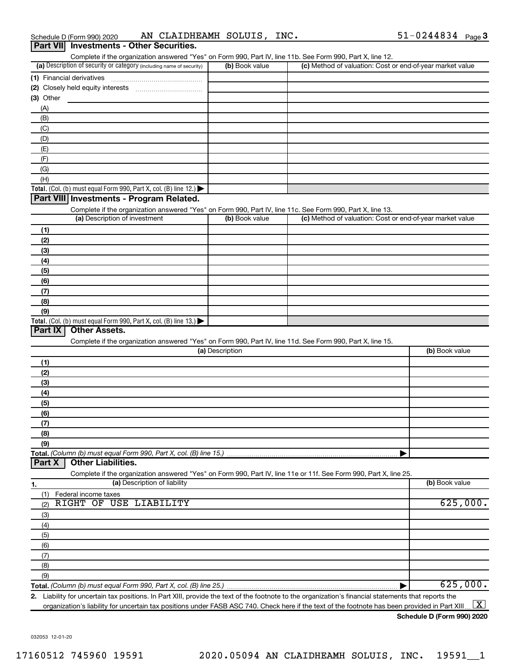| Complete if the organization answered "Yes" on Form 990, Part IV, line 11b. See Form 990, Part X, line 12.<br>(a) Description of security or category (including name of security) | (b) Book value  | (c) Method of valuation: Cost or end-of-year market value |                      |
|------------------------------------------------------------------------------------------------------------------------------------------------------------------------------------|-----------------|-----------------------------------------------------------|----------------------|
|                                                                                                                                                                                    |                 |                                                           |                      |
| (1) Financial derivatives                                                                                                                                                          |                 |                                                           |                      |
|                                                                                                                                                                                    |                 |                                                           |                      |
| $(3)$ Other                                                                                                                                                                        |                 |                                                           |                      |
| (A)                                                                                                                                                                                |                 |                                                           |                      |
| (B)                                                                                                                                                                                |                 |                                                           |                      |
| (C)                                                                                                                                                                                |                 |                                                           |                      |
| (D)                                                                                                                                                                                |                 |                                                           |                      |
| (E)                                                                                                                                                                                |                 |                                                           |                      |
| (F)                                                                                                                                                                                |                 |                                                           |                      |
| (G)                                                                                                                                                                                |                 |                                                           |                      |
| (H)                                                                                                                                                                                |                 |                                                           |                      |
| <b>Total.</b> (Col. (b) must equal Form 990, Part X, col. (B) line 12.)                                                                                                            |                 |                                                           |                      |
| Part VIII Investments - Program Related.                                                                                                                                           |                 |                                                           |                      |
| Complete if the organization answered "Yes" on Form 990, Part IV, line 11c. See Form 990, Part X, line 13.                                                                         |                 |                                                           |                      |
| (a) Description of investment                                                                                                                                                      | (b) Book value  | (c) Method of valuation: Cost or end-of-year market value |                      |
| (1)                                                                                                                                                                                |                 |                                                           |                      |
| (2)                                                                                                                                                                                |                 |                                                           |                      |
| (3)                                                                                                                                                                                |                 |                                                           |                      |
| (4)                                                                                                                                                                                |                 |                                                           |                      |
| (5)                                                                                                                                                                                |                 |                                                           |                      |
|                                                                                                                                                                                    |                 |                                                           |                      |
| (6)                                                                                                                                                                                |                 |                                                           |                      |
| (7)                                                                                                                                                                                |                 |                                                           |                      |
| (8)                                                                                                                                                                                |                 |                                                           |                      |
| (9)                                                                                                                                                                                |                 |                                                           |                      |
| <b>Total.</b> (Col. (b) must equal Form 990, Part X, col. (B) line 13.)                                                                                                            |                 |                                                           |                      |
|                                                                                                                                                                                    |                 |                                                           |                      |
| Part IX<br><b>Other Assets.</b>                                                                                                                                                    |                 |                                                           |                      |
| Complete if the organization answered "Yes" on Form 990, Part IV, line 11d. See Form 990, Part X, line 15.                                                                         |                 |                                                           |                      |
|                                                                                                                                                                                    | (a) Description |                                                           | (b) Book value       |
| (1)                                                                                                                                                                                |                 |                                                           |                      |
| (2)                                                                                                                                                                                |                 |                                                           |                      |
| (3)                                                                                                                                                                                |                 |                                                           |                      |
| (4)                                                                                                                                                                                |                 |                                                           |                      |
| (5)                                                                                                                                                                                |                 |                                                           |                      |
| (6)                                                                                                                                                                                |                 |                                                           |                      |
|                                                                                                                                                                                    |                 |                                                           |                      |
| (7)                                                                                                                                                                                |                 |                                                           |                      |
| (8)                                                                                                                                                                                |                 |                                                           |                      |
| (9)                                                                                                                                                                                |                 |                                                           |                      |
|                                                                                                                                                                                    |                 |                                                           |                      |
| Total. (Column (b) must equal Form 990, Part X, col. (B) line 15.)<br><b>Other Liabilities.</b><br>Part X                                                                          |                 |                                                           |                      |
| Complete if the organization answered "Yes" on Form 990, Part IV, line 11e or 11f. See Form 990, Part X, line 25.                                                                  |                 |                                                           |                      |
| (a) Description of liability                                                                                                                                                       |                 |                                                           | (b) Book value       |
| Federal income taxes<br>(1)                                                                                                                                                        |                 |                                                           |                      |
| RIGHT OF USE LIABILITY<br>(2)                                                                                                                                                      |                 |                                                           |                      |
| (3)                                                                                                                                                                                |                 |                                                           |                      |
| (4)                                                                                                                                                                                |                 |                                                           |                      |
| (5)                                                                                                                                                                                |                 |                                                           |                      |
| (6)                                                                                                                                                                                |                 |                                                           |                      |
| (7)                                                                                                                                                                                |                 |                                                           |                      |
| (8)                                                                                                                                                                                |                 |                                                           |                      |
| (9)                                                                                                                                                                                |                 |                                                           |                      |
| 1.                                                                                                                                                                                 |                 |                                                           | 625,000.<br>625,000. |

organization's liability for uncertain tax positions under FASB ASC 740. Check here if the text of the footnote has been provided in Part XIII ...  $\fbox{\bf X}$ 

**Schedule D (Form 990) 2020**

032053 12-01-20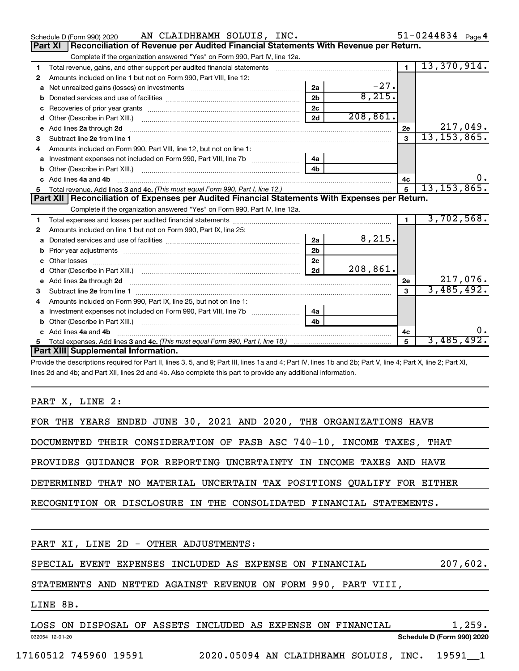|    | AN CLAIDHEAMH SOLUIS, INC.<br>Schedule D (Form 990) 2020                                                                                                     |                      |           |                | $51 - 0244834$ Page 4 |
|----|--------------------------------------------------------------------------------------------------------------------------------------------------------------|----------------------|-----------|----------------|-----------------------|
|    | Part XI   Reconciliation of Revenue per Audited Financial Statements With Revenue per Return.                                                                |                      |           |                |                       |
|    | Complete if the organization answered "Yes" on Form 990, Part IV, line 12a.                                                                                  |                      |           |                |                       |
| 1. | Total revenue, gains, and other support per audited financial statements [111] [11] Total revenue, gains, and other support per audited financial statements |                      |           | $\mathbf{1}$   | 13,370,914.           |
| 2  | Amounts included on line 1 but not on Form 990, Part VIII, line 12:                                                                                          |                      |           |                |                       |
| a  |                                                                                                                                                              | 2a                   | $-27$ .   |                |                       |
| b  |                                                                                                                                                              | 2 <sub>b</sub>       | 8,215.    |                |                       |
| c  |                                                                                                                                                              | 2 <sub>c</sub>       |           |                |                       |
| d  |                                                                                                                                                              | 2d                   | 208, 861. |                |                       |
| e  | Add lines 2a through 2d <b>continuum continuum contracts</b> and an analysis of the continuum contracts and an analysis                                      |                      |           | 2e             | 217,049.              |
| 3  | Subtract line 2e from line 1 <b>manufacture in the contract of the contract line</b> 2e from line 1                                                          |                      |           | $\mathbf{a}$   | 13, 153, 865.         |
|    | Amounts included on Form 990, Part VIII, line 12, but not on line 1:                                                                                         |                      |           |                |                       |
| a  |                                                                                                                                                              | 4a                   |           |                |                       |
|    |                                                                                                                                                              | 4 <sub>b</sub>       |           |                |                       |
|    | Add lines 4a and 4b                                                                                                                                          |                      |           | 4c             | 0.                    |
| 5  |                                                                                                                                                              |                      |           | 5              | 13, 153, 865.         |
|    |                                                                                                                                                              |                      |           |                |                       |
|    | Part XII   Reconciliation of Expenses per Audited Financial Statements With Expenses per Return.                                                             |                      |           |                |                       |
|    | Complete if the organization answered "Yes" on Form 990, Part IV, line 12a.                                                                                  |                      |           |                |                       |
| 1  |                                                                                                                                                              |                      |           | $\blacksquare$ | 3,702,568.            |
| 2  | Amounts included on line 1 but not on Form 990, Part IX, line 25:                                                                                            |                      |           |                |                       |
| a  |                                                                                                                                                              | 2a                   | 8,215.    |                |                       |
|    |                                                                                                                                                              | 2 <sub>b</sub>       |           |                |                       |
| c  |                                                                                                                                                              | 2 <sub>c</sub>       |           |                |                       |
| d  |                                                                                                                                                              | 2d                   | 208, 861. |                |                       |
|    |                                                                                                                                                              |                      |           | 2e             | 217,076.              |
| 3  |                                                                                                                                                              |                      |           |                | 3,485,492.            |
| 4  | Amounts included on Form 990, Part IX, line 25, but not on line 1:                                                                                           |                      |           |                |                       |
| a  |                                                                                                                                                              | 4a<br>4 <sub>h</sub> |           |                |                       |
|    |                                                                                                                                                              |                      |           |                |                       |
|    | c Add lines 4a and 4b                                                                                                                                        |                      |           | 4c<br>5        |                       |
|    | Part XIII Supplemental Information.                                                                                                                          |                      |           |                | 3,485,492.            |

Provide the descriptions required for Part II, lines 3, 5, and 9; Part III, lines 1a and 4; Part IV, lines 1b and 2b; Part V, line 4; Part X, line 2; Part XI, lines 2d and 4b; and Part XII, lines 2d and 4b. Also complete this part to provide any additional information.

PART X, LINE 2:

| FOR THE YEARS ENDED JUNE 30, 2021 AND 2020, THE ORGANIZATIONS HAVE     |
|------------------------------------------------------------------------|
| DOCUMENTED THEIR CONSIDERATION OF FASB ASC 740-10, INCOME TAXES, THAT  |
| PROVIDES GUIDANCE FOR REPORTING UNCERTAINTY IN INCOME TAXES AND HAVE   |
| DETERMINED THAT NO MATERIAL UNCERTAIN TAX POSITIONS QUALIFY FOR EITHER |
| RECOGNITION OR DISCLOSURE IN THE CONSOLIDATED FINANCIAL STATEMENTS.    |
|                                                                        |
| PART XI, LINE 2D - OTHER ADJUSTMENTS:                                  |
| SPECIAL EVENT EXPENSES INCLUDED AS EXPENSE ON FINANCIAL<br>207,602.    |
| STATEMENTS AND NETTED AGAINST REVENUE ON FORM 990, PART VIII,          |
| LINE 8B.                                                               |
| LOSS ON DISPOSAL OF ASSETS INCLUDED AS EXPENSE ON FINANCIAL<br>1,259.  |

032054 12-01-20

**Schedule D (Form 990) 2020**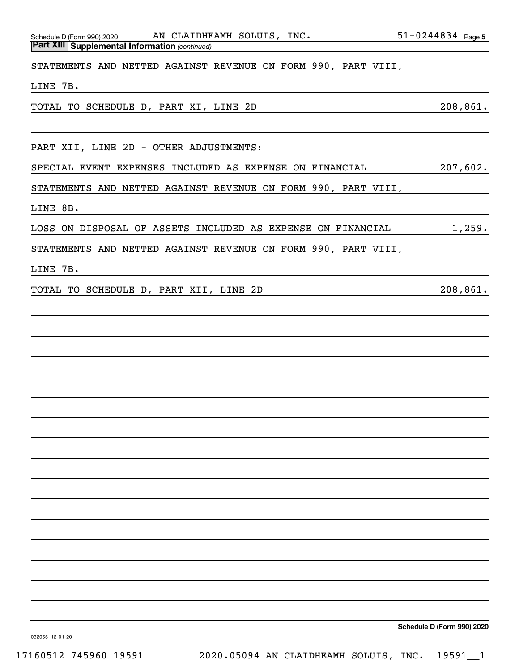*(continued)* **Part XIII Supplemental Information**  Schedule D (Form 990) 2020  $\quad$  AN <code>CLAIDHEAMH SOLUIS</code> , <code>INC</code> .  $\quad$  51-0244834 <code>Page</code>

STATEMENTS AND NETTED AGAINST REVENUE ON FORM 990, PART VIII,

LINE 7B.

TOTAL TO SCHEDULE D, PART XI, LINE 2D 208,861.

PART XII, LINE 2D - OTHER ADJUSTMENTS:

SPECIAL EVENT EXPENSES INCLUDED AS EXPENSE ON FINANCIAL 207,602.

STATEMENTS AND NETTED AGAINST REVENUE ON FORM 990, PART VIII,

LINE 8B.

LOSS ON DISPOSAL OF ASSETS INCLUDED AS EXPENSE ON FINANCIAL  $1,259$ .

STATEMENTS AND NETTED AGAINST REVENUE ON FORM 990, PART VIII,

LINE 7B.

TOTAL TO SCHEDULE D, PART XII, LINE 2D 208,861.

**Schedule D (Form 990) 2020**

032055 12-01-20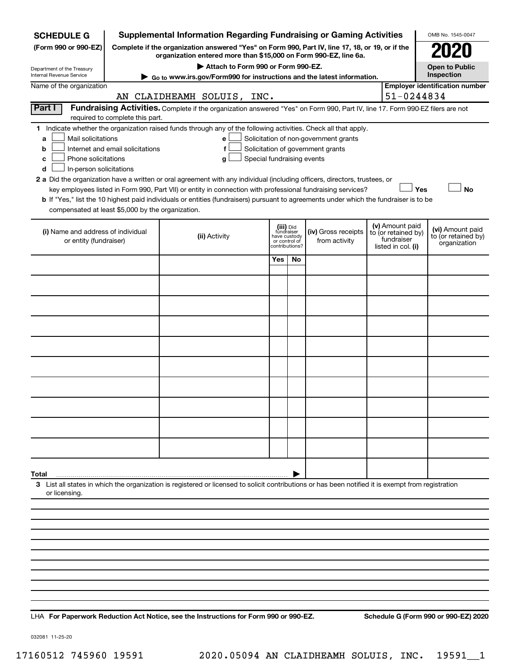| <b>SCHEDULE G</b>                                            |                                  | <b>Supplemental Information Regarding Fundraising or Gaming Activities</b>                                                                                                                                                                |                            |                               |                                       |                                   | OMB No. 1545-0047                                   |
|--------------------------------------------------------------|----------------------------------|-------------------------------------------------------------------------------------------------------------------------------------------------------------------------------------------------------------------------------------------|----------------------------|-------------------------------|---------------------------------------|-----------------------------------|-----------------------------------------------------|
| (Form 990 or 990-EZ)                                         |                                  | Complete if the organization answered "Yes" on Form 990, Part IV, line 17, 18, or 19, or if the<br>organization entered more than \$15,000 on Form 990-EZ, line 6a.                                                                       |                            |                               |                                       |                                   |                                                     |
| Department of the Treasury                                   |                                  | Attach to Form 990 or Form 990-EZ.                                                                                                                                                                                                        |                            |                               |                                       |                                   | <b>Open to Public</b>                               |
| Internal Revenue Service<br>Name of the organization         |                                  | Go to www.irs.gov/Form990 for instructions and the latest information.                                                                                                                                                                    |                            |                               |                                       |                                   | Inspection<br><b>Employer identification number</b> |
|                                                              |                                  | AN CLAIDHEAMH SOLUIS, INC.                                                                                                                                                                                                                |                            |                               |                                       | 51-0244834                        |                                                     |
| Part I                                                       |                                  | Fundraising Activities. Complete if the organization answered "Yes" on Form 990, Part IV, line 17. Form 990-EZ filers are not                                                                                                             |                            |                               |                                       |                                   |                                                     |
|                                                              | required to complete this part.  |                                                                                                                                                                                                                                           |                            |                               |                                       |                                   |                                                     |
| Mail solicitations                                           |                                  | 1 Indicate whether the organization raised funds through any of the following activities. Check all that apply.                                                                                                                           |                            |                               | Solicitation of non-government grants |                                   |                                                     |
| a<br>b                                                       | Internet and email solicitations | e<br>f                                                                                                                                                                                                                                    |                            |                               | Solicitation of government grants     |                                   |                                                     |
| Phone solicitations<br>c                                     |                                  | g                                                                                                                                                                                                                                         | Special fundraising events |                               |                                       |                                   |                                                     |
| In-person solicitations<br>d                                 |                                  |                                                                                                                                                                                                                                           |                            |                               |                                       |                                   |                                                     |
|                                                              |                                  | 2 a Did the organization have a written or oral agreement with any individual (including officers, directors, trustees, or<br>key employees listed in Form 990, Part VII) or entity in connection with professional fundraising services? |                            |                               |                                       | Yes                               | <b>No</b>                                           |
|                                                              |                                  | b If "Yes," list the 10 highest paid individuals or entities (fundraisers) pursuant to agreements under which the fundraiser is to be                                                                                                     |                            |                               |                                       |                                   |                                                     |
| compensated at least \$5,000 by the organization.            |                                  |                                                                                                                                                                                                                                           |                            |                               |                                       |                                   |                                                     |
|                                                              |                                  |                                                                                                                                                                                                                                           |                            | (iii) Did<br>fundraiser       |                                       | (v) Amount paid                   | (vi) Amount paid                                    |
| (i) Name and address of individual<br>or entity (fundraiser) |                                  | (ii) Activity                                                                                                                                                                                                                             |                            | have custody<br>or control of | (iv) Gross receipts<br>from activity  | to (or retained by)<br>fundraiser | to (or retained by)                                 |
|                                                              |                                  |                                                                                                                                                                                                                                           |                            | contributions?                |                                       | listed in col. (i)                | organization                                        |
|                                                              |                                  |                                                                                                                                                                                                                                           | Yes                        | No                            |                                       |                                   |                                                     |
|                                                              |                                  |                                                                                                                                                                                                                                           |                            |                               |                                       |                                   |                                                     |
|                                                              |                                  |                                                                                                                                                                                                                                           |                            |                               |                                       |                                   |                                                     |
|                                                              |                                  |                                                                                                                                                                                                                                           |                            |                               |                                       |                                   |                                                     |
|                                                              |                                  |                                                                                                                                                                                                                                           |                            |                               |                                       |                                   |                                                     |
|                                                              |                                  |                                                                                                                                                                                                                                           |                            |                               |                                       |                                   |                                                     |
|                                                              |                                  |                                                                                                                                                                                                                                           |                            |                               |                                       |                                   |                                                     |
|                                                              |                                  |                                                                                                                                                                                                                                           |                            |                               |                                       |                                   |                                                     |
|                                                              |                                  |                                                                                                                                                                                                                                           |                            |                               |                                       |                                   |                                                     |
|                                                              |                                  |                                                                                                                                                                                                                                           |                            |                               |                                       |                                   |                                                     |
|                                                              |                                  |                                                                                                                                                                                                                                           |                            |                               |                                       |                                   |                                                     |
|                                                              |                                  |                                                                                                                                                                                                                                           |                            |                               |                                       |                                   |                                                     |
|                                                              |                                  |                                                                                                                                                                                                                                           |                            |                               |                                       |                                   |                                                     |
|                                                              |                                  |                                                                                                                                                                                                                                           |                            |                               |                                       |                                   |                                                     |
|                                                              |                                  |                                                                                                                                                                                                                                           |                            |                               |                                       |                                   |                                                     |
|                                                              |                                  |                                                                                                                                                                                                                                           |                            |                               |                                       |                                   |                                                     |
| Total                                                        |                                  |                                                                                                                                                                                                                                           |                            |                               |                                       |                                   |                                                     |
| or licensing.                                                |                                  | 3 List all states in which the organization is registered or licensed to solicit contributions or has been notified it is exempt from registration                                                                                        |                            |                               |                                       |                                   |                                                     |
|                                                              |                                  |                                                                                                                                                                                                                                           |                            |                               |                                       |                                   |                                                     |
|                                                              |                                  |                                                                                                                                                                                                                                           |                            |                               |                                       |                                   |                                                     |
|                                                              |                                  |                                                                                                                                                                                                                                           |                            |                               |                                       |                                   |                                                     |
|                                                              |                                  |                                                                                                                                                                                                                                           |                            |                               |                                       |                                   |                                                     |
|                                                              |                                  |                                                                                                                                                                                                                                           |                            |                               |                                       |                                   |                                                     |

**For Paperwork Reduction Act Notice, see the Instructions for Form 990 or 990-EZ. Schedule G (Form 990 or 990-EZ) 2020** LHA

032081 11-25-20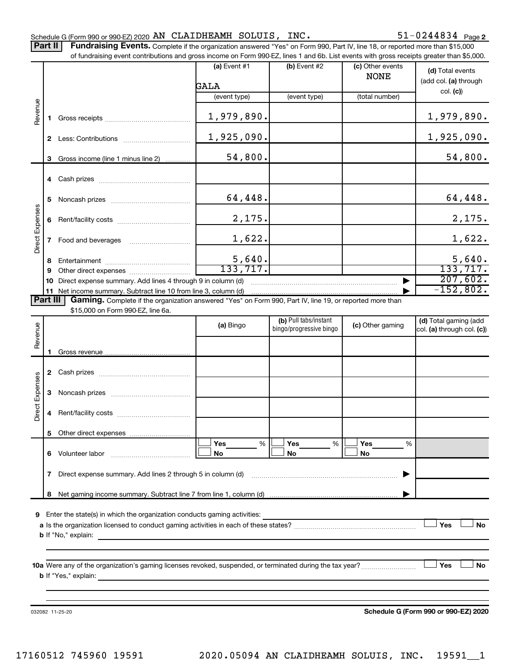Part II | Fundraising Events. Complete if the organization answered "Yes" on Form 990, Part IV, line 18, or reported more than \$15,000

|                 |                | of fundraising event contributions and gross income on Form 990-EZ, lines 1 and 6b. List events with gross receipts greater than \$5,000. | $(a)$ Event #1 | (b) Event #2            | (c) Other events |                                      |  |  |  |  |
|-----------------|----------------|-------------------------------------------------------------------------------------------------------------------------------------------|----------------|-------------------------|------------------|--------------------------------------|--|--|--|--|
|                 |                |                                                                                                                                           |                |                         | <b>NONE</b>      | (d) Total events                     |  |  |  |  |
|                 |                |                                                                                                                                           | GALA           |                         |                  | (add col. (a) through<br>col. (c)    |  |  |  |  |
|                 |                |                                                                                                                                           | (event type)   | (event type)            | (total number)   |                                      |  |  |  |  |
| Revenue         | 1.             |                                                                                                                                           | 1,979,890.     |                         |                  | 1,979,890.                           |  |  |  |  |
|                 |                |                                                                                                                                           | 1,925,090.     |                         |                  | 1,925,090.                           |  |  |  |  |
|                 | 3              | Gross income (line 1 minus line 2)                                                                                                        | 54,800.        |                         |                  | 54,800.                              |  |  |  |  |
|                 | 4              |                                                                                                                                           |                |                         |                  |                                      |  |  |  |  |
|                 | 5              |                                                                                                                                           | 64,448.        |                         |                  | 64, 448.                             |  |  |  |  |
|                 | 6              |                                                                                                                                           | 2,175.         |                         |                  | 2,175.                               |  |  |  |  |
| Direct Expenses | 7              |                                                                                                                                           | 1,622.         |                         |                  | 1,622.                               |  |  |  |  |
|                 | 8              |                                                                                                                                           | 5,640.         |                         |                  | 5,640.                               |  |  |  |  |
|                 | 9              |                                                                                                                                           | 133, 717.      |                         |                  | 133, 717.                            |  |  |  |  |
|                 | 10             | Direct expense summary. Add lines 4 through 9 in column (d)                                                                               |                |                         |                  | 207,602.<br>$-152,802.$              |  |  |  |  |
|                 | 11<br>Part III | Gaming. Complete if the organization answered "Yes" on Form 990, Part IV, line 19, or reported more than                                  |                |                         |                  |                                      |  |  |  |  |
|                 |                | \$15,000 on Form 990-EZ, line 6a.                                                                                                         |                |                         |                  |                                      |  |  |  |  |
|                 |                |                                                                                                                                           | (a) Bingo      | (b) Pull tabs/instant   | (c) Other gaming | (d) Total gaming (add                |  |  |  |  |
| Revenue         |                |                                                                                                                                           |                | bingo/progressive bingo |                  | col. (a) through col. (c))           |  |  |  |  |
|                 |                |                                                                                                                                           |                |                         |                  |                                      |  |  |  |  |
|                 |                |                                                                                                                                           |                |                         |                  |                                      |  |  |  |  |
|                 |                |                                                                                                                                           |                |                         |                  |                                      |  |  |  |  |
|                 | 3              |                                                                                                                                           |                |                         |                  |                                      |  |  |  |  |
| Direct Expenses | 4              |                                                                                                                                           |                |                         |                  |                                      |  |  |  |  |
|                 |                |                                                                                                                                           |                |                         |                  |                                      |  |  |  |  |
|                 |                |                                                                                                                                           | %<br>Yes       | Yes<br>%                | Yes<br>%         |                                      |  |  |  |  |
|                 | 6.             | Volunteer labor                                                                                                                           | No             | No                      | No               |                                      |  |  |  |  |
|                 | 7              | Direct expense summary. Add lines 2 through 5 in column (d)                                                                               |                |                         |                  |                                      |  |  |  |  |
|                 | 8              |                                                                                                                                           |                |                         |                  |                                      |  |  |  |  |
|                 |                |                                                                                                                                           |                |                         |                  |                                      |  |  |  |  |
| 9               |                | Enter the state(s) in which the organization conducts gaming activities:                                                                  |                |                         |                  | Yes<br><b>No</b>                     |  |  |  |  |
|                 |                |                                                                                                                                           |                |                         |                  |                                      |  |  |  |  |
|                 |                |                                                                                                                                           |                |                         |                  |                                      |  |  |  |  |
|                 |                |                                                                                                                                           |                |                         |                  |                                      |  |  |  |  |
|                 | Yes<br>No      |                                                                                                                                           |                |                         |                  |                                      |  |  |  |  |
|                 |                |                                                                                                                                           |                |                         |                  |                                      |  |  |  |  |
|                 |                |                                                                                                                                           |                |                         |                  |                                      |  |  |  |  |
|                 |                |                                                                                                                                           |                |                         |                  | Schedule G (Form 990 or 990-EZ) 2020 |  |  |  |  |
|                 |                | 032082 11-25-20                                                                                                                           |                |                         |                  |                                      |  |  |  |  |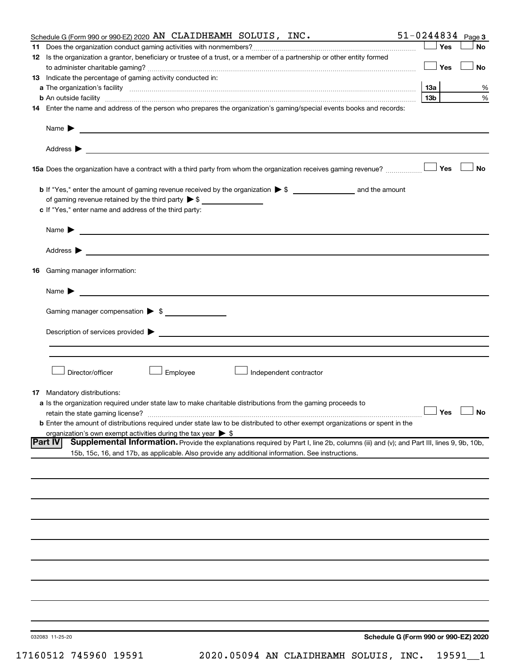|    | Schedule G (Form 990 or 990-EZ) 2020 AN CLAIDHEAMH SOLUIS, INC.                                                                                                                                                                | $51 - 0244834$ Page 3 |                      |
|----|--------------------------------------------------------------------------------------------------------------------------------------------------------------------------------------------------------------------------------|-----------------------|----------------------|
|    |                                                                                                                                                                                                                                | Yes                   | <b>No</b>            |
|    | 12 Is the organization a grantor, beneficiary or trustee of a trust, or a member of a partnership or other entity formed                                                                                                       |                       |                      |
|    |                                                                                                                                                                                                                                | ⊥ Yes                 | No                   |
|    | 13 Indicate the percentage of gaming activity conducted in:                                                                                                                                                                    |                       |                      |
|    |                                                                                                                                                                                                                                | 1За                   | %                    |
|    | <b>b</b> An outside facility <i>www.communicality www.communicality.communicality www.communicality www.communicality.communicality www.communicality.com</i>                                                                  | 13 <sub>b</sub>       | %                    |
|    | 14 Enter the name and address of the person who prepares the organization's gaming/special events books and records:                                                                                                           |                       |                      |
|    |                                                                                                                                                                                                                                |                       |                      |
|    | Name $\blacktriangleright$<br><u>and the contract of the contract of the contract of the contract of the contract of the contract of the contract of</u>                                                                       |                       |                      |
|    |                                                                                                                                                                                                                                |                       |                      |
|    |                                                                                                                                                                                                                                |                       |                      |
|    | Address $\blacktriangleright$<br><u>and the contract of the contract of the contract of the contract of the contract of the contract of the contract of</u>                                                                    |                       |                      |
|    |                                                                                                                                                                                                                                |                       | ∣ No                 |
|    |                                                                                                                                                                                                                                |                       |                      |
|    |                                                                                                                                                                                                                                |                       |                      |
|    |                                                                                                                                                                                                                                |                       |                      |
|    | of gaming revenue retained by the third party $\triangleright$ \$                                                                                                                                                              |                       |                      |
|    | c If "Yes," enter name and address of the third party:                                                                                                                                                                         |                       |                      |
|    |                                                                                                                                                                                                                                |                       |                      |
|    | <u>and the contract of the contract of the contract of the contract of the contract of the contract of</u><br>Name $\blacktriangleright$                                                                                       |                       |                      |
|    |                                                                                                                                                                                                                                |                       |                      |
|    | Address ><br><u>and the contract of the contract of the contract of the contract of the contract of the contract of the contract of</u>                                                                                        |                       |                      |
|    |                                                                                                                                                                                                                                |                       |                      |
| 16 | Gaming manager information:                                                                                                                                                                                                    |                       |                      |
|    |                                                                                                                                                                                                                                |                       |                      |
|    | <u> 1989 - Johann Stein, marwolaethau a bhann an t-</u><br>Name $\blacktriangleright$                                                                                                                                          |                       |                      |
|    |                                                                                                                                                                                                                                |                       |                      |
|    | Gaming manager compensation > \$                                                                                                                                                                                               |                       |                      |
|    |                                                                                                                                                                                                                                |                       |                      |
|    | Description of services provided states and the control of the control of the control of services provided states and the control of the control of the control of the control of the control of the control of the control of |                       |                      |
|    |                                                                                                                                                                                                                                |                       |                      |
|    |                                                                                                                                                                                                                                |                       |                      |
|    |                                                                                                                                                                                                                                |                       |                      |
|    | Director/officer<br>Employee<br>Independent contractor                                                                                                                                                                         |                       |                      |
|    |                                                                                                                                                                                                                                |                       |                      |
| 17 | Mandatory distributions:                                                                                                                                                                                                       |                       |                      |
|    |                                                                                                                                                                                                                                |                       |                      |
|    | a Is the organization required under state law to make charitable distributions from the gaming proceeds to                                                                                                                    |                       | $\Box$ Yes $\Box$ No |
|    | retain the state gaming license?                                                                                                                                                                                               |                       |                      |
|    | b Enter the amount of distributions required under state law to be distributed to other exempt organizations or spent in the                                                                                                   |                       |                      |
|    | organization's own exempt activities during the tax year $\triangleright$ \$<br> Part IV                                                                                                                                       |                       |                      |
|    | Supplemental Information. Provide the explanations required by Part I, line 2b, columns (iii) and (v); and Part III, lines 9, 9b, 10b,                                                                                         |                       |                      |
|    | 15b, 15c, 16, and 17b, as applicable. Also provide any additional information. See instructions.                                                                                                                               |                       |                      |
|    |                                                                                                                                                                                                                                |                       |                      |
|    |                                                                                                                                                                                                                                |                       |                      |
|    |                                                                                                                                                                                                                                |                       |                      |
|    |                                                                                                                                                                                                                                |                       |                      |
|    |                                                                                                                                                                                                                                |                       |                      |
|    |                                                                                                                                                                                                                                |                       |                      |
|    |                                                                                                                                                                                                                                |                       |                      |
|    |                                                                                                                                                                                                                                |                       |                      |
|    |                                                                                                                                                                                                                                |                       |                      |
|    |                                                                                                                                                                                                                                |                       |                      |
|    |                                                                                                                                                                                                                                |                       |                      |
|    |                                                                                                                                                                                                                                |                       |                      |
|    |                                                                                                                                                                                                                                |                       |                      |
|    |                                                                                                                                                                                                                                |                       |                      |
|    |                                                                                                                                                                                                                                |                       |                      |
|    |                                                                                                                                                                                                                                |                       |                      |
|    |                                                                                                                                                                                                                                |                       |                      |
|    | Schedule G (Form 990 or 990-EZ) 2020<br>032083 11-25-20                                                                                                                                                                        |                       |                      |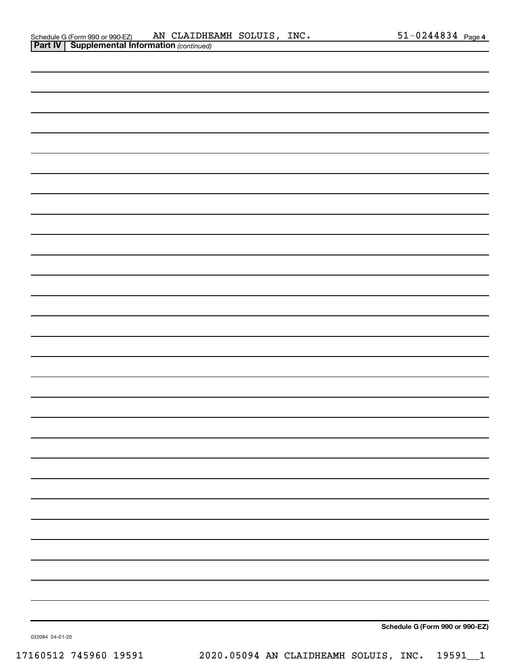| Schedule G (Form 990 or 990-EZ)                       | AN CLAIDHEAMH SOLUIS, | INC. | $51 - 0244834$ Page 4 |  |
|-------------------------------------------------------|-----------------------|------|-----------------------|--|
| <b>Part IV   Supplemental Information (continued)</b> |                       |      |                       |  |

| . |                                 |
|---|---------------------------------|
|   |                                 |
|   |                                 |
|   |                                 |
|   |                                 |
|   |                                 |
|   |                                 |
|   |                                 |
|   |                                 |
|   |                                 |
|   |                                 |
|   |                                 |
|   |                                 |
|   |                                 |
|   |                                 |
|   |                                 |
|   |                                 |
|   |                                 |
|   |                                 |
|   |                                 |
|   |                                 |
|   |                                 |
|   |                                 |
|   |                                 |
|   |                                 |
|   |                                 |
|   |                                 |
|   |                                 |
|   |                                 |
|   |                                 |
|   | Schedule G (Form 990 or 990-EZ) |

032084 04-01-20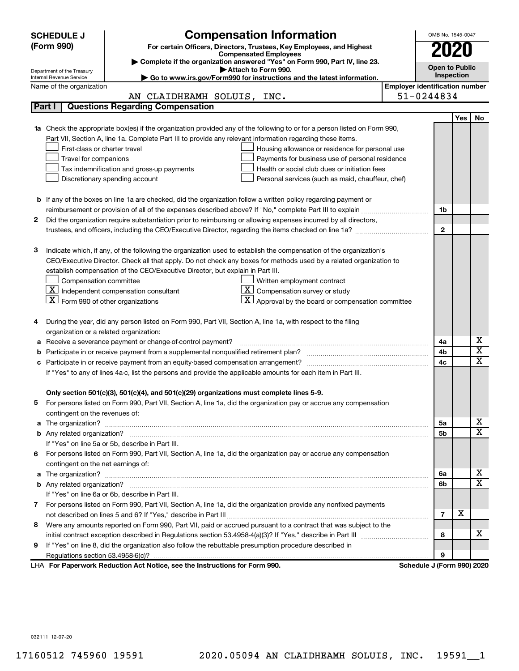|                                                                                                             | <b>SCHEDULE J</b>                                                                                                  | <b>Compensation Information</b>                                                                                        |                                       | OMB No. 1545-0047          |     |                         |  |  |
|-------------------------------------------------------------------------------------------------------------|--------------------------------------------------------------------------------------------------------------------|------------------------------------------------------------------------------------------------------------------------|---------------------------------------|----------------------------|-----|-------------------------|--|--|
| (Form 990)                                                                                                  |                                                                                                                    | For certain Officers, Directors, Trustees, Key Employees, and Highest                                                  |                                       | 2020                       |     |                         |  |  |
|                                                                                                             |                                                                                                                    | <b>Compensated Employees</b>                                                                                           |                                       |                            |     |                         |  |  |
|                                                                                                             | Department of the Treasury                                                                                         | Complete if the organization answered "Yes" on Form 990, Part IV, line 23.<br>Attach to Form 990.                      |                                       | <b>Open to Public</b>      |     |                         |  |  |
|                                                                                                             | Internal Revenue Service                                                                                           | Go to www.irs.gov/Form990 for instructions and the latest information.                                                 |                                       | Inspection                 |     |                         |  |  |
|                                                                                                             | Name of the organization                                                                                           |                                                                                                                        | <b>Employer identification number</b> |                            |     |                         |  |  |
|                                                                                                             |                                                                                                                    | AN CLAIDHEAMH SOLUIS, INC.                                                                                             | 51-0244834                            |                            |     |                         |  |  |
|                                                                                                             | Part I                                                                                                             | <b>Questions Regarding Compensation</b>                                                                                |                                       |                            |     |                         |  |  |
|                                                                                                             |                                                                                                                    |                                                                                                                        |                                       |                            | Yes | No                      |  |  |
|                                                                                                             |                                                                                                                    | Check the appropriate box(es) if the organization provided any of the following to or for a person listed on Form 990, |                                       |                            |     |                         |  |  |
|                                                                                                             | Part VII, Section A, line 1a. Complete Part III to provide any relevant information regarding these items.         |                                                                                                                        |                                       |                            |     |                         |  |  |
|                                                                                                             | First-class or charter travel                                                                                      | Housing allowance or residence for personal use                                                                        |                                       |                            |     |                         |  |  |
|                                                                                                             | Travel for companions                                                                                              | Payments for business use of personal residence                                                                        |                                       |                            |     |                         |  |  |
|                                                                                                             |                                                                                                                    | Health or social club dues or initiation fees<br>Tax indemnification and gross-up payments                             |                                       |                            |     |                         |  |  |
|                                                                                                             |                                                                                                                    | Discretionary spending account<br>Personal services (such as maid, chauffeur, chef)                                    |                                       |                            |     |                         |  |  |
|                                                                                                             |                                                                                                                    |                                                                                                                        |                                       |                            |     |                         |  |  |
|                                                                                                             |                                                                                                                    | <b>b</b> If any of the boxes on line 1a are checked, did the organization follow a written policy regarding payment or |                                       |                            |     |                         |  |  |
|                                                                                                             |                                                                                                                    |                                                                                                                        |                                       | 1b                         |     |                         |  |  |
| 2                                                                                                           |                                                                                                                    | Did the organization require substantiation prior to reimbursing or allowing expenses incurred by all directors,       |                                       |                            |     |                         |  |  |
|                                                                                                             |                                                                                                                    |                                                                                                                        |                                       | $\mathbf{2}$               |     |                         |  |  |
|                                                                                                             |                                                                                                                    |                                                                                                                        |                                       |                            |     |                         |  |  |
| з                                                                                                           |                                                                                                                    | Indicate which, if any, of the following the organization used to establish the compensation of the organization's     |                                       |                            |     |                         |  |  |
|                                                                                                             |                                                                                                                    | CEO/Executive Director. Check all that apply. Do not check any boxes for methods used by a related organization to     |                                       |                            |     |                         |  |  |
|                                                                                                             |                                                                                                                    | establish compensation of the CEO/Executive Director, but explain in Part III.                                         |                                       |                            |     |                         |  |  |
|                                                                                                             | Compensation committee                                                                                             | Written employment contract                                                                                            |                                       |                            |     |                         |  |  |
|                                                                                                             |                                                                                                                    | $ \underline{\mathbf{X}} $ Independent compensation consultant<br>$ \mathbf{X} $ Compensation survey or study          |                                       |                            |     |                         |  |  |
|                                                                                                             | $ \mathbf{X} $ Form 990 of other organizations                                                                     | $ \mathbf{X} $ Approval by the board or compensation committee                                                         |                                       |                            |     |                         |  |  |
|                                                                                                             |                                                                                                                    |                                                                                                                        |                                       |                            |     |                         |  |  |
| 4                                                                                                           |                                                                                                                    | During the year, did any person listed on Form 990, Part VII, Section A, line 1a, with respect to the filing           |                                       |                            |     |                         |  |  |
|                                                                                                             | organization or a related organization:                                                                            |                                                                                                                        |                                       |                            |     | х                       |  |  |
| а                                                                                                           |                                                                                                                    | Receive a severance payment or change-of-control payment?                                                              |                                       | 4a                         |     | $\overline{\textbf{x}}$ |  |  |
| b                                                                                                           |                                                                                                                    |                                                                                                                        |                                       | 4b<br>4c                   |     | $\mathbf x$             |  |  |
|                                                                                                             |                                                                                                                    |                                                                                                                        |                                       |                            |     |                         |  |  |
|                                                                                                             |                                                                                                                    | If "Yes" to any of lines 4a-c, list the persons and provide the applicable amounts for each item in Part III.          |                                       |                            |     |                         |  |  |
|                                                                                                             |                                                                                                                    | Only section 501(c)(3), 501(c)(4), and 501(c)(29) organizations must complete lines 5-9.                               |                                       |                            |     |                         |  |  |
|                                                                                                             |                                                                                                                    | For persons listed on Form 990, Part VII, Section A, line 1a, did the organization pay or accrue any compensation      |                                       |                            |     |                         |  |  |
|                                                                                                             | contingent on the revenues of:                                                                                     |                                                                                                                        |                                       |                            |     |                         |  |  |
| a                                                                                                           |                                                                                                                    |                                                                                                                        |                                       | 5а                         |     | x                       |  |  |
|                                                                                                             |                                                                                                                    |                                                                                                                        |                                       | 5b                         |     | X                       |  |  |
|                                                                                                             |                                                                                                                    | If "Yes" on line 5a or 5b, describe in Part III.                                                                       |                                       |                            |     |                         |  |  |
| 6.                                                                                                          |                                                                                                                    | For persons listed on Form 990, Part VII, Section A, line 1a, did the organization pay or accrue any compensation      |                                       |                            |     |                         |  |  |
|                                                                                                             |                                                                                                                    |                                                                                                                        |                                       |                            |     |                         |  |  |
| a                                                                                                           | contingent on the net earnings of:                                                                                 |                                                                                                                        |                                       |                            |     | х                       |  |  |
|                                                                                                             |                                                                                                                    |                                                                                                                        |                                       |                            |     | $\overline{\mathbf{X}}$ |  |  |
|                                                                                                             | If "Yes" on line 6a or 6b, describe in Part III.                                                                   |                                                                                                                        |                                       |                            |     |                         |  |  |
|                                                                                                             | 7 For persons listed on Form 990, Part VII, Section A, line 1a, did the organization provide any nonfixed payments |                                                                                                                        |                                       |                            |     |                         |  |  |
|                                                                                                             |                                                                                                                    |                                                                                                                        |                                       |                            |     |                         |  |  |
| 8                                                                                                           |                                                                                                                    | Were any amounts reported on Form 990, Part VII, paid or accrued pursuant to a contract that was subject to the        |                                       | 7                          | X   |                         |  |  |
|                                                                                                             |                                                                                                                    |                                                                                                                        |                                       | 8                          |     | x                       |  |  |
| If "Yes" on line 8, did the organization also follow the rebuttable presumption procedure described in<br>9 |                                                                                                                    |                                                                                                                        |                                       |                            |     |                         |  |  |
|                                                                                                             |                                                                                                                    |                                                                                                                        |                                       | 9                          |     |                         |  |  |
|                                                                                                             |                                                                                                                    | LHA For Paperwork Reduction Act Notice, see the Instructions for Form 990.                                             |                                       | Schedule J (Form 990) 2020 |     |                         |  |  |

032111 12-07-20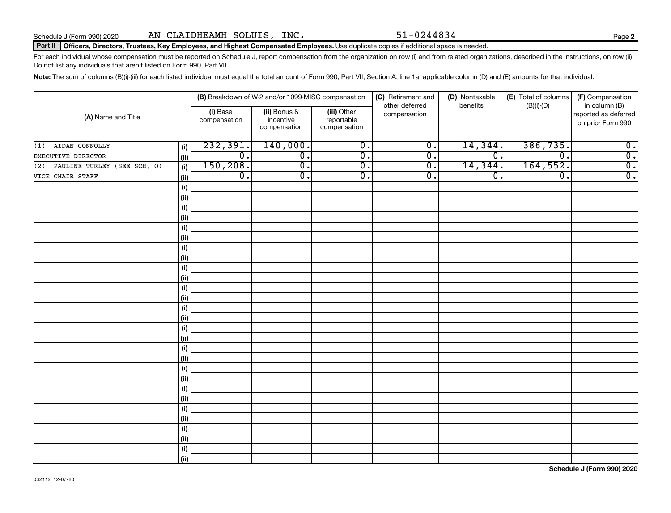#### Part II | Officers, Directors, Trustees, Key Employees, and Highest Compensated Employees. Use duplicate copies if additional space is needed.

For each individual whose compensation must be reported on Schedule J, report compensation from the organization on row (i) and from related organizations, described in the instructions, on row (ii). Do not list any individuals that aren't listed on Form 990, Part VII.

Note: The sum of columns (B)(i)-(iii) for each listed individual must equal the total amount of Form 990, Part VII, Section A, line 1a, applicable column (D) and (E) amounts for that individual.

|                                    |            | (B) Breakdown of W-2 and/or 1099-MISC compensation |                                           | (C) Retirement and                        | (D) Nontaxable                 | (E) Total of columns | (F) Compensation            |                                                            |
|------------------------------------|------------|----------------------------------------------------|-------------------------------------------|-------------------------------------------|--------------------------------|----------------------|-----------------------------|------------------------------------------------------------|
| (A) Name and Title                 |            | (i) Base<br>compensation                           | (ii) Bonus &<br>incentive<br>compensation | (iii) Other<br>reportable<br>compensation | other deferred<br>compensation | benefits             | $(B)(i)-(D)$                | in column (B)<br>reported as deferred<br>on prior Form 990 |
| AIDAN CONNOLLY<br>(1)              | (i)        | 232,391.                                           | 140,000.                                  | $\overline{0}$ .                          | $\overline{0}$ .               | 14,344.              | 386, 735.                   | $\overline{0}$ .                                           |
| EXECUTIVE DIRECTOR                 | (ii)       | $\overline{0}$ .                                   | $\overline{0}$ .                          | $\overline{0}$ .                          | σ.                             | $\overline{0}$ .     | $\overline{\mathfrak{o}}$ . | $\overline{0}$ .                                           |
| PAULINE TURLEY (SEE SCH. O)<br>(2) | (i)        | 150, 208.                                          | $\overline{0}$ .                          | $\overline{0}$ .                          | σ.                             | 14,344.              | 164,552.                    | $\overline{0}$ .                                           |
| VICE CHAIR STAFF                   | (ii)       | $\overline{0}$ .                                   | $\overline{0}$ .                          | $\overline{0}$ .                          | σ.                             | $\overline{0}$ .     | $\overline{\mathfrak{o}}$ . | $\overline{0}$ .                                           |
|                                    | $(\sf{i})$ |                                                    |                                           |                                           |                                |                      |                             |                                                            |
|                                    | (ii)       |                                                    |                                           |                                           |                                |                      |                             |                                                            |
|                                    | $(\sf{i})$ |                                                    |                                           |                                           |                                |                      |                             |                                                            |
|                                    | (ii)       |                                                    |                                           |                                           |                                |                      |                             |                                                            |
|                                    | (i)        |                                                    |                                           |                                           |                                |                      |                             |                                                            |
|                                    | (ii)       |                                                    |                                           |                                           |                                |                      |                             |                                                            |
|                                    | (i)        |                                                    |                                           |                                           |                                |                      |                             |                                                            |
|                                    | (ii)       |                                                    |                                           |                                           |                                |                      |                             |                                                            |
|                                    | (i)        |                                                    |                                           |                                           |                                |                      |                             |                                                            |
|                                    | (ii)       |                                                    |                                           |                                           |                                |                      |                             |                                                            |
|                                    | (i)        |                                                    |                                           |                                           |                                |                      |                             |                                                            |
|                                    | (ii)       |                                                    |                                           |                                           |                                |                      |                             |                                                            |
|                                    | (i)        |                                                    |                                           |                                           |                                |                      |                             |                                                            |
|                                    | (ii)       |                                                    |                                           |                                           |                                |                      |                             |                                                            |
|                                    | (i)        |                                                    |                                           |                                           |                                |                      |                             |                                                            |
|                                    | (ii)       |                                                    |                                           |                                           |                                |                      |                             |                                                            |
|                                    | (i)        |                                                    |                                           |                                           |                                |                      |                             |                                                            |
|                                    | (ii)       |                                                    |                                           |                                           |                                |                      |                             |                                                            |
|                                    | (i)        |                                                    |                                           |                                           |                                |                      |                             |                                                            |
|                                    | (ii)       |                                                    |                                           |                                           |                                |                      |                             |                                                            |
|                                    | (i)        |                                                    |                                           |                                           |                                |                      |                             |                                                            |
|                                    | (ii)       |                                                    |                                           |                                           |                                |                      |                             |                                                            |
|                                    | (i)        |                                                    |                                           |                                           |                                |                      |                             |                                                            |
|                                    | (ii)       |                                                    |                                           |                                           |                                |                      |                             |                                                            |
|                                    | (i)        |                                                    |                                           |                                           |                                |                      |                             |                                                            |
|                                    | (ii)       |                                                    |                                           |                                           |                                |                      |                             |                                                            |
|                                    | (i)        |                                                    |                                           |                                           |                                |                      |                             |                                                            |
|                                    | (ii)       |                                                    |                                           |                                           |                                |                      |                             |                                                            |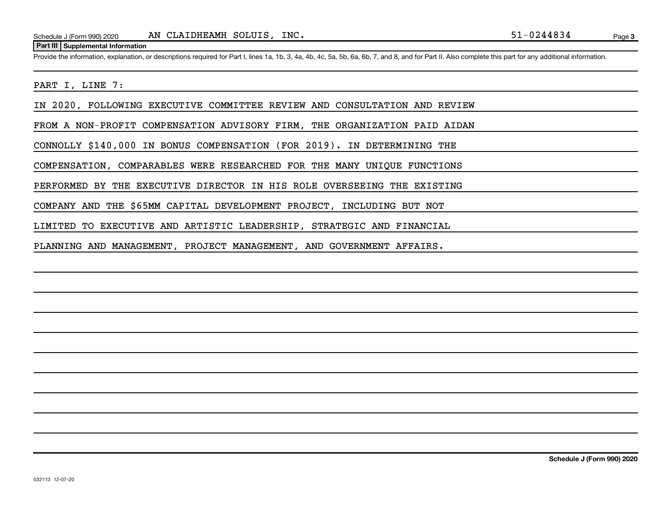#### **Part III Supplemental Information**

Provide the information, explanation, or descriptions required for Part I, lines 1a, 1b, 3, 4a, 4b, 4c, 5a, 5b, 6a, 6b, 7, and 8, and for Part II. Also complete this part for any additional information.

#### PART I, LINE 7:

IN 2020, FOLLOWING EXECUTIVE COMMITTEE REVIEW AND CONSULTATION AND REVIEW

FROM A NON-PROFIT COMPENSATION ADVISORY FIRM, THE ORGANIZATION PAID AIDAN

CONNOLLY \$140,000 IN BONUS COMPENSATION (FOR 2019). IN DETERMINING THE

COMPENSATION, COMPARABLES WERE RESEARCHED FOR THE MANY UNIQUE FUNCTIONS

PERFORMED BY THE EXECUTIVE DIRECTOR IN HIS ROLE OVERSEEING THE EXISTING

COMPANY AND THE \$65MM CAPITAL DEVELOPMENT PROJECT, INCLUDING BUT NOT

LIMITED TO EXECUTIVE AND ARTISTIC LEADERSHIP, STRATEGIC AND FINANCIAL

PLANNING AND MANAGEMENT, PROJECT MANAGEMENT, AND GOVERNMENT AFFAIRS.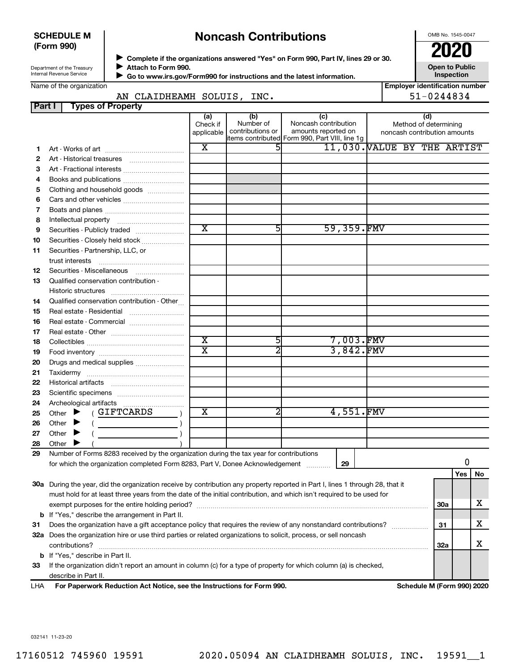#### **SCHEDULE M (Form 990)**

## **Noncash Contributions**

OMB No. 1545-0047

**Employer identification number**

| Department of the Treasury |
|----------------------------|
| Internal Revenue Service   |

◆ Complete if the organizations answered "Yes" on Form 990, Part IV, lines 29 or 30.<br>● Complete if the organizations answered "Yes" on Form 990, Part IV, lines 29 or 30. **Attach to Form 990.**  $\blacktriangleright$ 

**Open to Public Inspection**

 **Go to www.irs.gov/Form990 for instructions and the latest information.** J

|  | Name of the organization |
|--|--------------------------|
|--|--------------------------|

| 51-0244834<br>AN CLAIDHEAMH SOLUIS, INC. |                                                                                                                                |                         |                  |                                                                         |  |  |                              |     |    |
|------------------------------------------|--------------------------------------------------------------------------------------------------------------------------------|-------------------------|------------------|-------------------------------------------------------------------------|--|--|------------------------------|-----|----|
| Part I                                   | <b>Types of Property</b>                                                                                                       |                         |                  |                                                                         |  |  |                              |     |    |
|                                          |                                                                                                                                | (a)<br>Check if         | (b)<br>Number of | (c)<br>Noncash contribution                                             |  |  | (d)<br>Method of determining |     |    |
|                                          |                                                                                                                                | applicable              | contributions or | amounts reported on<br> items contributed  Form 990, Part VIII, line 1g |  |  | noncash contribution amounts |     |    |
| 1.                                       |                                                                                                                                | X                       | 5                | 11,030. VALUE BY THE ARTIST                                             |  |  |                              |     |    |
| 2                                        |                                                                                                                                |                         |                  |                                                                         |  |  |                              |     |    |
| 3                                        | Art - Fractional interests                                                                                                     |                         |                  |                                                                         |  |  |                              |     |    |
| 4                                        | Books and publications                                                                                                         |                         |                  |                                                                         |  |  |                              |     |    |
| 5                                        | Clothing and household goods                                                                                                   |                         |                  |                                                                         |  |  |                              |     |    |
| 6                                        | Cars and other vehicles                                                                                                        |                         |                  |                                                                         |  |  |                              |     |    |
| 7                                        |                                                                                                                                |                         |                  |                                                                         |  |  |                              |     |    |
| 8                                        |                                                                                                                                |                         |                  |                                                                         |  |  |                              |     |    |
| 9                                        | Securities - Publicly traded                                                                                                   | $\overline{\text{x}}$   | 51               | 59,359.FMV                                                              |  |  |                              |     |    |
| 10                                       | Securities - Closely held stock                                                                                                |                         |                  |                                                                         |  |  |                              |     |    |
| 11                                       | Securities - Partnership, LLC, or                                                                                              |                         |                  |                                                                         |  |  |                              |     |    |
|                                          | trust interests                                                                                                                |                         |                  |                                                                         |  |  |                              |     |    |
| 12                                       |                                                                                                                                |                         |                  |                                                                         |  |  |                              |     |    |
| 13                                       | Qualified conservation contribution -                                                                                          |                         |                  |                                                                         |  |  |                              |     |    |
|                                          |                                                                                                                                |                         |                  |                                                                         |  |  |                              |     |    |
| 14                                       | Qualified conservation contribution - Other                                                                                    |                         |                  |                                                                         |  |  |                              |     |    |
| 15                                       | Real estate - Residential                                                                                                      |                         |                  |                                                                         |  |  |                              |     |    |
| 16                                       | Real estate - Commercial                                                                                                       |                         |                  |                                                                         |  |  |                              |     |    |
| 17                                       |                                                                                                                                |                         |                  |                                                                         |  |  |                              |     |    |
| 18                                       |                                                                                                                                | $\overline{\text{x}}$   | 5                | 7,003.FMV                                                               |  |  |                              |     |    |
| 19                                       |                                                                                                                                | $\overline{\texttt{x}}$ | 2                | $3,842.$ FMV                                                            |  |  |                              |     |    |
| 20                                       | Drugs and medical supplies                                                                                                     |                         |                  |                                                                         |  |  |                              |     |    |
| 21                                       |                                                                                                                                |                         |                  |                                                                         |  |  |                              |     |    |
| 22                                       |                                                                                                                                |                         |                  |                                                                         |  |  |                              |     |    |
| 23                                       |                                                                                                                                |                         |                  |                                                                         |  |  |                              |     |    |
| 24                                       |                                                                                                                                |                         |                  |                                                                         |  |  |                              |     |    |
| 25                                       | (GIFTCARDS<br>Other $\blacktriangleright$                                                                                      | $\overline{\textbf{x}}$ |                  | 4,551.FMV                                                               |  |  |                              |     |    |
| 26                                       | Other $\blacktriangleright$<br><u> 1990 - Johann Barbara, martin a</u>                                                         |                         |                  |                                                                         |  |  |                              |     |    |
| 27                                       | Other $\blacktriangleright$                                                                                                    |                         |                  |                                                                         |  |  |                              |     |    |
| 28                                       | Other                                                                                                                          |                         |                  |                                                                         |  |  |                              |     |    |
| 29                                       | Number of Forms 8283 received by the organization during the tax year for contributions                                        |                         |                  |                                                                         |  |  |                              |     |    |
|                                          | for which the organization completed Form 8283, Part V, Donee Acknowledgement                                                  |                         |                  | 29                                                                      |  |  |                              | 0   |    |
|                                          |                                                                                                                                |                         |                  |                                                                         |  |  |                              | Yes | No |
|                                          | 30a During the year, did the organization receive by contribution any property reported in Part I, lines 1 through 28, that it |                         |                  |                                                                         |  |  |                              |     |    |
|                                          | must hold for at least three years from the date of the initial contribution, and which isn't required to be used for          |                         |                  |                                                                         |  |  |                              |     |    |
|                                          |                                                                                                                                |                         |                  |                                                                         |  |  | 30a                          |     | х  |
|                                          | <b>b</b> If "Yes," describe the arrangement in Part II.                                                                        |                         |                  |                                                                         |  |  |                              |     |    |
| 31                                       | Does the organization have a gift acceptance policy that requires the review of any nonstandard contributions?<br>31           |                         |                  |                                                                         |  |  |                              |     |    |
|                                          | 32a Does the organization hire or use third parties or related organizations to solicit, process, or sell noncash              |                         |                  |                                                                         |  |  |                              |     |    |
|                                          | contributions?                                                                                                                 |                         |                  |                                                                         |  |  | 32a                          |     | х  |
|                                          | <b>b</b> If "Yes," describe in Part II.                                                                                        |                         |                  |                                                                         |  |  |                              |     |    |
| 33                                       | If the organization didn't report an amount in column (c) for a type of property for which column (a) is checked,              |                         |                  |                                                                         |  |  |                              |     |    |
|                                          | describe in Part II.                                                                                                           |                         |                  |                                                                         |  |  |                              |     |    |
| LHA                                      | For Paperwork Reduction Act Notice, see the Instructions for Form 990.                                                         |                         |                  |                                                                         |  |  | Schedule M (Form 990) 2020   |     |    |

032141 11-23-20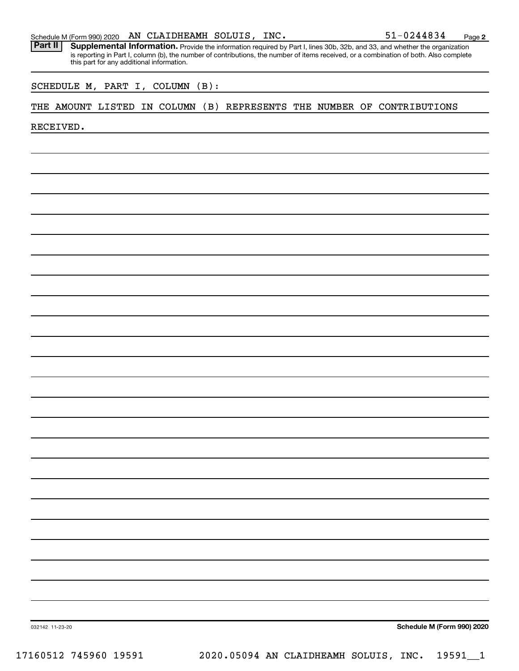|  |  |  | Schedule M (Form 990) 2020 $\;$ AN CLAIDHEAMH SOLUIS, $\;$ |  | INC. | 51-0244834 | Page |  |
|--|--|--|------------------------------------------------------------|--|------|------------|------|--|
|--|--|--|------------------------------------------------------------|--|------|------------|------|--|

Part II | Supplemental Information. Provide the information required by Part I, lines 30b, 32b, and 33, and whether the organization is reporting in Part I, column (b), the number of contributions, the number of items received, or a combination of both. Also complete this part for any additional information.

SCHEDULE M, PART I, COLUMN (B):

#### THE AMOUNT LISTED IN COLUMN (B) REPRESENTS THE NUMBER OF CONTRIBUTIONS

RECEIVED.

**Schedule M (Form 990) 2020**

032142 11-23-20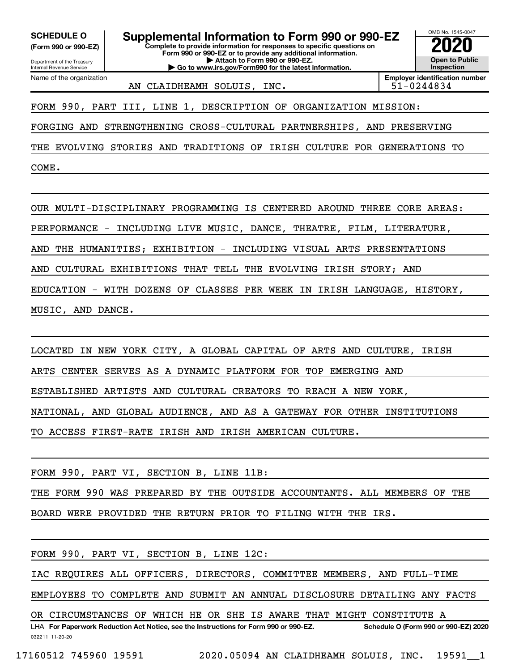**(Form 990 or 990-EZ)**

Department of the Treasury Internal Revenue Service Name of the organization

**Complete to provide information for responses to specific questions on Form 990 or 990-EZ or to provide any additional information. | Attach to Form 990 or 990-EZ. | Go to www.irs.gov/Form990 for the latest information. SCHEDULE O Supplemental Information to Form 990 or 990-EZ 2020**<br>(Form 990 or 990-EZ) **2020** 



AN CLAIDHEAMH SOLUIS, INC.  $151-0244834$ 

FORM 990, PART III, LINE 1, DESCRIPTION OF ORGANIZATION MISSION:

FORGING AND STRENGTHENING CROSS-CULTURAL PARTNERSHIPS, AND PRESERVING

THE EVOLVING STORIES AND TRADITIONS OF IRISH CULTURE FOR GENERATIONS TO

COME.

OUR MULTI-DISCIPLINARY PROGRAMMING IS CENTERED AROUND THREE CORE AREAS:

PERFORMANCE - INCLUDING LIVE MUSIC, DANCE, THEATRE, FILM, LITERATURE,

AND THE HUMANITIES; EXHIBITION - INCLUDING VISUAL ARTS PRESENTATIONS

AND CULTURAL EXHIBITIONS THAT TELL THE EVOLVING IRISH STORY; AND

EDUCATION - WITH DOZENS OF CLASSES PER WEEK IN IRISH LANGUAGE, HISTORY,

MUSIC, AND DANCE.

LOCATED IN NEW YORK CITY, A GLOBAL CAPITAL OF ARTS AND CULTURE, IRISH

ARTS CENTER SERVES AS A DYNAMIC PLATFORM FOR TOP EMERGING AND

ESTABLISHED ARTISTS AND CULTURAL CREATORS TO REACH A NEW YORK,

NATIONAL, AND GLOBAL AUDIENCE, AND AS A GATEWAY FOR OTHER INSTITUTIONS

TO ACCESS FIRST-RATE IRISH AND IRISH AMERICAN CULTURE.

FORM 990, PART VI, SECTION B, LINE 11B:

THE FORM 990 WAS PREPARED BY THE OUTSIDE ACCOUNTANTS. ALL MEMBERS OF THE

BOARD WERE PROVIDED THE RETURN PRIOR TO FILING WITH THE IRS.

FORM 990, PART VI, SECTION B, LINE 12C:

IAC REQUIRES ALL OFFICERS, DIRECTORS, COMMITTEE MEMBERS, AND FULL-TIME

EMPLOYEES TO COMPLETE AND SUBMIT AN ANNUAL DISCLOSURE DETAILING ANY FACTS

OR CIRCUMSTANCES OF WHICH HE OR SHE IS AWARE THAT MIGHT CONSTITUTE A

032211 11-20-20 **For Paperwork Reduction Act Notice, see the Instructions for Form 990 or 990-EZ. Schedule O (Form 990 or 990-EZ) 2020** LHA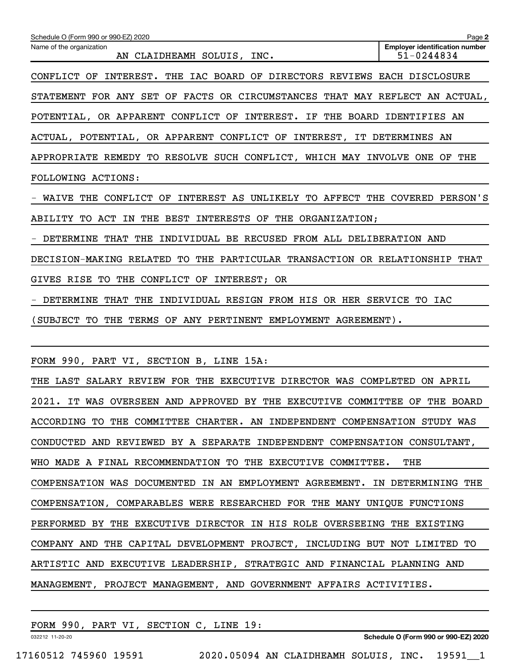| Schedule O (Form 990 or 990-EZ) 2020                                        | Page 2                                              |
|-----------------------------------------------------------------------------|-----------------------------------------------------|
| Name of the organization<br>AN CLAIDHEAMH SOLUIS, INC.                      | <b>Employer identification number</b><br>51-0244834 |
| CONFLICT OF INTEREST. THE IAC BOARD OF DIRECTORS REVIEWS EACH DISCLOSURE    |                                                     |
| STATEMENT FOR ANY SET OF FACTS OR CIRCUMSTANCES THAT MAY REFLECT AN ACTUAL, |                                                     |
| POTENTIAL, OR APPARENT CONFLICT OF INTEREST. IF THE BOARD IDENTIFIES AN     |                                                     |
| ACTUAL, POTENTIAL, OR APPARENT CONFLICT OF INTEREST, IT DETERMINES AN       |                                                     |
| APPROPRIATE REMEDY TO RESOLVE SUCH CONFLICT, WHICH MAY INVOLVE ONE OF THE   |                                                     |
| FOLLOWING ACTIONS:                                                          |                                                     |
| - WAIVE THE CONFLICT OF INTEREST AS UNLIKELY TO AFFECT THE COVERED PERSON'S |                                                     |
| ABILITY TO ACT IN THE BEST INTERESTS OF THE ORGANIZATION;                   |                                                     |
| - DETERMINE THAT THE INDIVIDUAL BE RECUSED FROM ALL DELIBERATION AND        |                                                     |
| DECISION-MAKING RELATED TO THE PARTICULAR TRANSACTION OR RELATIONSHIP THAT  |                                                     |
| GIVES RISE TO THE CONFLICT OF INTEREST; OR                                  |                                                     |
| - DETERMINE THAT THE INDIVIDUAL RESIGN FROM HIS OR HER SERVICE TO IAC       |                                                     |
| (SUBJECT TO THE TERMS OF ANY PERTINENT EMPLOYMENT AGREEMENT).               |                                                     |
|                                                                             |                                                     |
| FORM 990, PART VI, SECTION B, LINE 15A:                                     |                                                     |
| THE LAST SALARY REVIEW FOR THE EXECUTIVE DIRECTOR WAS COMPLETED ON APRIL    |                                                     |
| 2021. IT WAS OVERSEEN AND APPROVED BY THE EXECUTIVE COMMITTEE OF THE BOARD  |                                                     |
| ACCORDING TO THE COMMITTEE CHARTER. AN INDEPENDENT COMPENSATION STUDY WAS   |                                                     |
| CONDUCTED AND REVIEWED BY A SEPARATE INDEPENDENT COMPENSATION CONSULTANT,   |                                                     |
| WHO MADE A FINAL RECOMMENDATION TO THE EXECUTIVE COMMITTEE.                 | THE                                                 |
| COMPENSATION WAS DOCUMENTED IN AN EMPLOYMENT AGREEMENT. IN DETERMINING THE  |                                                     |
| COMPENSATION, COMPARABLES WERE RESEARCHED FOR THE MANY UNIQUE FUNCTIONS     |                                                     |
| PERFORMED BY THE EXECUTIVE DIRECTOR IN HIS ROLE OVERSEEING THE EXISTING     |                                                     |
| COMPANY AND THE CAPITAL DEVELOPMENT PROJECT, INCLUDING BUT NOT LIMITED TO   |                                                     |
| ARTISTIC AND EXECUTIVE LEADERSHIP, STRATEGIC AND FINANCIAL PLANNING AND     |                                                     |
| MANAGEMENT, PROJECT MANAGEMENT, AND GOVERNMENT AFFAIRS ACTIVITIES.          |                                                     |
|                                                                             |                                                     |

FORM 990, PART VI, SECTION C, LINE 19:

032212 11-20-20

**Schedule O (Form 990 or 990-EZ) 2020**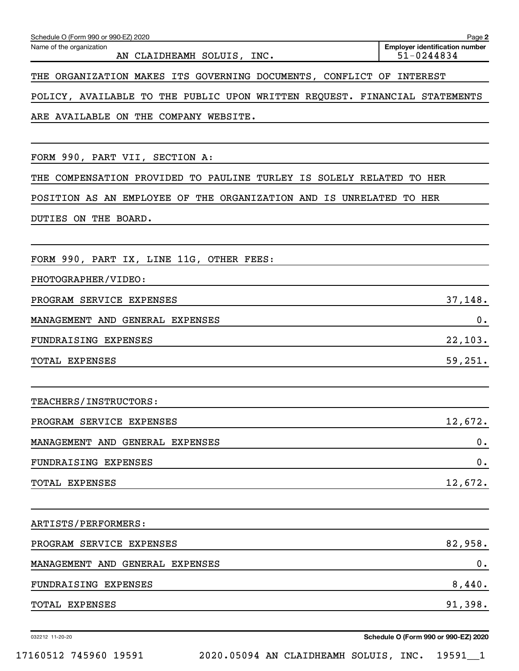| THE ORGANIZATION MAKES ITS GOVERNING DOCUMENTS, CONFLICT OF INTEREST       |
|----------------------------------------------------------------------------|
| POLICY, AVAILABLE TO THE PUBLIC UPON WRITTEN REQUEST. FINANCIAL STATEMENTS |
| ARE AVAILABLE ON THE COMPANY WEBSITE.                                      |
|                                                                            |
| FORM 990, PART VII, SECTION A:                                             |
| THE COMPENSATION PROVIDED TO PAULINE TURLEY IS SOLELY RELATED TO HER       |
| POSITION AS AN EMPLOYEE OF THE ORGANIZATION AND IS UNRELATED TO HER        |
| DUTIES ON THE BOARD.                                                       |
|                                                                            |
| FORM 990, PART IX, LINE 11G, OTHER FEES:                                   |
| PHOTOGRAPHER/VIDEO:                                                        |
| 37,148.<br>PROGRAM SERVICE EXPENSES                                        |
| 0.<br>MANAGEMENT AND GENERAL EXPENSES                                      |
| 22,103.<br><b>FUNDRAISING EXPENSES</b>                                     |
| 59,251.<br>TOTAL EXPENSES                                                  |
|                                                                            |
| <b>TEACHERS/INSTRUCTORS:</b>                                               |
| 12,672.<br>PROGRAM SERVICE EXPENSES                                        |
| 0.<br>MANAGEMENT AND GENERAL EXPENSES                                      |
| $0$ .<br>FUNDRAISING EXPENSES                                              |
| 12,672.<br>TOTAL EXPENSES                                                  |
|                                                                            |
| ARTISTS/PERFORMERS:                                                        |
| 82,958.<br>PROGRAM SERVICE EXPENSES                                        |
| 0.<br>MANAGEMENT AND GENERAL EXPENSES                                      |
| 8,440.<br>FUNDRAISING EXPENSES                                             |
| 91,398.<br>TOTAL EXPENSES                                                  |
|                                                                            |

032212 11-20-20

**Schedule O (Form 990 or 990-EZ) 2020**

**2**

**Employer identification number**

Schedule O (Form 990 or 990-EZ) 2020

AN CLAIDHEAMH SOLUIS, INC.

Name of the organization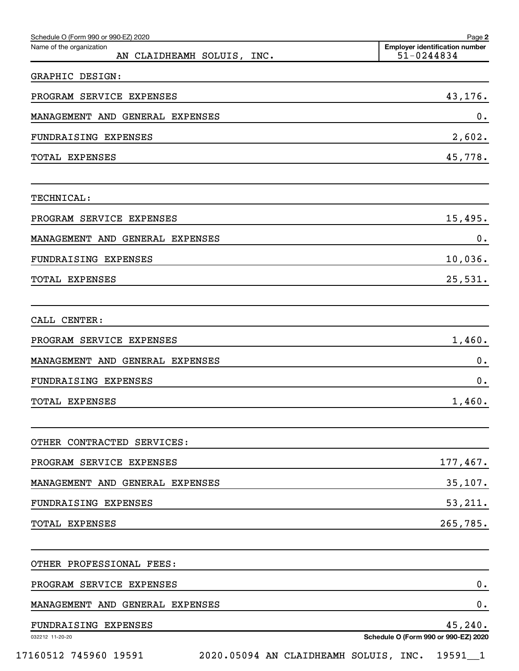| Schedule O (Form 990 or 990-EZ) 2020                   | Page 2                                              |
|--------------------------------------------------------|-----------------------------------------------------|
| Name of the organization<br>AN CLAIDHEAMH SOLUIS, INC. | <b>Employer identification number</b><br>51-0244834 |
| GRAPHIC DESIGN:                                        |                                                     |
| PROGRAM SERVICE EXPENSES                               | 43,176.                                             |
| MANAGEMENT AND GENERAL EXPENSES                        | 0.                                                  |
| <b>FUNDRAISING EXPENSES</b>                            | 2,602.                                              |
| TOTAL EXPENSES                                         | 45,778.                                             |
| <b>TECHNICAL:</b>                                      |                                                     |
| PROGRAM SERVICE EXPENSES                               | 15,495.                                             |
| MANAGEMENT AND GENERAL EXPENSES                        | 0.                                                  |
| FUNDRAISING EXPENSES                                   | 10,036.                                             |
| TOTAL EXPENSES                                         | 25,531.                                             |
| CALL CENTER:                                           |                                                     |
| PROGRAM SERVICE EXPENSES                               | 1,460.                                              |
| MANAGEMENT AND GENERAL EXPENSES                        | 0.                                                  |
| FUNDRAISING EXPENSES                                   | 0.                                                  |
| <b>TOTAL EXPENSES</b>                                  | 1,460.                                              |
| OTHER CONTRACTED SERVICES:                             |                                                     |
| PROGRAM SERVICE EXPENSES                               | 177,467.                                            |
| MANAGEMENT AND GENERAL EXPENSES                        | 35,107.                                             |
| FUNDRAISING EXPENSES                                   | 53,211.                                             |
| TOTAL EXPENSES                                         | 265,785.                                            |
| OTHER PROFESSIONAL FEES:                               |                                                     |
| PROGRAM SERVICE EXPENSES                               | 0.                                                  |
| MANAGEMENT AND GENERAL EXPENSES                        | 0.                                                  |
| FUNDRAISING EXPENSES                                   | 45, 240.                                            |
| 032212 11-20-20                                        | Schedule O (Form 990 or 990-EZ) 2020                |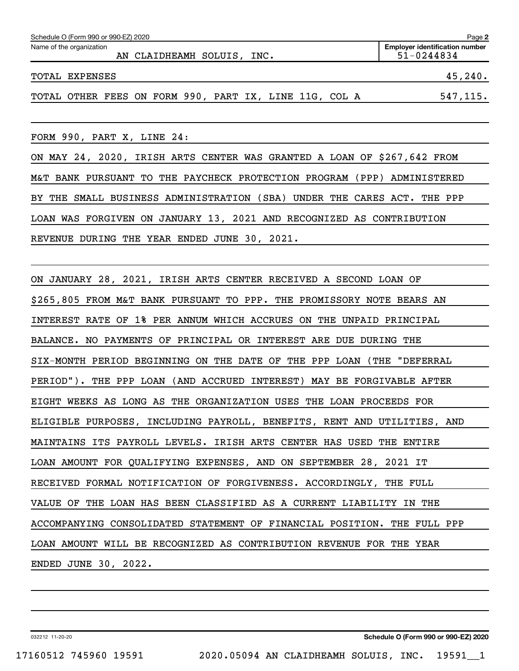| Schedule O (Form 990 or 990-EZ) 2020                   |                                                         |  |  |  |  |  |  |  |
|--------------------------------------------------------|---------------------------------------------------------|--|--|--|--|--|--|--|
| Name of the organization<br>AN CLAIDHEAMH SOLUIS, INC. | <b>Employer identification number</b><br>$51 - 0244834$ |  |  |  |  |  |  |  |
| TOTAL EXPENSES                                         | 45,240.                                                 |  |  |  |  |  |  |  |
| TOTAL OTHER FEES ON FORM 990, PART IX, LINE 11G, COL A | 547, 115.                                               |  |  |  |  |  |  |  |

FORM 990, PART X, LINE 24:

ON MAY 24, 2020, IRISH ARTS CENTER WAS GRANTED A LOAN OF \$267,642 FROM M&T BANK PURSUANT TO THE PAYCHECK PROTECTION PROGRAM (PPP) ADMINISTERED BY THE SMALL BUSINESS ADMINISTRATION (SBA) UNDER THE CARES ACT. THE PPP LOAN WAS FORGIVEN ON JANUARY 13, 2021 AND RECOGNIZED AS CONTRIBUTION REVENUE DURING THE YEAR ENDED JUNE 30, 2021.

ON JANUARY 28, 2021, IRISH ARTS CENTER RECEIVED A SECOND LOAN OF \$265,805 FROM M&T BANK PURSUANT TO PPP. THE PROMISSORY NOTE BEARS AN INTEREST RATE OF 1% PER ANNUM WHICH ACCRUES ON THE UNPAID PRINCIPAL BALANCE. NO PAYMENTS OF PRINCIPAL OR INTEREST ARE DUE DURING THE SIX-MONTH PERIOD BEGINNING ON THE DATE OF THE PPP LOAN (THE "DEFERRAL PERIOD"). THE PPP LOAN (AND ACCRUED INTEREST) MAY BE FORGIVABLE AFTER EIGHT WEEKS AS LONG AS THE ORGANIZATION USES THE LOAN PROCEEDS FOR ELIGIBLE PURPOSES, INCLUDING PAYROLL, BENEFITS, RENT AND UTILITIES, AND MAINTAINS ITS PAYROLL LEVELS. IRISH ARTS CENTER HAS USED THE ENTIRE LOAN AMOUNT FOR QUALIFYING EXPENSES, AND ON SEPTEMBER 28, 2021 IT RECEIVED FORMAL NOTIFICATION OF FORGIVENESS. ACCORDINGLY, THE FULL VALUE OF THE LOAN HAS BEEN CLASSIFIED AS A CURRENT LIABILITY IN THE ACCOMPANYING CONSOLIDATED STATEMENT OF FINANCIAL POSITION. THE FULL PPP LOAN AMOUNT WILL BE RECOGNIZED AS CONTRIBUTION REVENUE FOR THE YEAR ENDED JUNE 30, 2022.

032212 11-20-20

**Schedule O (Form 990 or 990-EZ) 2020**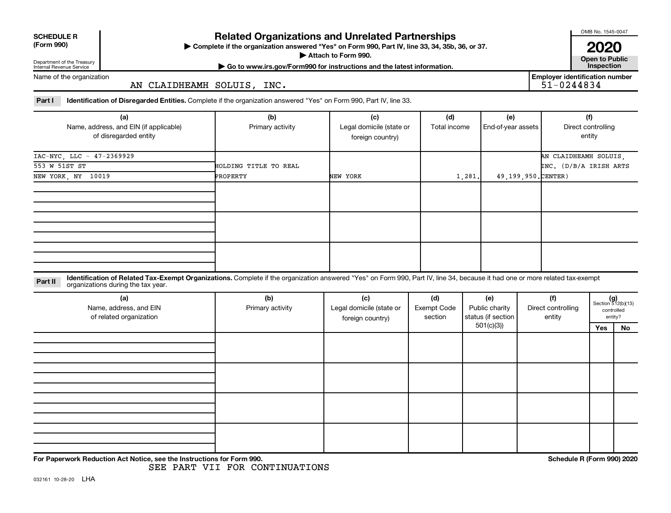| <b>SCHEDULE R</b> |  |
|-------------------|--|
|                   |  |

Department of the Treasury

### **Related Organizations and Unrelated Partnerships**

**(Form 990) Complete if the organization answered "Yes" on Form 990, Part IV, line 33, 34, 35b, 36, or 37.** |

■ Attach to Form 990. **Dependent of Attach to Form 990.** Open to Public

OMB No. 1545-0047

**2020**<br>Open to Public

**Employer identification number**

Internal Revenue Service

**| Go to www.irs.gov/Form990 for instructions and the latest information. Inspection**

Name of the organization

AN CLAIDHEAMH SOLUIS, INC.

Part I ldentification of Disregarded Entities. Complete if the organization answered "Yes" on Form 990, Part IV, line 33.

| (a)                                    | (b)                   | (c)                      | (d)          | (e)                | (f)                    |
|----------------------------------------|-----------------------|--------------------------|--------------|--------------------|------------------------|
| Name, address, and EIN (if applicable) | Primary activity      | Legal domicile (state or | Total income | End-of-year assets | Direct controlling     |
| of disregarded entity                  |                       | foreign country)         |              |                    | entity                 |
|                                        |                       |                          |              |                    |                        |
| IAC-NYC, LLC - 47-2369929              |                       |                          |              |                    | AN CLAIDHEAMH SOLUIS,  |
| 553 W 51ST ST                          | HOLDING TITLE TO REAL |                          |              |                    | INC. (D/B/A IRISH ARTS |
| NEW YORK, NY 10019                     | PROPERTY              | NEW YORK                 | 1,281.       | 49,199,950.CENTER) |                        |
|                                        |                       |                          |              |                    |                        |
|                                        |                       |                          |              |                    |                        |
|                                        |                       |                          |              |                    |                        |
|                                        |                       |                          |              |                    |                        |
|                                        |                       |                          |              |                    |                        |
|                                        |                       |                          |              |                    |                        |
|                                        |                       |                          |              |                    |                        |
|                                        |                       |                          |              |                    |                        |
|                                        |                       |                          |              |                    |                        |

**Part II** Identification of Related Tax-Exempt Organizations. Complete if the organization answered "Yes" on Form 990, Part IV, line 34, because it had one or more related tax-exempt<br>Part II acconizations during the tax ye organizations during the tax year.

| (a)<br>Name, address, and EIN<br>of related organization | (b)<br>Primary activity | (c)<br>Legal domicile (state or<br>foreign country) | (d)<br><b>Exempt Code</b><br>section | (e)<br>Public charity<br>status (if section | (f)<br>Direct controlling<br>entity |     | $(g)$<br>Section 512(b)(13)<br>controlled<br>entity? |
|----------------------------------------------------------|-------------------------|-----------------------------------------------------|--------------------------------------|---------------------------------------------|-------------------------------------|-----|------------------------------------------------------|
|                                                          |                         |                                                     |                                      | 501(c)(3))                                  |                                     | Yes | No                                                   |
|                                                          |                         |                                                     |                                      |                                             |                                     |     |                                                      |
|                                                          |                         |                                                     |                                      |                                             |                                     |     |                                                      |
|                                                          |                         |                                                     |                                      |                                             |                                     |     |                                                      |
|                                                          |                         |                                                     |                                      |                                             |                                     |     |                                                      |
|                                                          |                         |                                                     |                                      |                                             |                                     |     |                                                      |
|                                                          |                         |                                                     |                                      |                                             |                                     |     |                                                      |
|                                                          |                         |                                                     |                                      |                                             |                                     |     |                                                      |
|                                                          |                         |                                                     |                                      |                                             |                                     |     |                                                      |
|                                                          |                         |                                                     |                                      |                                             |                                     |     |                                                      |
|                                                          |                         |                                                     |                                      |                                             |                                     |     |                                                      |
|                                                          |                         |                                                     |                                      |                                             |                                     |     |                                                      |

**For Paperwork Reduction Act Notice, see the Instructions for Form 990. Schedule R (Form 990) 2020**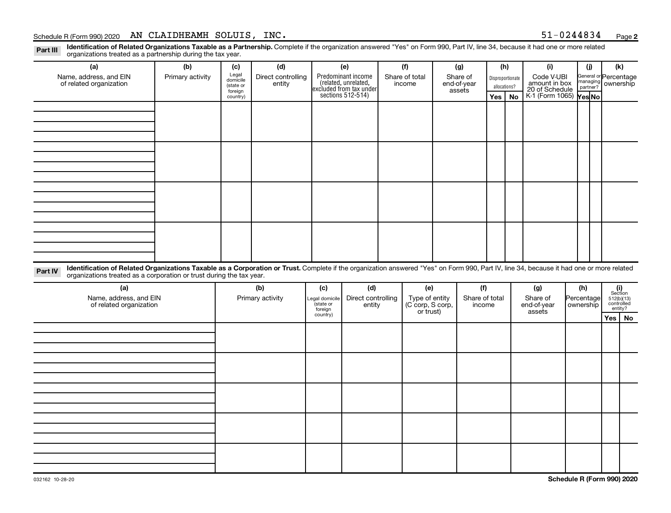#### Schedule R (Form 990) 2020 AN CLAIDHEAMH SOLUIS, INC.  $51-0244834$   $_{\text{Page}}$

Part III Identification of Related Organizations Taxable as a Partnership. Complete if the organization answered "Yes" on Form 990, Part IV, line 34, because it had one or more related<br>Read to the organizations tracted as organizations treated as a partnership during the tax year.

| organizations treated as a partnership during the tax year.                                                                                                                                                                                                                 |                  |                      |                    |          |                                                                                            |     |                                                 |     |                       |     |              |                                 |  |            |                                                                                                               |    |  |  |                       |  |
|-----------------------------------------------------------------------------------------------------------------------------------------------------------------------------------------------------------------------------------------------------------------------------|------------------|----------------------|--------------------|----------|--------------------------------------------------------------------------------------------|-----|-------------------------------------------------|-----|-----------------------|-----|--------------|---------------------------------|--|------------|---------------------------------------------------------------------------------------------------------------|----|--|--|-----------------------|--|
| (a)                                                                                                                                                                                                                                                                         | (b)              | (c)                  | (d)                | (e)      |                                                                                            | (f) |                                                 | (g) |                       | (h) |              | (i)                             |  | (j)        | (k)                                                                                                           |    |  |  |                       |  |
| Name, address, and EIN                                                                                                                                                                                                                                                      | Primary activity | Legal<br>domicile    | Direct controlling |          |                                                                                            |     | Share of total                                  |     |                       |     | Share of     |                                 |  |            | Code V-UBI<br>Disproportionate                                                                                |    |  |  | General or Percentage |  |
| of related organization                                                                                                                                                                                                                                                     |                  | (state or<br>foreign | entity             |          | Predominant income<br>(related, unrelated,<br>excluded from tax under<br>sections 512-514) |     | income                                          |     | end-of-year<br>assets |     | allocations? | amount in box<br>20 of Schedule |  |            | managing<br>partner? ownership                                                                                |    |  |  |                       |  |
|                                                                                                                                                                                                                                                                             |                  | country)             |                    |          |                                                                                            |     |                                                 |     |                       | Yes | <b>No</b>    | K-1 (Form 1065) Yes No          |  |            |                                                                                                               |    |  |  |                       |  |
|                                                                                                                                                                                                                                                                             |                  |                      |                    |          |                                                                                            |     |                                                 |     |                       |     |              |                                 |  |            |                                                                                                               |    |  |  |                       |  |
|                                                                                                                                                                                                                                                                             |                  |                      |                    |          |                                                                                            |     |                                                 |     |                       |     |              |                                 |  |            |                                                                                                               |    |  |  |                       |  |
|                                                                                                                                                                                                                                                                             |                  |                      |                    |          |                                                                                            |     |                                                 |     |                       |     |              |                                 |  |            |                                                                                                               |    |  |  |                       |  |
|                                                                                                                                                                                                                                                                             |                  |                      |                    |          |                                                                                            |     |                                                 |     |                       |     |              |                                 |  |            |                                                                                                               |    |  |  |                       |  |
|                                                                                                                                                                                                                                                                             |                  |                      |                    |          |                                                                                            |     |                                                 |     |                       |     |              |                                 |  |            |                                                                                                               |    |  |  |                       |  |
|                                                                                                                                                                                                                                                                             |                  |                      |                    |          |                                                                                            |     |                                                 |     |                       |     |              |                                 |  |            |                                                                                                               |    |  |  |                       |  |
|                                                                                                                                                                                                                                                                             |                  |                      |                    |          |                                                                                            |     |                                                 |     |                       |     |              |                                 |  |            |                                                                                                               |    |  |  |                       |  |
|                                                                                                                                                                                                                                                                             |                  |                      |                    |          |                                                                                            |     |                                                 |     |                       |     |              |                                 |  |            |                                                                                                               |    |  |  |                       |  |
|                                                                                                                                                                                                                                                                             |                  |                      |                    |          |                                                                                            |     |                                                 |     |                       |     |              |                                 |  |            |                                                                                                               |    |  |  |                       |  |
|                                                                                                                                                                                                                                                                             |                  |                      |                    |          |                                                                                            |     |                                                 |     |                       |     |              |                                 |  |            |                                                                                                               |    |  |  |                       |  |
|                                                                                                                                                                                                                                                                             |                  |                      |                    |          |                                                                                            |     |                                                 |     |                       |     |              |                                 |  |            |                                                                                                               |    |  |  |                       |  |
|                                                                                                                                                                                                                                                                             |                  |                      |                    |          |                                                                                            |     |                                                 |     |                       |     |              |                                 |  |            |                                                                                                               |    |  |  |                       |  |
|                                                                                                                                                                                                                                                                             |                  |                      |                    |          |                                                                                            |     |                                                 |     |                       |     |              |                                 |  |            |                                                                                                               |    |  |  |                       |  |
|                                                                                                                                                                                                                                                                             |                  |                      |                    |          |                                                                                            |     |                                                 |     |                       |     |              |                                 |  |            |                                                                                                               |    |  |  |                       |  |
|                                                                                                                                                                                                                                                                             |                  |                      |                    |          |                                                                                            |     |                                                 |     |                       |     |              |                                 |  |            |                                                                                                               |    |  |  |                       |  |
| Identification of Related Organizations Taxable as a Corporation or Trust. Complete if the organization answered "Yes" on Form 990, Part IV, line 34, because it had one or more related<br>Part IV<br>organizations treated as a corporation or trust during the tax year. |                  |                      |                    |          |                                                                                            |     |                                                 |     |                       |     |              |                                 |  |            |                                                                                                               |    |  |  |                       |  |
| (a)                                                                                                                                                                                                                                                                         |                  |                      | (b)                | (c)      | (d)                                                                                        |     | (e)                                             |     | (f)                   |     |              | (g)                             |  | (h)        |                                                                                                               |    |  |  |                       |  |
| Name, address, and EIN                                                                                                                                                                                                                                                      |                  |                      | Primary activity   |          | Direct controlling<br>Legal domicile<br>(state or<br>entity                                |     |                                                 |     | Share of total        |     |              | Share of                        |  | Percentage | $\begin{array}{c} \textbf{(i)}\\ \text{Section}\\ 512 \text{(b)} \text{(13)}\\ \text{controlled} \end{array}$ |    |  |  |                       |  |
| of related organization                                                                                                                                                                                                                                                     |                  |                      |                    | foreign  |                                                                                            |     | Type of entity<br>(C corp, S corp,<br>or trust) |     | income                |     |              | end-of-year<br>assets           |  | ownership  | entity?                                                                                                       |    |  |  |                       |  |
|                                                                                                                                                                                                                                                                             |                  |                      |                    | country) |                                                                                            |     |                                                 |     |                       |     |              |                                 |  |            | Yes                                                                                                           | No |  |  |                       |  |
|                                                                                                                                                                                                                                                                             |                  |                      |                    |          |                                                                                            |     |                                                 |     |                       |     |              |                                 |  |            |                                                                                                               |    |  |  |                       |  |
|                                                                                                                                                                                                                                                                             |                  |                      |                    |          |                                                                                            |     |                                                 |     |                       |     |              |                                 |  |            |                                                                                                               |    |  |  |                       |  |
|                                                                                                                                                                                                                                                                             |                  |                      |                    |          |                                                                                            |     |                                                 |     |                       |     |              |                                 |  |            |                                                                                                               |    |  |  |                       |  |
|                                                                                                                                                                                                                                                                             |                  |                      |                    |          |                                                                                            |     |                                                 |     |                       |     |              |                                 |  |            |                                                                                                               |    |  |  |                       |  |
|                                                                                                                                                                                                                                                                             |                  |                      |                    |          |                                                                                            |     |                                                 |     |                       |     |              |                                 |  |            |                                                                                                               |    |  |  |                       |  |
|                                                                                                                                                                                                                                                                             |                  |                      |                    |          |                                                                                            |     |                                                 |     |                       |     |              |                                 |  |            |                                                                                                               |    |  |  |                       |  |
|                                                                                                                                                                                                                                                                             |                  |                      |                    |          |                                                                                            |     |                                                 |     |                       |     |              |                                 |  |            |                                                                                                               |    |  |  |                       |  |
|                                                                                                                                                                                                                                                                             |                  |                      |                    |          |                                                                                            |     |                                                 |     |                       |     |              |                                 |  |            |                                                                                                               |    |  |  |                       |  |
|                                                                                                                                                                                                                                                                             |                  |                      |                    |          |                                                                                            |     |                                                 |     |                       |     |              |                                 |  |            |                                                                                                               |    |  |  |                       |  |
|                                                                                                                                                                                                                                                                             |                  |                      |                    |          |                                                                                            |     |                                                 |     |                       |     |              |                                 |  |            |                                                                                                               |    |  |  |                       |  |
|                                                                                                                                                                                                                                                                             |                  |                      |                    |          |                                                                                            |     |                                                 |     |                       |     |              |                                 |  |            |                                                                                                               |    |  |  |                       |  |
|                                                                                                                                                                                                                                                                             |                  |                      |                    |          |                                                                                            |     |                                                 |     |                       |     |              |                                 |  |            |                                                                                                               |    |  |  |                       |  |
|                                                                                                                                                                                                                                                                             |                  |                      |                    |          |                                                                                            |     |                                                 |     |                       |     |              |                                 |  |            |                                                                                                               |    |  |  |                       |  |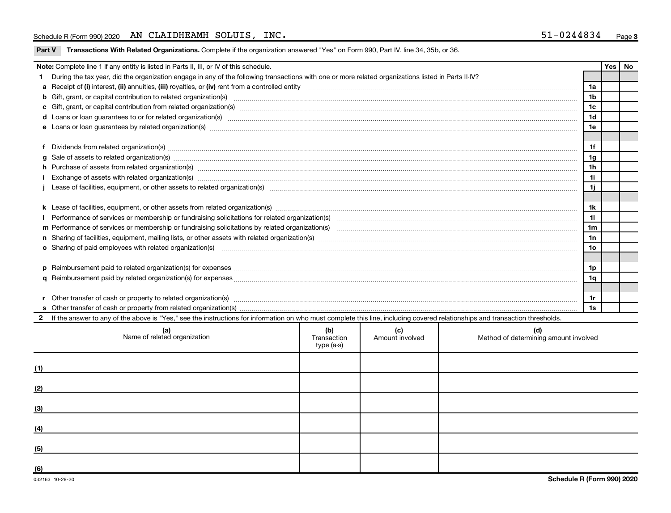#### Schedule R (Form 990) 2020 AN CLAIDHEAMH SOLUIS, INC.  $51-0244834$   $_{\text{Page}}$

| Part V Transactions With Related Organizations. Complete if the organization answered "Yes" on Form 990, Part IV, line 34, 35b, or 36. |  |  |
|----------------------------------------------------------------------------------------------------------------------------------------|--|--|
|                                                                                                                                        |  |  |

|    | Note: Complete line 1 if any entity is listed in Parts II, III, or IV of this schedule.                                                                                                                                             |                 | Yes   No |  |  |  |  |  |  |  |
|----|-------------------------------------------------------------------------------------------------------------------------------------------------------------------------------------------------------------------------------------|-----------------|----------|--|--|--|--|--|--|--|
| 1. | During the tax year, did the organization engage in any of the following transactions with one or more related organizations listed in Parts II-IV?                                                                                 |                 |          |  |  |  |  |  |  |  |
|    | 1a                                                                                                                                                                                                                                  |                 |          |  |  |  |  |  |  |  |
|    |                                                                                                                                                                                                                                     | 1 <sub>b</sub>  |          |  |  |  |  |  |  |  |
|    | c Gift, grant, or capital contribution from related organization(s) manufaction contains and content of the contribution from related organization(s) manufaction content and contribution from related organization(s) manufa      | 1c              |          |  |  |  |  |  |  |  |
|    | d Loans or loan guarantees to or for related organization(s) www.communities.com/www.communities.com/www.communities.com/www.communities.com/www.communities.com/www.communities.com/www.communities.com/www.communities.com/w      | 1 <sub>d</sub>  |          |  |  |  |  |  |  |  |
|    |                                                                                                                                                                                                                                     | 1e              |          |  |  |  |  |  |  |  |
|    |                                                                                                                                                                                                                                     |                 |          |  |  |  |  |  |  |  |
|    | Dividends from related organization(s) manufacture and contract the contract of the contract of the contract of the contract of the contract of the contract of the contract of the contract of the contract of the contract o      | 1f              |          |  |  |  |  |  |  |  |
| a  | Sale of assets to related organization(s) www.assettion.com/www.assettion.com/www.assettion.com/www.assettion.com/www.assettion.com/www.assettion.com/www.assettion.com/www.assettion.com/www.assettion.com/www.assettion.com/      | 1g              |          |  |  |  |  |  |  |  |
|    | h Purchase of assets from related organization(s) manufactured content to content the content of assets from related organization(s) manufactured content to content the content of the content of the content of the content       | 1 <sub>h</sub>  |          |  |  |  |  |  |  |  |
|    | Exchange of assets with related organization(s) www.assettion.com/www.assettion.com/www.assettion.com/www.assettion.com/www.assettion.com/www.assettion.com/www.assettion.com/www.assettion.com/www.assettion.com/www.assettio      | 11              |          |  |  |  |  |  |  |  |
|    | 1j<br>Lease of facilities, equipment, or other assets to related organization(s) manufaction content to content the manufacture of facilities, equipment, or other assets to related organization(s) manufaction content to content |                 |          |  |  |  |  |  |  |  |
|    |                                                                                                                                                                                                                                     |                 |          |  |  |  |  |  |  |  |
|    |                                                                                                                                                                                                                                     | 1k              |          |  |  |  |  |  |  |  |
|    |                                                                                                                                                                                                                                     | 11              |          |  |  |  |  |  |  |  |
|    |                                                                                                                                                                                                                                     | 1 <sub>m</sub>  |          |  |  |  |  |  |  |  |
|    |                                                                                                                                                                                                                                     | 1n              |          |  |  |  |  |  |  |  |
|    | o Sharing of paid employees with related organization(s) manufactured content to the state of paid employees with related organization(s) manufactured content to the state of the state of the state of the state of the stat      | 10 <sub>o</sub> |          |  |  |  |  |  |  |  |
|    |                                                                                                                                                                                                                                     |                 |          |  |  |  |  |  |  |  |
|    |                                                                                                                                                                                                                                     | 1p              |          |  |  |  |  |  |  |  |
|    |                                                                                                                                                                                                                                     | 1q              |          |  |  |  |  |  |  |  |
|    |                                                                                                                                                                                                                                     |                 |          |  |  |  |  |  |  |  |
| r  | Other transfer of cash or property to related organization(s) CONFIDENTIAL CONFIDENTIAL CONFIDENTIAL CONFIDENTI<br>1r                                                                                                               |                 |          |  |  |  |  |  |  |  |
|    | 1s                                                                                                                                                                                                                                  |                 |          |  |  |  |  |  |  |  |
|    | If the answer to any of the above is "Yes," see the instructions for information on who must complete this line, including covered relationships and transaction thresholds.                                                        |                 |          |  |  |  |  |  |  |  |
|    | (b)<br>(c)<br>(d)<br>(a) (a<br>the contract of the contract of the contract of the contract of the contract of the contract of the contract of                                                                                      |                 |          |  |  |  |  |  |  |  |

|     | Name of related organization | (W)<br>Transaction<br>type (a-s) | Amount involved | Method of determining amount involved |
|-----|------------------------------|----------------------------------|-----------------|---------------------------------------|
| (1) |                              |                                  |                 |                                       |
| (2) |                              |                                  |                 |                                       |
| (3) |                              |                                  |                 |                                       |
| (4) |                              |                                  |                 |                                       |
| (5) |                              |                                  |                 |                                       |
| (6) |                              |                                  |                 |                                       |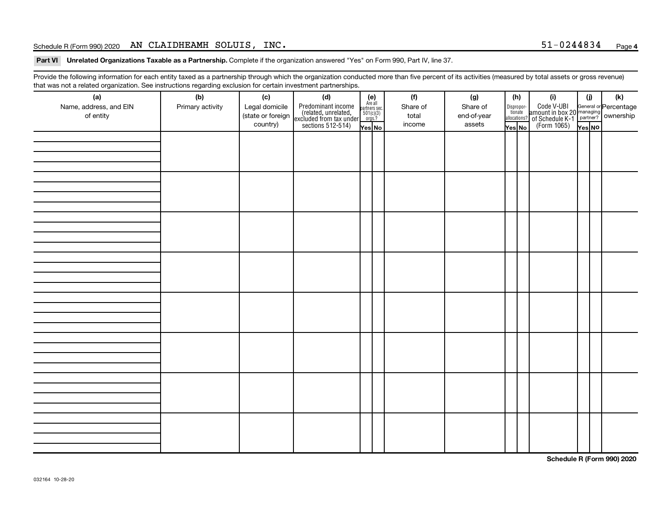#### Schedule R (Form 990) 2020 AN CLAIDHEAMH SOLUIS, INC.  $51-0244834$   $_{\text{Page}}$

Part VI Unrelated Organizations Taxable as a Partnership. Complete if the organization answered "Yes" on Form 990, Part IV, line 37.

Provide the following information for each entity taxed as a partnership through which the organization conducted more than five percent of its activities (measured by total assets or gross revenue) that was not a related organization. See instructions regarding exclusion for certain investment partnerships.

|                        | $\cdots$ y $\cdots$ |                   | . <b>. .</b> .<br>                                                                          |                                                          |          |             |        |                       |                                                                                                  |        |     |
|------------------------|---------------------|-------------------|---------------------------------------------------------------------------------------------|----------------------------------------------------------|----------|-------------|--------|-----------------------|--------------------------------------------------------------------------------------------------|--------|-----|
| (a)                    | (b)                 | (c)               | (d)                                                                                         | (e)<br>Are all<br>partners sec.<br>$501(c)(3)$<br>orgs.? | (f)      | (g)         | (h)    |                       | (i)                                                                                              | (i)    | (k) |
| Name, address, and EIN | Primary activity    | Legal domicile    |                                                                                             |                                                          | Share of | Share of    |        | Dispropor-<br>tionate |                                                                                                  |        |     |
| of entity              |                     | (state or foreign | Predominant income<br>(related, unrelated,<br>excluded from tax under,<br>sections 512-514) |                                                          | total    | end-of-year |        | allocations?          | Code V-UBI<br>amount in box 20 managing<br>of Schedule K-1<br>(Form 1065)<br>$\overline{Yes}$ No |        |     |
|                        |                     | country)          |                                                                                             | Yes No                                                   | income   | assets      | Yes No |                       |                                                                                                  | Yes NO |     |
|                        |                     |                   |                                                                                             |                                                          |          |             |        |                       |                                                                                                  |        |     |
|                        |                     |                   |                                                                                             |                                                          |          |             |        |                       |                                                                                                  |        |     |
|                        |                     |                   |                                                                                             |                                                          |          |             |        |                       |                                                                                                  |        |     |
|                        |                     |                   |                                                                                             |                                                          |          |             |        |                       |                                                                                                  |        |     |
|                        |                     |                   |                                                                                             |                                                          |          |             |        |                       |                                                                                                  |        |     |
|                        |                     |                   |                                                                                             |                                                          |          |             |        |                       |                                                                                                  |        |     |
|                        |                     |                   |                                                                                             |                                                          |          |             |        |                       |                                                                                                  |        |     |
|                        |                     |                   |                                                                                             |                                                          |          |             |        |                       |                                                                                                  |        |     |
|                        |                     |                   |                                                                                             |                                                          |          |             |        |                       |                                                                                                  |        |     |
|                        |                     |                   |                                                                                             |                                                          |          |             |        |                       |                                                                                                  |        |     |
|                        |                     |                   |                                                                                             |                                                          |          |             |        |                       |                                                                                                  |        |     |
|                        |                     |                   |                                                                                             |                                                          |          |             |        |                       |                                                                                                  |        |     |
|                        |                     |                   |                                                                                             |                                                          |          |             |        |                       |                                                                                                  |        |     |
|                        |                     |                   |                                                                                             |                                                          |          |             |        |                       |                                                                                                  |        |     |
|                        |                     |                   |                                                                                             |                                                          |          |             |        |                       |                                                                                                  |        |     |
|                        |                     |                   |                                                                                             |                                                          |          |             |        |                       |                                                                                                  |        |     |
|                        |                     |                   |                                                                                             |                                                          |          |             |        |                       |                                                                                                  |        |     |
|                        |                     |                   |                                                                                             |                                                          |          |             |        |                       |                                                                                                  |        |     |
|                        |                     |                   |                                                                                             |                                                          |          |             |        |                       |                                                                                                  |        |     |
|                        |                     |                   |                                                                                             |                                                          |          |             |        |                       |                                                                                                  |        |     |
|                        |                     |                   |                                                                                             |                                                          |          |             |        |                       |                                                                                                  |        |     |
|                        |                     |                   |                                                                                             |                                                          |          |             |        |                       |                                                                                                  |        |     |
|                        |                     |                   |                                                                                             |                                                          |          |             |        |                       |                                                                                                  |        |     |
|                        |                     |                   |                                                                                             |                                                          |          |             |        |                       |                                                                                                  |        |     |
|                        |                     |                   |                                                                                             |                                                          |          |             |        |                       |                                                                                                  |        |     |
|                        |                     |                   |                                                                                             |                                                          |          |             |        |                       |                                                                                                  |        |     |
|                        |                     |                   |                                                                                             |                                                          |          |             |        |                       |                                                                                                  |        |     |
|                        |                     |                   |                                                                                             |                                                          |          |             |        |                       |                                                                                                  |        |     |
|                        |                     |                   |                                                                                             |                                                          |          |             |        |                       |                                                                                                  |        |     |
|                        |                     |                   |                                                                                             |                                                          |          |             |        |                       |                                                                                                  |        |     |
|                        |                     |                   |                                                                                             |                                                          |          |             |        |                       |                                                                                                  |        |     |
|                        |                     |                   |                                                                                             |                                                          |          |             |        |                       |                                                                                                  |        |     |
|                        |                     |                   |                                                                                             |                                                          |          |             |        |                       |                                                                                                  |        |     |
|                        |                     |                   |                                                                                             |                                                          |          |             |        |                       |                                                                                                  |        |     |
|                        |                     |                   |                                                                                             |                                                          |          |             |        |                       |                                                                                                  |        |     |
|                        |                     |                   |                                                                                             |                                                          |          |             |        |                       |                                                                                                  |        |     |
|                        |                     |                   |                                                                                             |                                                          |          |             |        |                       |                                                                                                  |        |     |
|                        |                     |                   |                                                                                             |                                                          |          |             |        |                       |                                                                                                  |        |     |

**Schedule R (Form 990) 2020**